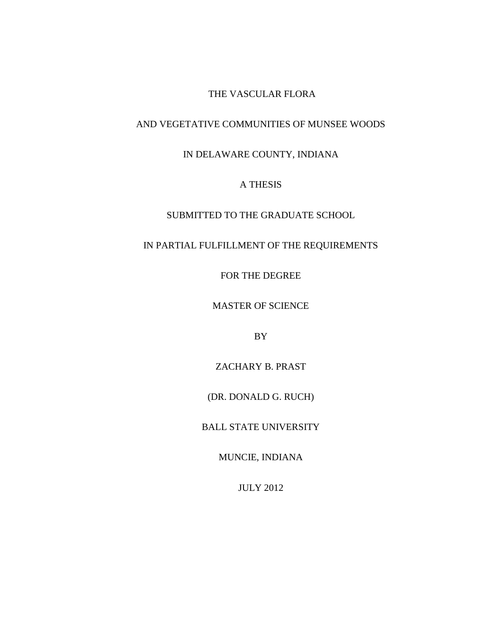### THE VASCULAR FLORA

# AND VEGETATIVE COMMUNITIES OF MUNSEE WOODS

# IN DELAWARE COUNTY, INDIANA

# A THESIS

# SUBMITTED TO THE GRADUATE SCHOOL

### IN PARTIAL FULFILLMENT OF THE REQUIREMENTS

FOR THE DEGREE

MASTER OF SCIENCE

BY

ZACHARY B. PRAST

(DR. DONALD G. RUCH)

BALL STATE UNIVERSITY

MUNCIE, INDIANA

JULY 2012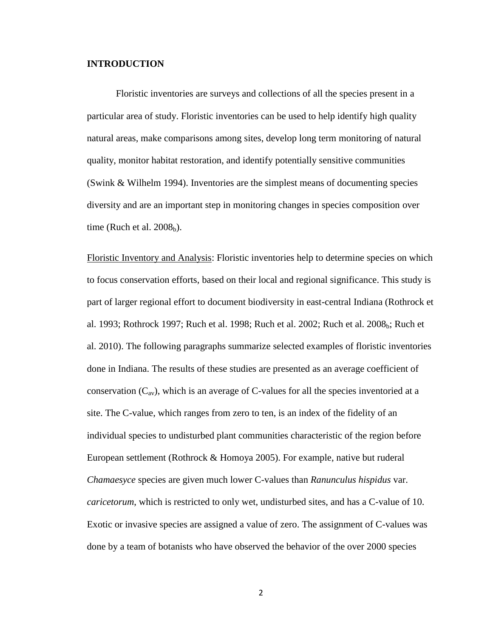### **INTRODUCTION**

Floristic inventories are surveys and collections of all the species present in a particular area of study. Floristic inventories can be used to help identify high quality natural areas, make comparisons among sites, develop long term monitoring of natural quality, monitor habitat restoration, and identify potentially sensitive communities (Swink & Wilhelm 1994). Inventories are the simplest means of documenting species diversity and are an important step in monitoring changes in species composition over time (Ruch et al.  $2008<sub>b</sub>$ ).

Floristic Inventory and Analysis: Floristic inventories help to determine species on which to focus conservation efforts, based on their local and regional significance. This study is part of larger regional effort to document biodiversity in east-central Indiana (Rothrock et al. 1993; Rothrock 1997; Ruch et al. 1998; Ruch et al. 2002; Ruch et al.  $2008<sub>b</sub>$ ; Ruch et al. 2010). The following paragraphs summarize selected examples of floristic inventories done in Indiana. The results of these studies are presented as an average coefficient of conservation  $(C_{av})$ , which is an average of C-values for all the species inventoried at a site. The C-value, which ranges from zero to ten, is an index of the fidelity of an individual species to undisturbed plant communities characteristic of the region before European settlement (Rothrock & Homoya 2005). For example, native but ruderal *Chamaesyce* species are given much lower C-values than *Ranunculus hispidus* var. *caricetorum*, which is restricted to only wet, undisturbed sites, and has a C-value of 10. Exotic or invasive species are assigned a value of zero. The assignment of C-values was done by a team of botanists who have observed the behavior of the over 2000 species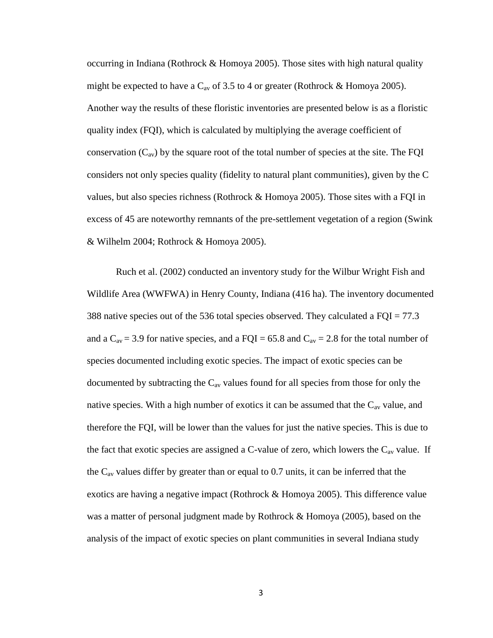occurring in Indiana (Rothrock & Homoya 2005). Those sites with high natural quality might be expected to have a  $C_{av}$  of 3.5 to 4 or greater (Rothrock & Homoya 2005). Another way the results of these floristic inventories are presented below is as a floristic quality index (FQI), which is calculated by multiplying the average coefficient of conservation  $(C_{av})$  by the square root of the total number of species at the site. The FQI considers not only species quality (fidelity to natural plant communities), given by the C values, but also species richness (Rothrock & Homoya 2005). Those sites with a FQI in excess of 45 are noteworthy remnants of the pre-settlement vegetation of a region (Swink & Wilhelm 2004; Rothrock & Homoya 2005).

Ruch et al. (2002) conducted an inventory study for the Wilbur Wright Fish and Wildlife Area (WWFWA) in Henry County, Indiana (416 ha). The inventory documented 388 native species out of the 536 total species observed. They calculated a  $FQI = 77.3$ and a  $C_{av}$  = 3.9 for native species, and a FQI = 65.8 and  $C_{av}$  = 2.8 for the total number of species documented including exotic species. The impact of exotic species can be documented by subtracting the  $C_{av}$  values found for all species from those for only the native species. With a high number of exotics it can be assumed that the  $C_{av}$  value, and therefore the FQI, will be lower than the values for just the native species. This is due to the fact that exotic species are assigned a C-value of zero, which lowers the  $C_{av}$  value. If the  $C_{av}$  values differ by greater than or equal to 0.7 units, it can be inferred that the exotics are having a negative impact (Rothrock & Homoya 2005). This difference value was a matter of personal judgment made by Rothrock & Homoya (2005), based on the analysis of the impact of exotic species on plant communities in several Indiana study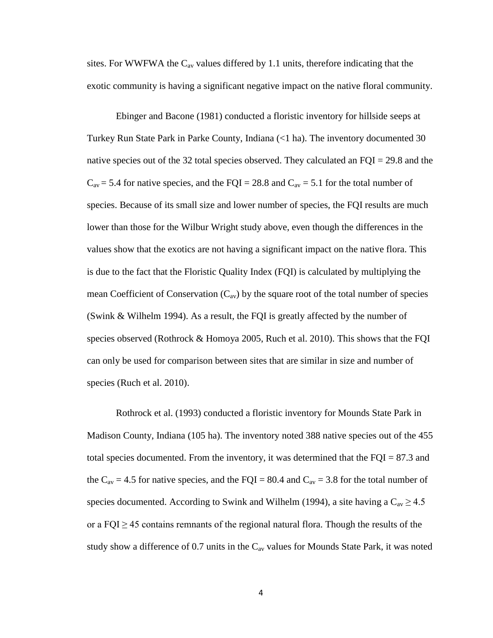sites. For WWFWA the  $C_{av}$  values differed by 1.1 units, therefore indicating that the exotic community is having a significant negative impact on the native floral community.

Ebinger and Bacone (1981) conducted a floristic inventory for hillside seeps at Turkey Run State Park in Parke County, Indiana (<1 ha). The inventory documented 30 native species out of the 32 total species observed. They calculated an FQI = 29.8 and the  $C_{av}$  = 5.4 for native species, and the FQI = 28.8 and  $C_{av}$  = 5.1 for the total number of species. Because of its small size and lower number of species, the FQI results are much lower than those for the Wilbur Wright study above, even though the differences in the values show that the exotics are not having a significant impact on the native flora. This is due to the fact that the Floristic Quality Index (FQI) is calculated by multiplying the mean Coefficient of Conservation  $(C_{av})$  by the square root of the total number of species (Swink & Wilhelm 1994). As a result, the FQI is greatly affected by the number of species observed (Rothrock & Homoya 2005, Ruch et al. 2010). This shows that the FQI can only be used for comparison between sites that are similar in size and number of species (Ruch et al. 2010).

Rothrock et al. (1993) conducted a floristic inventory for Mounds State Park in Madison County, Indiana (105 ha). The inventory noted 388 native species out of the 455 total species documented. From the inventory, it was determined that the  $FQI = 87.3$  and the  $C_{av} = 4.5$  for native species, and the FQI = 80.4 and  $C_{av} = 3.8$  for the total number of species documented. According to Swink and Wilhelm (1994), a site having a  $C_{av} \ge 4.5$ or a  $FQI \geq 45$  contains remnants of the regional natural flora. Though the results of the study show a difference of 0.7 units in the  $C_{av}$  values for Mounds State Park, it was noted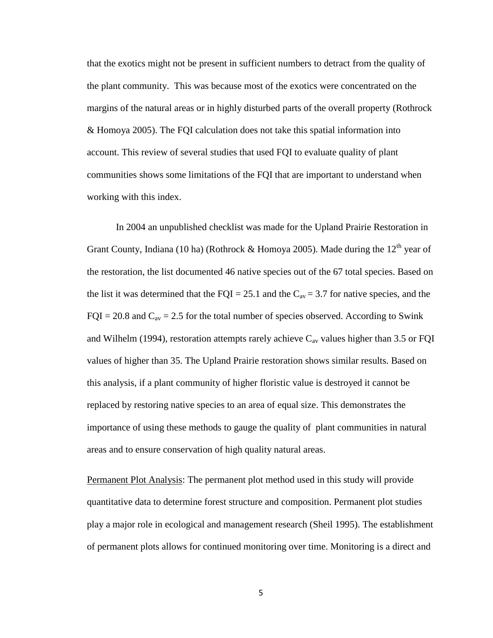that the exotics might not be present in sufficient numbers to detract from the quality of the plant community. This was because most of the exotics were concentrated on the margins of the natural areas or in highly disturbed parts of the overall property (Rothrock & Homoya 2005). The FQI calculation does not take this spatial information into account. This review of several studies that used FQI to evaluate quality of plant communities shows some limitations of the FQI that are important to understand when working with this index.

In 2004 an unpublished checklist was made for the Upland Prairie Restoration in Grant County, Indiana (10 ha) (Rothrock & Homoya 2005). Made during the  $12<sup>th</sup>$  year of the restoration, the list documented 46 native species out of the 67 total species. Based on the list it was determined that the FQI = 25.1 and the  $C_{av}$  = 3.7 for native species, and the  $FQI = 20.8$  and  $C_{av} = 2.5$  for the total number of species observed. According to Swink and Wilhelm (1994), restoration attempts rarely achieve  $C_{av}$  values higher than 3.5 or FQI values of higher than 35. The Upland Prairie restoration shows similar results. Based on this analysis, if a plant community of higher floristic value is destroyed it cannot be replaced by restoring native species to an area of equal size. This demonstrates the importance of using these methods to gauge the quality of plant communities in natural areas and to ensure conservation of high quality natural areas.

Permanent Plot Analysis: The permanent plot method used in this study will provide quantitative data to determine forest structure and composition. Permanent plot studies play a major role in ecological and management research (Sheil 1995). The establishment of permanent plots allows for continued monitoring over time. Monitoring is a direct and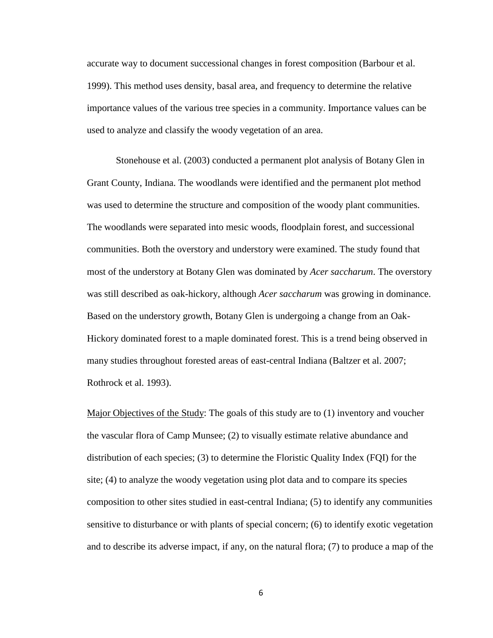accurate way to document successional changes in forest composition (Barbour et al. 1999). This method uses density, basal area, and frequency to determine the relative importance values of the various tree species in a community. Importance values can be used to analyze and classify the woody vegetation of an area.

Stonehouse et al. (2003) conducted a permanent plot analysis of Botany Glen in Grant County, Indiana. The woodlands were identified and the permanent plot method was used to determine the structure and composition of the woody plant communities. The woodlands were separated into mesic woods, floodplain forest, and successional communities. Both the overstory and understory were examined. The study found that most of the understory at Botany Glen was dominated by *Acer saccharum*. The overstory was still described as oak-hickory, although *Acer saccharum* was growing in dominance. Based on the understory growth, Botany Glen is undergoing a change from an Oak-Hickory dominated forest to a maple dominated forest. This is a trend being observed in many studies throughout forested areas of east-central Indiana (Baltzer et al. 2007; Rothrock et al. 1993).

Major Objectives of the Study: The goals of this study are to (1) inventory and voucher the vascular flora of Camp Munsee; (2) to visually estimate relative abundance and distribution of each species; (3) to determine the Floristic Quality Index (FQI) for the site; (4) to analyze the woody vegetation using plot data and to compare its species composition to other sites studied in east-central Indiana; (5) to identify any communities sensitive to disturbance or with plants of special concern; (6) to identify exotic vegetation and to describe its adverse impact, if any, on the natural flora; (7) to produce a map of the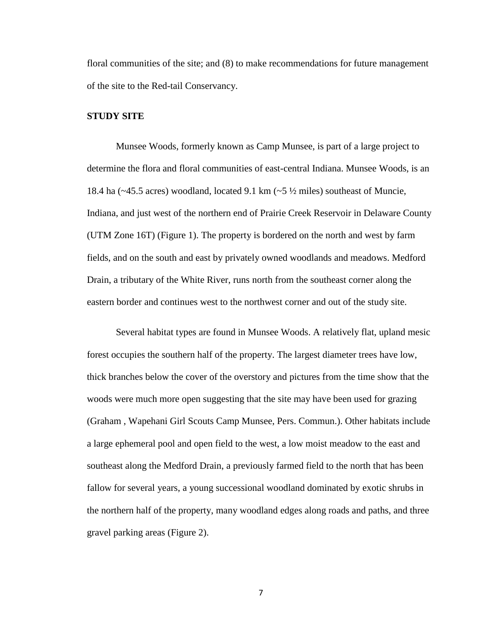floral communities of the site; and (8) to make recommendations for future management of the site to the Red-tail Conservancy.

### **STUDY SITE**

Munsee Woods, formerly known as Camp Munsee, is part of a large project to determine the flora and floral communities of east-central Indiana. Munsee Woods, is an 18.4 ha ( $\sim$ 45.5 acres) woodland, located 9.1 km ( $\sim$ 5 ½ miles) southeast of Muncie, Indiana, and just west of the northern end of Prairie Creek Reservoir in Delaware County (UTM Zone 16T) (Figure 1). The property is bordered on the north and west by farm fields, and on the south and east by privately owned woodlands and meadows. Medford Drain, a tributary of the White River, runs north from the southeast corner along the eastern border and continues west to the northwest corner and out of the study site.

Several habitat types are found in Munsee Woods. A relatively flat, upland mesic forest occupies the southern half of the property. The largest diameter trees have low, thick branches below the cover of the overstory and pictures from the time show that the woods were much more open suggesting that the site may have been used for grazing (Graham , Wapehani Girl Scouts Camp Munsee, Pers. Commun.). Other habitats include a large ephemeral pool and open field to the west, a low moist meadow to the east and southeast along the Medford Drain, a previously farmed field to the north that has been fallow for several years, a young successional woodland dominated by exotic shrubs in the northern half of the property, many woodland edges along roads and paths, and three gravel parking areas (Figure 2).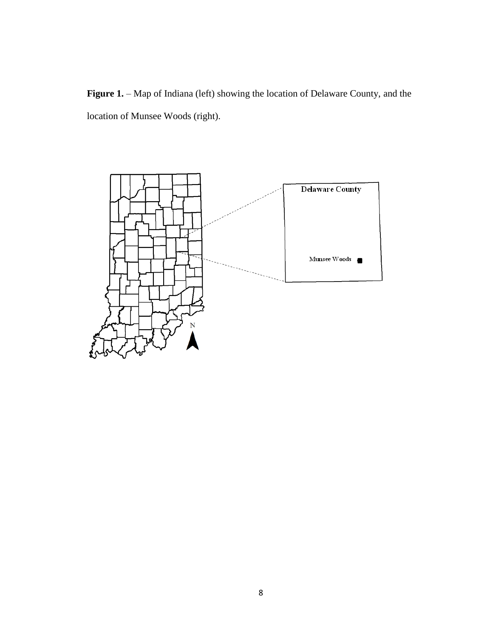**Figure 1.** – Map of Indiana (left) showing the location of Delaware County, and the location of Munsee Woods (right).

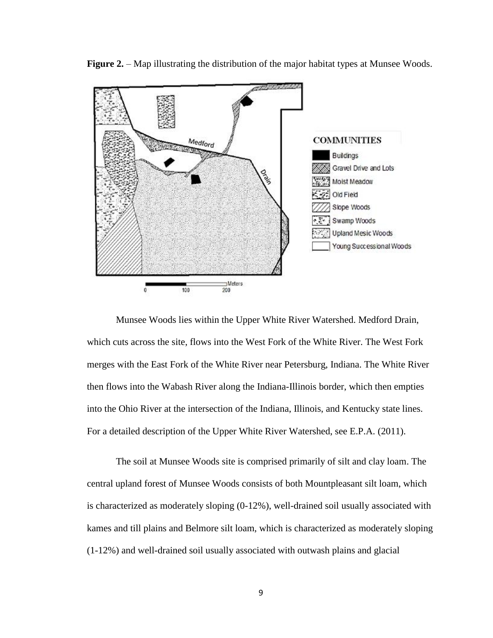

**Figure 2.** – Map illustrating the distribution of the major habitat types at Munsee Woods.

Munsee Woods lies within the Upper White River Watershed. Medford Drain, which cuts across the site, flows into the West Fork of the White River. The West Fork merges with the East Fork of the White River near Petersburg, Indiana. The White River then flows into the Wabash River along the Indiana-Illinois border, which then empties into the Ohio River at the intersection of the Indiana, Illinois, and Kentucky state lines. For a detailed description of the Upper White River Watershed, see E.P.A. (2011).

The soil at Munsee Woods site is comprised primarily of silt and clay loam. The central upland forest of Munsee Woods consists of both Mountpleasant silt loam, which is characterized as moderately sloping (0-12%), well-drained soil usually associated with kames and till plains and Belmore silt loam, which is characterized as moderately sloping (1-12%) and well-drained soil usually associated with outwash plains and glacial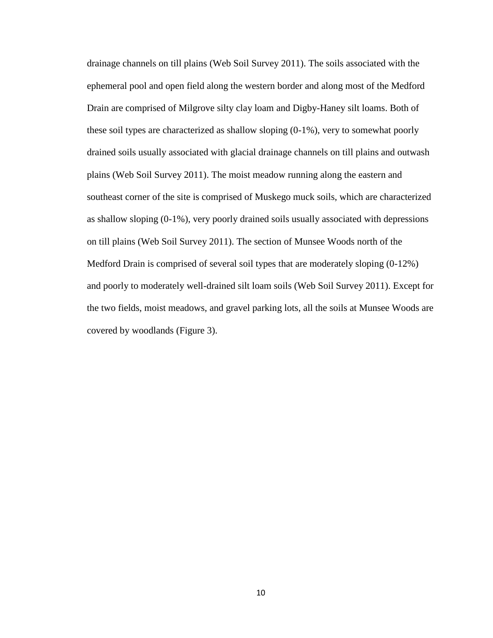drainage channels on till plains (Web Soil Survey 2011). The soils associated with the ephemeral pool and open field along the western border and along most of the Medford Drain are comprised of Milgrove silty clay loam and Digby-Haney silt loams. Both of these soil types are characterized as shallow sloping (0-1%), very to somewhat poorly drained soils usually associated with glacial drainage channels on till plains and outwash plains (Web Soil Survey 2011). The moist meadow running along the eastern and southeast corner of the site is comprised of Muskego muck soils, which are characterized as shallow sloping (0-1%), very poorly drained soils usually associated with depressions on till plains (Web Soil Survey 2011). The section of Munsee Woods north of the Medford Drain is comprised of several soil types that are moderately sloping (0-12%) and poorly to moderately well-drained silt loam soils (Web Soil Survey 2011). Except for the two fields, moist meadows, and gravel parking lots, all the soils at Munsee Woods are covered by woodlands (Figure 3).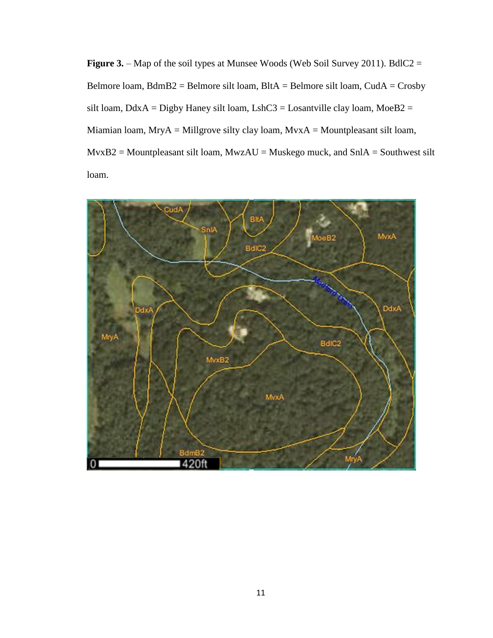**Figure 3.** – Map of the soil types at Munsee Woods (Web Soil Survey 2011). BdlC2 = Belmore loam, BdmB2 = Belmore silt loam, BltA = Belmore silt loam, CudA = Crosby silt loam,  $DdxA = Digby$  Haney silt loam,  $LshC3 =$  Losantville clay loam,  $MoeB2 =$ Miamian loam, MryA = Millgrove silty clay loam,  $MvxA = Mountpleasant silt loan$ ,  $MvxB2 = Mountpleasant silt loan, MwzAU = Muskego much, and SnIA = Southwest silt$ loam.

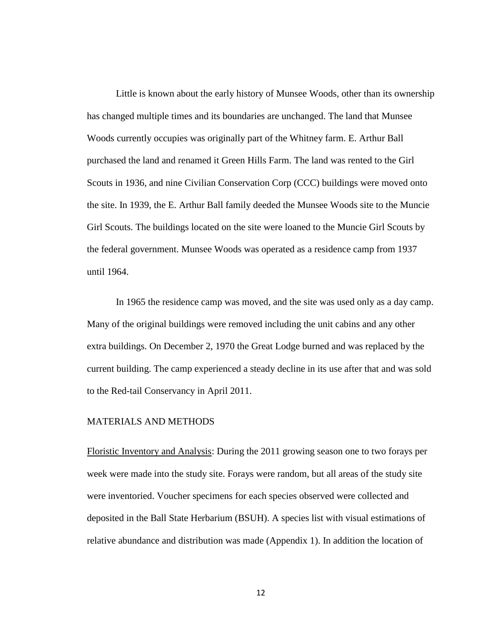Little is known about the early history of Munsee Woods, other than its ownership has changed multiple times and its boundaries are unchanged. The land that Munsee Woods currently occupies was originally part of the Whitney farm. E. Arthur Ball purchased the land and renamed it Green Hills Farm. The land was rented to the Girl Scouts in 1936, and nine Civilian Conservation Corp (CCC) buildings were moved onto the site. In 1939, the E. Arthur Ball family deeded the Munsee Woods site to the Muncie Girl Scouts. The buildings located on the site were loaned to the Muncie Girl Scouts by the federal government. Munsee Woods was operated as a residence camp from 1937 until 1964.

In 1965 the residence camp was moved, and the site was used only as a day camp. Many of the original buildings were removed including the unit cabins and any other extra buildings. On December 2, 1970 the Great Lodge burned and was replaced by the current building. The camp experienced a steady decline in its use after that and was sold to the Red-tail Conservancy in April 2011.

### MATERIALS AND METHODS

Floristic Inventory and Analysis: During the 2011 growing season one to two forays per week were made into the study site. Forays were random, but all areas of the study site were inventoried. Voucher specimens for each species observed were collected and deposited in the Ball State Herbarium (BSUH). A species list with visual estimations of relative abundance and distribution was made (Appendix 1). In addition the location of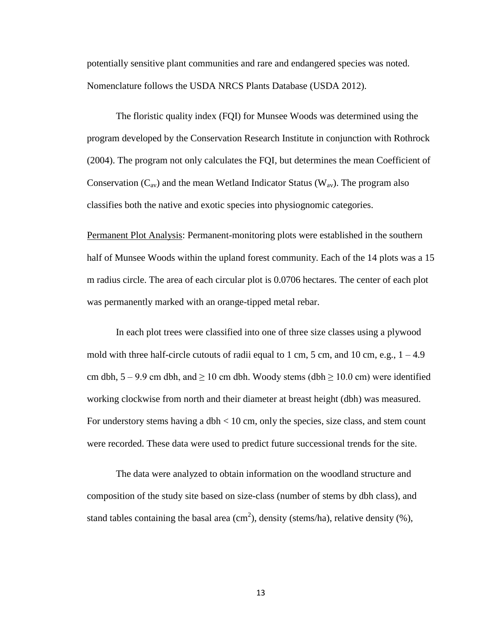potentially sensitive plant communities and rare and endangered species was noted. Nomenclature follows the USDA NRCS Plants Database (USDA 2012).

The floristic quality index (FQI) for Munsee Woods was determined using the program developed by the Conservation Research Institute in conjunction with Rothrock (2004). The program not only calculates the FQI, but determines the mean Coefficient of Conservation  $(C_{av})$  and the mean Wetland Indicator Status ( $W_{av}$ ). The program also classifies both the native and exotic species into physiognomic categories.

Permanent Plot Analysis: Permanent-monitoring plots were established in the southern half of Munsee Woods within the upland forest community. Each of the 14 plots was a 15 m radius circle. The area of each circular plot is 0.0706 hectares. The center of each plot was permanently marked with an orange-tipped metal rebar.

In each plot trees were classified into one of three size classes using a plywood mold with three half-circle cutouts of radii equal to 1 cm, 5 cm, and 10 cm, e.g.,  $1 - 4.9$ cm dbh,  $5 - 9.9$  cm dbh, and  $\geq 10$  cm dbh. Woody stems (dbh  $\geq 10.0$  cm) were identified working clockwise from north and their diameter at breast height (dbh) was measured. For understory stems having a dbh  $< 10$  cm, only the species, size class, and stem count were recorded. These data were used to predict future successional trends for the site.

The data were analyzed to obtain information on the woodland structure and composition of the study site based on size-class (number of stems by dbh class), and stand tables containing the basal area  $(cm<sup>2</sup>)$ , density (stems/ha), relative density (%),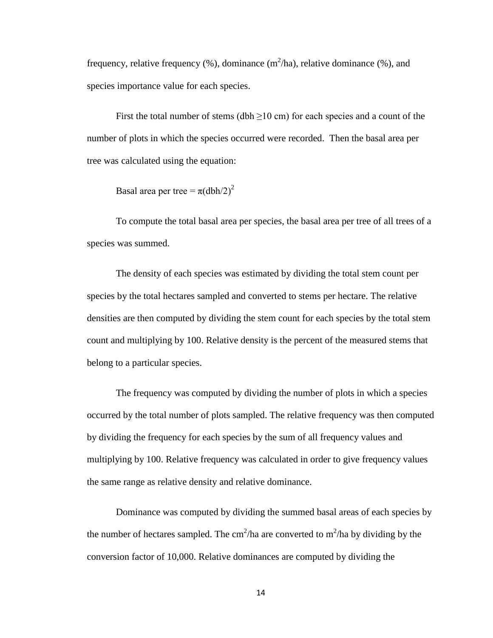frequency, relative frequency  $(\%)$ , dominance  $(m^2/ha)$ , relative dominance  $(\%)$ , and species importance value for each species.

First the total number of stems (dbh  $>10$  cm) for each species and a count of the number of plots in which the species occurred were recorded. Then the basal area per tree was calculated using the equation:

Basal area per tree =  $\pi(\text{dbh}/2)^2$ 

To compute the total basal area per species, the basal area per tree of all trees of a species was summed.

The density of each species was estimated by dividing the total stem count per species by the total hectares sampled and converted to stems per hectare. The relative densities are then computed by dividing the stem count for each species by the total stem count and multiplying by 100. Relative density is the percent of the measured stems that belong to a particular species.

The frequency was computed by dividing the number of plots in which a species occurred by the total number of plots sampled. The relative frequency was then computed by dividing the frequency for each species by the sum of all frequency values and multiplying by 100. Relative frequency was calculated in order to give frequency values the same range as relative density and relative dominance.

Dominance was computed by dividing the summed basal areas of each species by the number of hectares sampled. The cm<sup>2</sup>/ha are converted to m<sup>2</sup>/ha by dividing by the conversion factor of 10,000. Relative dominances are computed by dividing the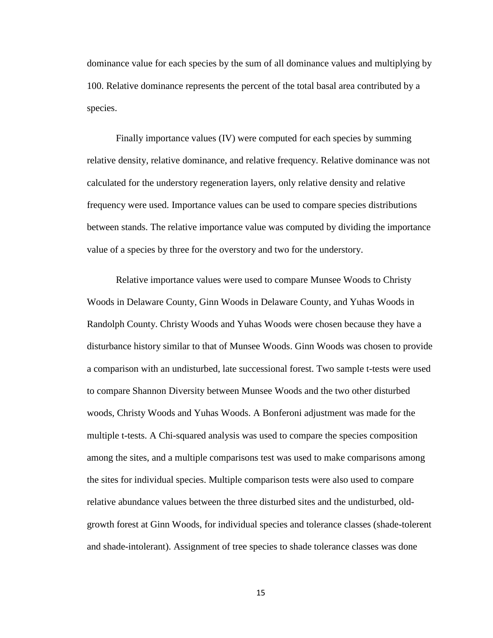dominance value for each species by the sum of all dominance values and multiplying by 100. Relative dominance represents the percent of the total basal area contributed by a species.

Finally importance values (IV) were computed for each species by summing relative density, relative dominance, and relative frequency. Relative dominance was not calculated for the understory regeneration layers, only relative density and relative frequency were used. Importance values can be used to compare species distributions between stands. The relative importance value was computed by dividing the importance value of a species by three for the overstory and two for the understory.

Relative importance values were used to compare Munsee Woods to Christy Woods in Delaware County, Ginn Woods in Delaware County, and Yuhas Woods in Randolph County. Christy Woods and Yuhas Woods were chosen because they have a disturbance history similar to that of Munsee Woods. Ginn Woods was chosen to provide a comparison with an undisturbed, late successional forest. Two sample t-tests were used to compare Shannon Diversity between Munsee Woods and the two other disturbed woods, Christy Woods and Yuhas Woods. A Bonferoni adjustment was made for the multiple t-tests. A Chi-squared analysis was used to compare the species composition among the sites, and a multiple comparisons test was used to make comparisons among the sites for individual species. Multiple comparison tests were also used to compare relative abundance values between the three disturbed sites and the undisturbed, oldgrowth forest at Ginn Woods, for individual species and tolerance classes (shade-tolerent and shade-intolerant). Assignment of tree species to shade tolerance classes was done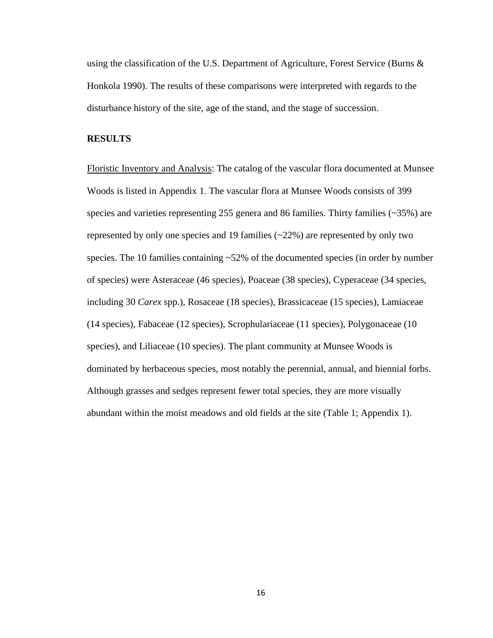using the classification of the U.S. Department of Agriculture, Forest Service (Burns  $\&$ Honkola 1990). The results of these comparisons were interpreted with regards to the disturbance history of the site, age of the stand, and the stage of succession.

#### **RESULTS**

Floristic Inventory and Analysis: The catalog of the vascular flora documented at Munsee Woods is listed in Appendix 1. The vascular flora at Munsee Woods consists of 399 species and varieties representing 255 genera and 86 families. Thirty families (~35%) are represented by only one species and 19 families  $(\sim 22\%)$  are represented by only two species. The 10 families containing ~52% of the documented species (in order by number of species) were Asteraceae (46 species), Poaceae (38 species), Cyperaceae (34 species, including 30 *Carex* spp.), Rosaceae (18 species), Brassicaceae (15 species), Lamiaceae (14 species), Fabaceae (12 species), Scrophulariaceae (11 species), Polygonaceae (10 species), and Liliaceae (10 species). The plant community at Munsee Woods is dominated by herbaceous species, most notably the perennial, annual, and biennial forbs. Although grasses and sedges represent fewer total species, they are more visually abundant within the moist meadows and old fields at the site (Table 1; Appendix 1).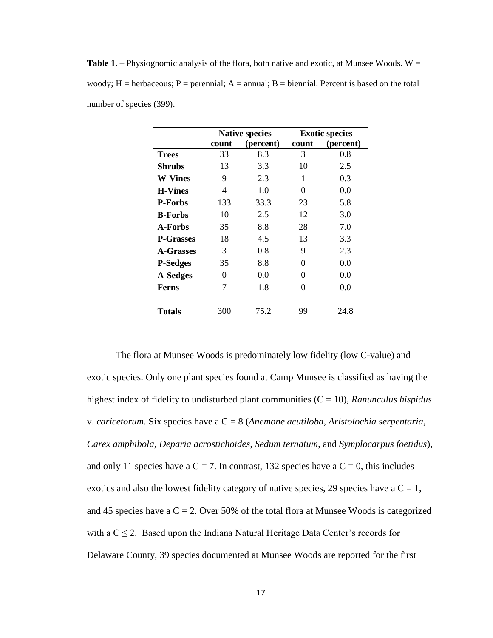**Table 1.** – Physiognomic analysis of the flora, both native and exotic, at Munsee Woods.  $W =$ woody;  $H =$  herbaceous;  $P =$  perennial;  $A =$  annual;  $B =$  biennial. Percent is based on the total number of species (399).

|                  |          | <b>Native species</b> |          | <b>Exotic species</b> |  |
|------------------|----------|-----------------------|----------|-----------------------|--|
|                  | count    | (percent)             | count    | (percent)             |  |
| <b>Trees</b>     | 33       | 8.3                   | 3        | 0.8                   |  |
| Shrubs           | 13       | 3.3                   | 10       | 2.5                   |  |
| <b>W-Vines</b>   | 9        | 2.3                   | 1        | 0.3                   |  |
| <b>H-Vines</b>   | 4        | 1.0<br>0              |          | 0.0                   |  |
| <b>P-Forbs</b>   | 133      | 33.3                  | 23       | 5.8                   |  |
| <b>B-Forbs</b>   | 10       | 2.5                   | 12       | 3.0                   |  |
| <b>A-Forbs</b>   | 35       | 8.8                   | 28       | 7.0                   |  |
| <b>P-Grasses</b> | 18       | 4.5                   | 13       | 3.3                   |  |
| <b>A-Grasses</b> | 3        | 0.8                   | 9        | 2.3                   |  |
| <b>P-Sedges</b>  | 35       | 8.8                   | 0        | 0.0                   |  |
| A-Sedges         | $\Omega$ | 0.0                   | $\Omega$ | 0.0                   |  |
| <b>Ferns</b>     | 7        | 1.8                   | 0        | 0.0                   |  |
| <b>Totals</b>    | 300      | 75.2                  | 99       | 24.8                  |  |

The flora at Munsee Woods is predominately low fidelity (low C-value) and exotic species. Only one plant species found at Camp Munsee is classified as having the highest index of fidelity to undisturbed plant communities (C = 10), *Ranunculus hispidus* v. *caricetorum*. Six species have a C = 8 (*Anemone acutiloba*, *Aristolochia serpentaria*, *Carex amphibola*, *Deparia acrostichoides*, *Sedum ternatum*, and *Symplocarpus foetidus*), and only 11 species have a  $C = 7$ . In contrast, 132 species have a  $C = 0$ , this includes exotics and also the lowest fidelity category of native species, 29 species have a  $C = 1$ , and 45 species have a  $C = 2$ . Over 50% of the total flora at Munsee Woods is categorized with a  $C \leq 2$ . Based upon the Indiana Natural Heritage Data Center's records for Delaware County, 39 species documented at Munsee Woods are reported for the first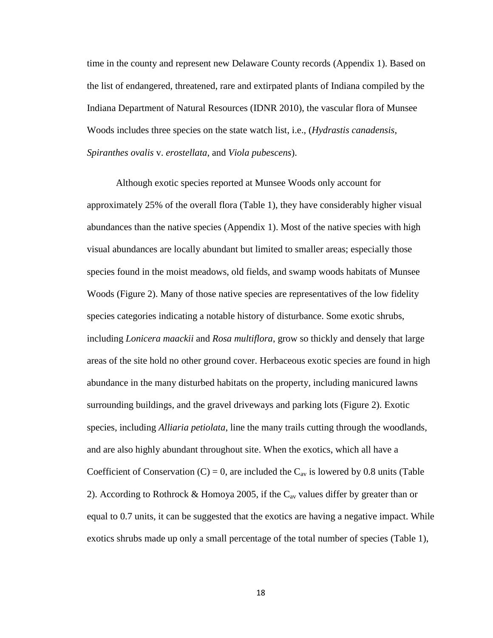time in the county and represent new Delaware County records (Appendix 1). Based on the list of endangered, threatened, rare and extirpated plants of Indiana compiled by the Indiana Department of Natural Resources (IDNR 2010), the vascular flora of Munsee Woods includes three species on the state watch list, i.e., (*Hydrastis canadensis*, *Spiranthes ovalis* v. *erostellata*, and *Viola pubescens*).

Although exotic species reported at Munsee Woods only account for approximately 25% of the overall flora (Table 1), they have considerably higher visual abundances than the native species (Appendix 1). Most of the native species with high visual abundances are locally abundant but limited to smaller areas; especially those species found in the moist meadows, old fields, and swamp woods habitats of Munsee Woods (Figure 2). Many of those native species are representatives of the low fidelity species categories indicating a notable history of disturbance. Some exotic shrubs, including *Lonicera maackii* and *Rosa multiflora*, grow so thickly and densely that large areas of the site hold no other ground cover. Herbaceous exotic species are found in high abundance in the many disturbed habitats on the property, including manicured lawns surrounding buildings, and the gravel driveways and parking lots (Figure 2). Exotic species, including *Alliaria petiolata*, line the many trails cutting through the woodlands, and are also highly abundant throughout site. When the exotics, which all have a Coefficient of Conservation (C) = 0, are included the  $C_{av}$  is lowered by 0.8 units (Table 2). According to Rothrock & Homoya 2005, if the  $C_{av}$  values differ by greater than or equal to 0.7 units, it can be suggested that the exotics are having a negative impact. While exotics shrubs made up only a small percentage of the total number of species (Table 1),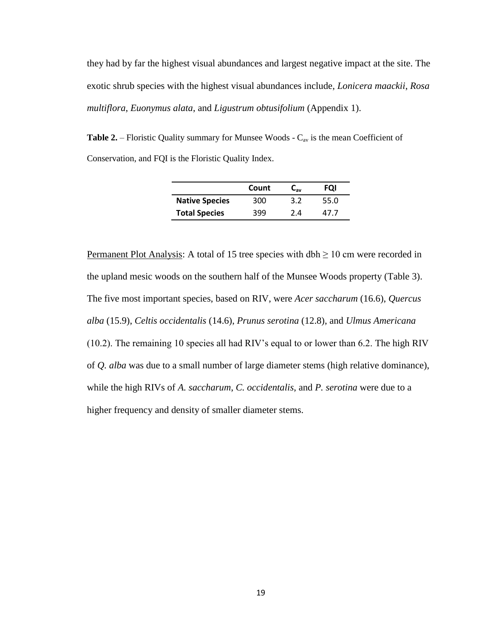they had by far the highest visual abundances and largest negative impact at the site. The exotic shrub species with the highest visual abundances include, *Lonicera maackii*, *Rosa multiflora*, *Euonymus alata*, and *Ligustrum obtusifolium* (Appendix 1).

**Table 2.** – Floristic Quality summary for Munsee Woods -  $C_{av}$  is the mean Coefficient of Conservation, and FQI is the Floristic Quality Index.

|                       | Count | -av | FOI  |
|-----------------------|-------|-----|------|
| <b>Native Species</b> | 300   | 3.2 | 55.0 |
| <b>Total Species</b>  | 399   | 7 A | 47 7 |

Permanent Plot Analysis: A total of 15 tree species with dbh  $\geq 10$  cm were recorded in the upland mesic woods on the southern half of the Munsee Woods property (Table 3). The five most important species, based on RIV, were *Acer saccharum* (16.6), *Quercus alba* (15.9), *Celtis occidentalis* (14.6), *Prunus serotina* (12.8), and *Ulmus Americana* (10.2). The remaining 10 species all had RIV's equal to or lower than 6.2. The high RIV of *Q. alba* was due to a small number of large diameter stems (high relative dominance), while the high RIVs of *A. saccharum*, *C. occidentalis*, and *P. serotina* were due to a higher frequency and density of smaller diameter stems.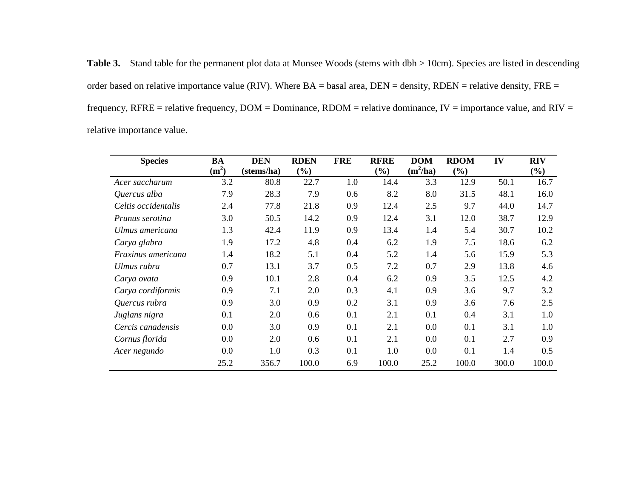**Table 3.** – Stand table for the permanent plot data at Munsee Woods (stems with dbh > 10cm). Species are listed in descending order based on relative importance value (RIV). Where BA = basal area, DEN = density, RDEN = relative density, FRE = frequency,  $RFRE =$  relative frequency,  $DOM =$  Dominance,  $RDOM =$  relative dominance,  $IV =$  importance value, and  $RIV =$ relative importance value.

| <b>Species</b>      | <b>BA</b>         | <b>DEN</b> | <b>RDEN</b> | <b>FRE</b> | <b>RFRE</b> | <b>DOM</b> | <b>RDOM</b> | IV    | <b>RIV</b> |
|---------------------|-------------------|------------|-------------|------------|-------------|------------|-------------|-------|------------|
|                     | (m <sup>2</sup> ) | (stems/ha) | (%)         |            | $(\%)$      | $(m^2/ha)$ | (%)         |       | $(\%)$     |
| Acer saccharum      | 3.2               | 80.8       | 22.7        | 1.0        | 14.4        | 3.3        | 12.9        | 50.1  | 16.7       |
| Quercus alba        | 7.9               | 28.3       | 7.9         | 0.6        | 8.2         | 8.0        | 31.5        | 48.1  | 16.0       |
| Celtis occidentalis | 2.4               | 77.8       | 21.8        | 0.9        | 12.4        | 2.5        | 9.7         | 44.0  | 14.7       |
| Prunus serotina     | 3.0               | 50.5       | 14.2        | 0.9        | 12.4        | 3.1        | 12.0        | 38.7  | 12.9       |
| Ulmus americana     | 1.3               | 42.4       | 11.9        | 0.9        | 13.4        | 1.4        | 5.4         | 30.7  | 10.2       |
| Carya glabra        | 1.9               | 17.2       | 4.8         | 0.4        | 6.2         | 1.9        | 7.5         | 18.6  | 6.2        |
| Fraxinus americana  | 1.4               | 18.2       | 5.1         | 0.4        | 5.2         | 1.4        | 5.6         | 15.9  | 5.3        |
| Ulmus rubra         | 0.7               | 13.1       | 3.7         | 0.5        | 7.2         | 0.7        | 2.9         | 13.8  | 4.6        |
| Carya ovata         | 0.9               | 10.1       | 2.8         | 0.4        | 6.2         | 0.9        | 3.5         | 12.5  | 4.2        |
| Carya cordiformis   | 0.9               | 7.1        | 2.0         | 0.3        | 4.1         | 0.9        | 3.6         | 9.7   | 3.2        |
| Quercus rubra       | 0.9               | 3.0        | 0.9         | 0.2        | 3.1         | 0.9        | 3.6         | 7.6   | 2.5        |
| Juglans nigra       | 0.1               | 2.0        | 0.6         | 0.1        | 2.1         | 0.1        | 0.4         | 3.1   | 1.0        |
| Cercis canadensis   | 0.0               | 3.0        | 0.9         | 0.1        | 2.1         | 0.0        | 0.1         | 3.1   | 1.0        |
| Cornus florida      | 0.0               | 2.0        | 0.6         | 0.1        | 2.1         | 0.0        | 0.1         | 2.7   | 0.9        |
| Acer negundo        | 0.0               | 1.0        | 0.3         | 0.1        | 1.0         | 0.0        | 0.1         | 1.4   | 0.5        |
|                     | 25.2              | 356.7      | 100.0       | 6.9        | 100.0       | 25.2       | 100.0       | 300.0 | 100.0      |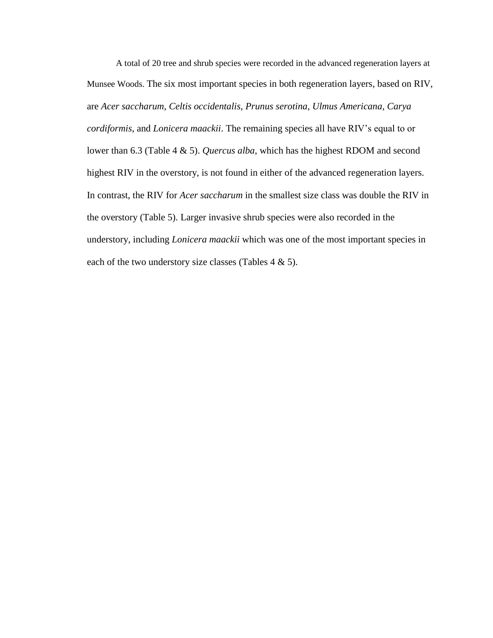A total of 20 tree and shrub species were recorded in the advanced regeneration layers at Munsee Woods. The six most important species in both regeneration layers, based on RIV, are *Acer saccharum*, *Celtis occidentalis*, *Prunus serotina*, *Ulmus Americana*, *Carya cordiformis*, and *Lonicera maackii*. The remaining species all have RIV's equal to or lower than 6.3 (Table 4 & 5). *Quercus alba*, which has the highest RDOM and second highest RIV in the overstory, is not found in either of the advanced regeneration layers. In contrast, the RIV for *Acer saccharum* in the smallest size class was double the RIV in the overstory (Table 5). Larger invasive shrub species were also recorded in the understory, including *Lonicera maackii* which was one of the most important species in each of the two understory size classes (Tables 4 & 5).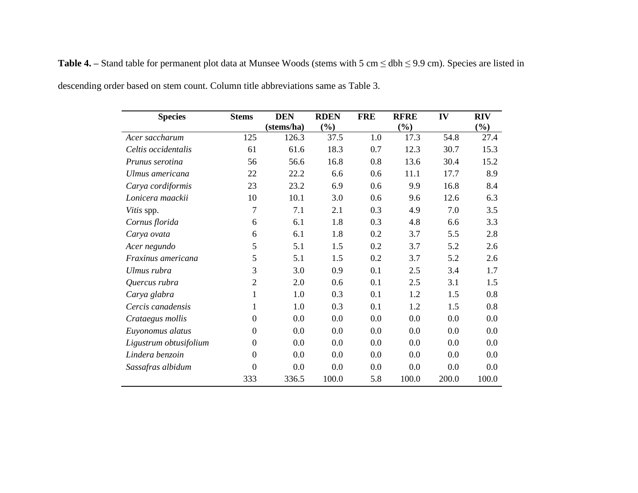| <b>Species</b>         | <b>Stems</b>     | <b>DEN</b> | <b>RDEN</b> | <b>FRE</b> | <b>RFRE</b> | IV    | <b>RIV</b> |
|------------------------|------------------|------------|-------------|------------|-------------|-------|------------|
|                        |                  | (stems/ha) | $(\%)$      |            | $(\%)$      |       | $(\%)$     |
| Acer saccharum         | 125              | 126.3      | 37.5        | 1.0        | 17.3        | 54.8  | 27.4       |
| Celtis occidentalis    | 61               | 61.6       | 18.3        | 0.7        | 12.3        | 30.7  | 15.3       |
| Prunus serotina        | 56               | 56.6       | 16.8        | 0.8        | 13.6        | 30.4  | 15.2       |
| Ulmus americana        | 22               | 22.2       | 6.6         | 0.6        | 11.1        | 17.7  | 8.9        |
| Carya cordiformis      | 23               | 23.2       | 6.9         | 0.6        | 9.9         | 16.8  | 8.4        |
| Lonicera maackii       | 10               | 10.1       | 3.0         | 0.6        | 9.6         | 12.6  | 6.3        |
| Vitis spp.             | $\overline{7}$   | 7.1        | 2.1         | 0.3        | 4.9         | 7.0   | 3.5        |
| Cornus florida         | 6                | 6.1        | 1.8         | 0.3        | 4.8         | 6.6   | 3.3        |
| Carya ovata            | 6                | 6.1        | 1.8         | 0.2        | 3.7         | 5.5   | 2.8        |
| Acer negundo           | 5                | 5.1        | 1.5         | 0.2        | 3.7         | 5.2   | 2.6        |
| Fraxinus americana     | 5                | 5.1        | 1.5         | 0.2        | 3.7         | 5.2   | 2.6        |
| Ulmus rubra            | 3                | 3.0        | 0.9         | 0.1        | 2.5         | 3.4   | 1.7        |
| Quercus rubra          | $\overline{2}$   | 2.0        | 0.6         | 0.1        | 2.5         | 3.1   | 1.5        |
| Carya glabra           | $\mathbf{1}$     | 1.0        | 0.3         | 0.1        | 1.2         | 1.5   | 0.8        |
| Cercis canadensis      | 1                | 1.0        | 0.3         | 0.1        | 1.2         | 1.5   | 0.8        |
| Crataegus mollis       | $\theta$         | 0.0        | 0.0         | 0.0        | 0.0         | 0.0   | 0.0        |
| Euyonomus alatus       | $\theta$         | 0.0        | 0.0         | 0.0        | 0.0         | 0.0   | 0.0        |
| Ligustrum obtusifolium | $\boldsymbol{0}$ | 0.0        | 0.0         | 0.0        | 0.0         | 0.0   | 0.0        |
| Lindera benzoin        | $\theta$         | 0.0        | 0.0         | 0.0        | 0.0         | 0.0   | 0.0        |
| Sassafras albidum      | $\overline{0}$   | 0.0        | 0.0         | 0.0        | 0.0         | 0.0   | 0.0        |
|                        | 333              | 336.5      | 100.0       | 5.8        | 100.0       | 200.0 | 100.0      |

**Table 4. –** Stand table for permanent plot data at Munsee Woods (stems with 5 cm ≤ dbh ≤ 9.9 cm). Species are listed in descending order based on stem count. Column title abbreviations same as Table 3.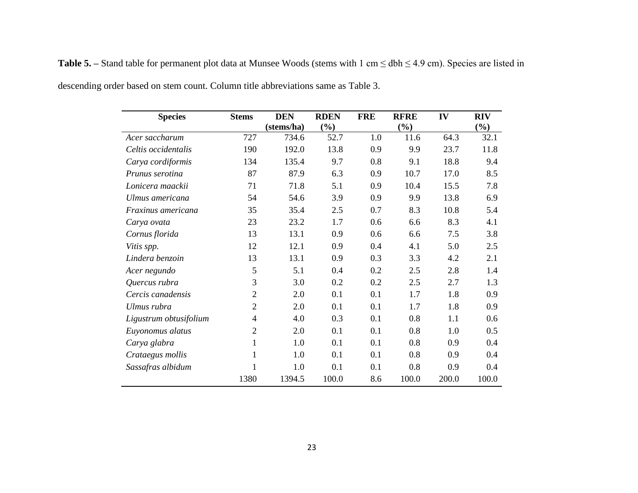| <b>Species</b>         | <b>Stems</b>   | <b>DEN</b> | <b>RDEN</b> | <b>FRE</b> | <b>RFRE</b> |       | <b>RIV</b> |
|------------------------|----------------|------------|-------------|------------|-------------|-------|------------|
|                        |                | (stems/ha) | $(\%)$      |            | (%)         |       | (%)        |
| Acer saccharum         | 727            | 734.6      | 52.7        | 1.0        | 11.6        | 64.3  | 32.1       |
| Celtis occidentalis    | 190            | 192.0      | 13.8        | 0.9        | 9.9         | 23.7  | 11.8       |
| Carya cordiformis      | 134            | 135.4      | 9.7         | 0.8        | 9.1         | 18.8  | 9.4        |
| Prunus serotina        | 87             | 87.9       | 6.3         | 0.9        | 10.7        | 17.0  | 8.5        |
| Lonicera maackii       | 71             | 71.8       | 5.1         | 0.9        | 10.4        | 15.5  | 7.8        |
| Ulmus americana        | 54             | 54.6       | 3.9         | 0.9        | 9.9         | 13.8  | 6.9        |
| Fraxinus americana     | 35             | 35.4       | 2.5         | 0.7        | 8.3         | 10.8  | 5.4        |
| Carya ovata            | 23             | 23.2       | 1.7         | 0.6        | 6.6         | 8.3   | 4.1        |
| Cornus florida         | 13             | 13.1       | 0.9         | 0.6        | 6.6         | 7.5   | 3.8        |
| Vitis spp.             | 12             | 12.1       | 0.9         | 0.4        | 4.1         | 5.0   | 2.5        |
| Lindera benzoin        | 13             | 13.1       | 0.9         | 0.3        | 3.3         | 4.2   | 2.1        |
| Acer negundo           | 5              | 5.1        | 0.4         | 0.2        | 2.5         | 2.8   | 1.4        |
| Quercus rubra          | 3              | 3.0        | 0.2         | 0.2        | 2.5         | 2.7   | 1.3        |
| Cercis canadensis      | $\overline{2}$ | 2.0        | 0.1         | 0.1        | 1.7         | 1.8   | 0.9        |
| Ulmus rubra            | $\overline{2}$ | 2.0        | 0.1         | 0.1        | 1.7         | 1.8   | 0.9        |
| Ligustrum obtusifolium | 4              | 4.0        | 0.3         | 0.1        | 0.8         | 1.1   | 0.6        |
| Euyonomus alatus       | $\overline{2}$ | 2.0        | 0.1         | 0.1        | 0.8         | 1.0   | 0.5        |
| Carya glabra           | $\mathbf{1}$   | 1.0        | 0.1         | 0.1        | 0.8         | 0.9   | 0.4        |
| Crataegus mollis       | 1              | 1.0        | 0.1         | 0.1        | 0.8         | 0.9   | 0.4        |
| Sassafras albidum      | 1              | 1.0        | 0.1         | 0.1        | 0.8         | 0.9   | 0.4        |
|                        | 1380           | 1394.5     | 100.0       | 8.6        | 100.0       | 200.0 | 100.0      |

**Table 5. –** Stand table for permanent plot data at Munsee Woods (stems with 1 cm ≤ dbh ≤ 4.9 cm). Species are listed in descending order based on stem count. Column title abbreviations same as Table 3.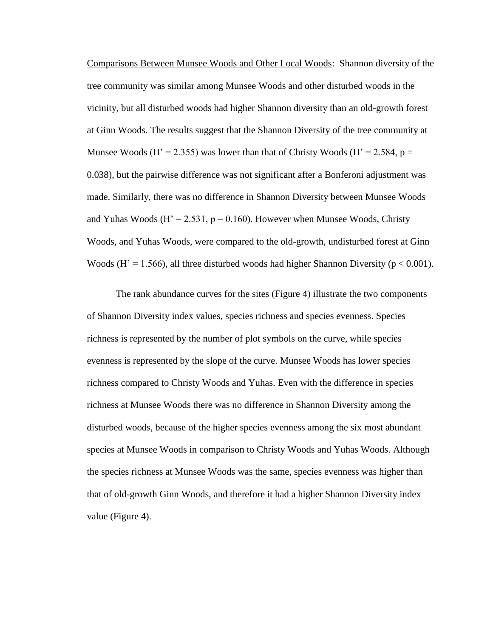Comparisons Between Munsee Woods and Other Local Woods: Shannon diversity of the tree community was similar among Munsee Woods and other disturbed woods in the vicinity, but all disturbed woods had higher Shannon diversity than an old-growth forest at Ginn Woods. The results suggest that the Shannon Diversity of the tree community at Munsee Woods (H' = 2.355) was lower than that of Christy Woods (H' = 2.584,  $p =$ 0.038), but the pairwise difference was not significant after a Bonferoni adjustment was made. Similarly, there was no difference in Shannon Diversity between Munsee Woods and Yuhas Woods (H' =  $2.531$ , p =  $0.160$ ). However when Munsee Woods, Christy Woods, and Yuhas Woods, were compared to the old-growth, undisturbed forest at Ginn Woods  $(H' = 1.566)$ , all three disturbed woods had higher Shannon Diversity ( $p < 0.001$ ).

The rank abundance curves for the sites (Figure 4) illustrate the two components of Shannon Diversity index values, species richness and species evenness. Species richness is represented by the number of plot symbols on the curve, while species evenness is represented by the slope of the curve. Munsee Woods has lower species richness compared to Christy Woods and Yuhas. Even with the difference in species richness at Munsee Woods there was no difference in Shannon Diversity among the disturbed woods, because of the higher species evenness among the six most abundant species at Munsee Woods in comparison to Christy Woods and Yuhas Woods. Although the species richness at Munsee Woods was the same, species evenness was higher than that of old-growth Ginn Woods, and therefore it had a higher Shannon Diversity index value (Figure 4).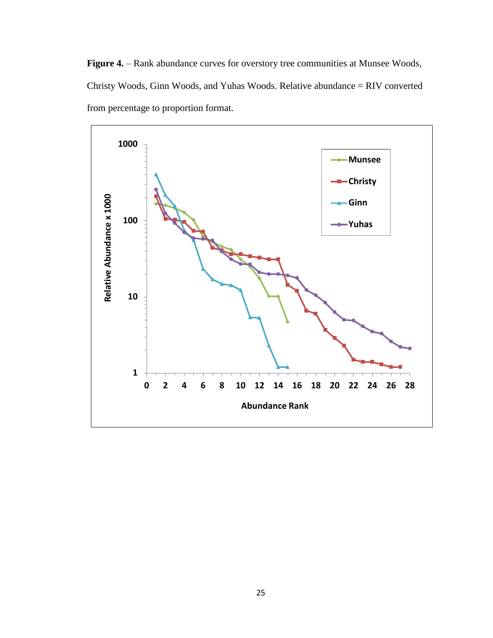Figure 4. – Rank abundance curves for overstory tree communities at Munsee Woods, Christy Woods, Ginn Woods, and Yuhas Woods. Relative abundance = RIV converted from percentage to proportion format.

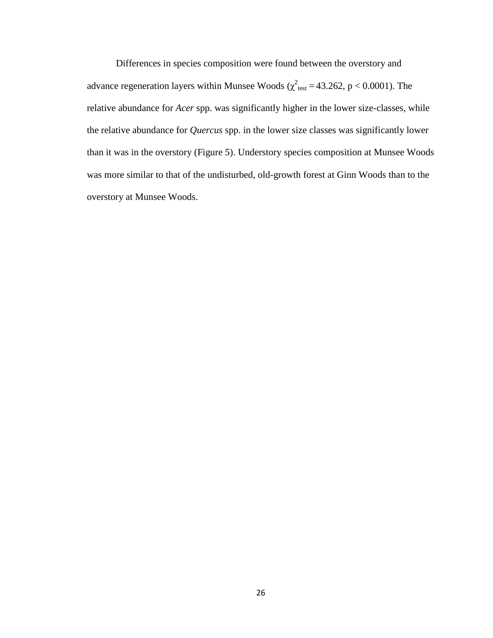Differences in species composition were found between the overstory and advance regeneration layers within Munsee Woods ( $\chi^2$ <sub>test</sub> = 43.262, p < 0.0001). The relative abundance for *Acer* spp. was significantly higher in the lower size-classes, while the relative abundance for *Quercus* spp. in the lower size classes was significantly lower than it was in the overstory (Figure 5). Understory species composition at Munsee Woods was more similar to that of the undisturbed, old-growth forest at Ginn Woods than to the overstory at Munsee Woods.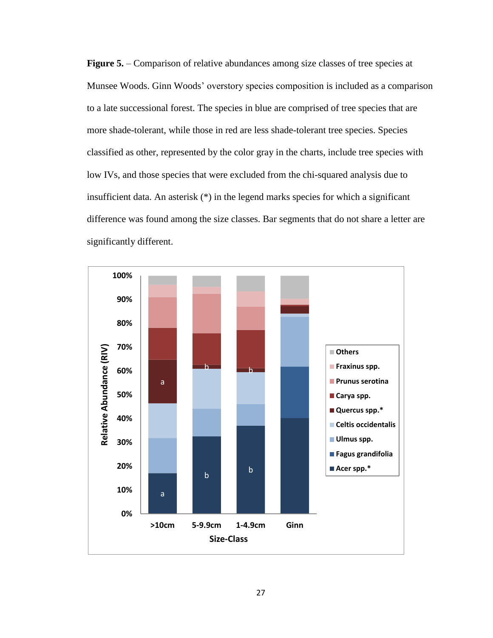**Figure 5.** – Comparison of relative abundances among size classes of tree species at Munsee Woods. Ginn Woods' overstory species composition is included as a comparison to a late successional forest. The species in blue are comprised of tree species that are more shade-tolerant, while those in red are less shade-tolerant tree species. Species classified as other, represented by the color gray in the charts, include tree species with low IVs, and those species that were excluded from the chi-squared analysis due to insufficient data. An asterisk (\*) in the legend marks species for which a significant difference was found among the size classes. Bar segments that do not share a letter are significantly different.

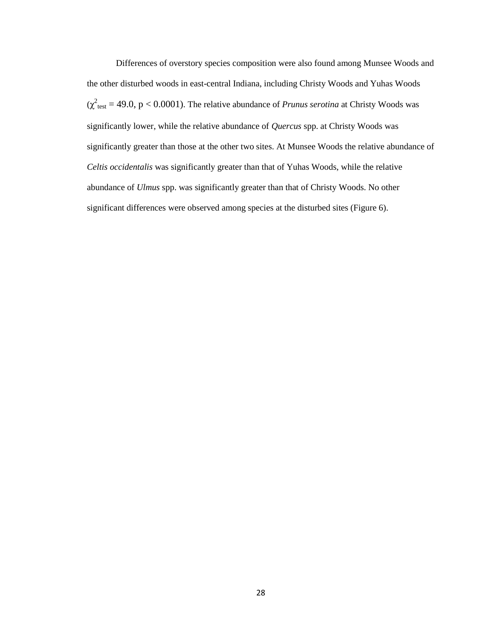Differences of overstory species composition were also found among Munsee Woods and the other disturbed woods in east-central Indiana, including Christy Woods and Yuhas Woods  $(\chi^2_{\text{ test}} = 49.0, p < 0.0001)$ . The relative abundance of *Prunus serotina* at Christy Woods was significantly lower, while the relative abundance of *Quercus* spp. at Christy Woods was significantly greater than those at the other two sites. At Munsee Woods the relative abundance of *Celtis occidentalis* was significantly greater than that of Yuhas Woods, while the relative abundance of *Ulmus* spp. was significantly greater than that of Christy Woods. No other significant differences were observed among species at the disturbed sites (Figure 6).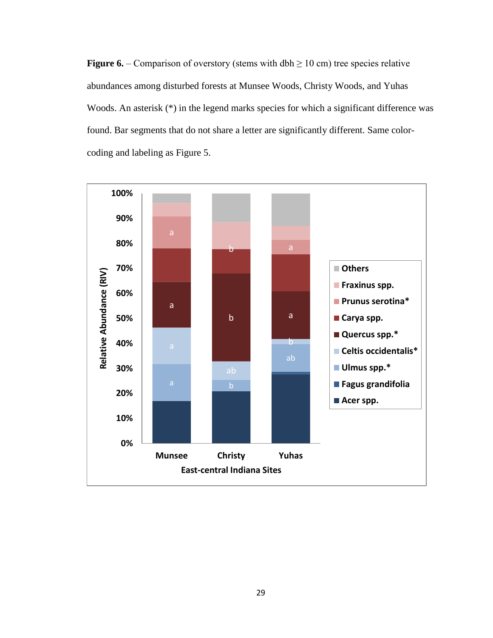**Figure 6.** – Comparison of overstory (stems with dbh  $\geq 10$  cm) tree species relative abundances among disturbed forests at Munsee Woods, Christy Woods, and Yuhas Woods. An asterisk (\*) in the legend marks species for which a significant difference was found. Bar segments that do not share a letter are significantly different. Same colorcoding and labeling as Figure 5.

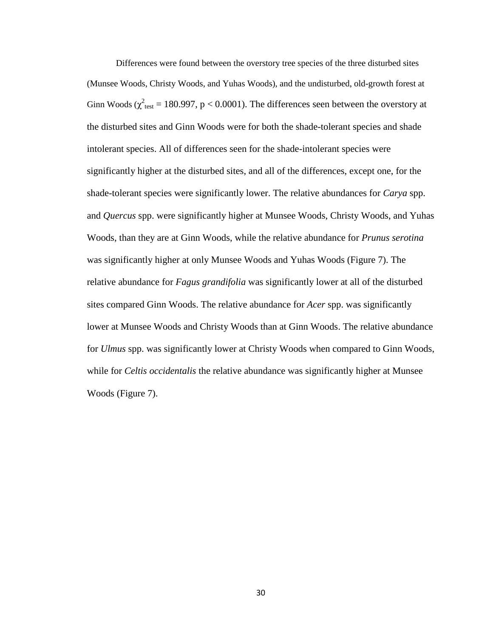Differences were found between the overstory tree species of the three disturbed sites (Munsee Woods, Christy Woods, and Yuhas Woods), and the undisturbed, old-growth forest at Ginn Woods ( $\chi^2$ <sub>test</sub> = 180.997, p < 0.0001). The differences seen between the overstory at the disturbed sites and Ginn Woods were for both the shade-tolerant species and shade intolerant species. All of differences seen for the shade-intolerant species were significantly higher at the disturbed sites, and all of the differences, except one, for the shade-tolerant species were significantly lower. The relative abundances for *Carya* spp. and *Quercus* spp. were significantly higher at Munsee Woods, Christy Woods, and Yuhas Woods, than they are at Ginn Woods, while the relative abundance for *Prunus serotina* was significantly higher at only Munsee Woods and Yuhas Woods (Figure 7). The relative abundance for *Fagus grandifolia* was significantly lower at all of the disturbed sites compared Ginn Woods. The relative abundance for *Acer* spp. was significantly lower at Munsee Woods and Christy Woods than at Ginn Woods. The relative abundance for *Ulmus* spp. was significantly lower at Christy Woods when compared to Ginn Woods, while for *Celtis occidentalis* the relative abundance was significantly higher at Munsee Woods (Figure 7).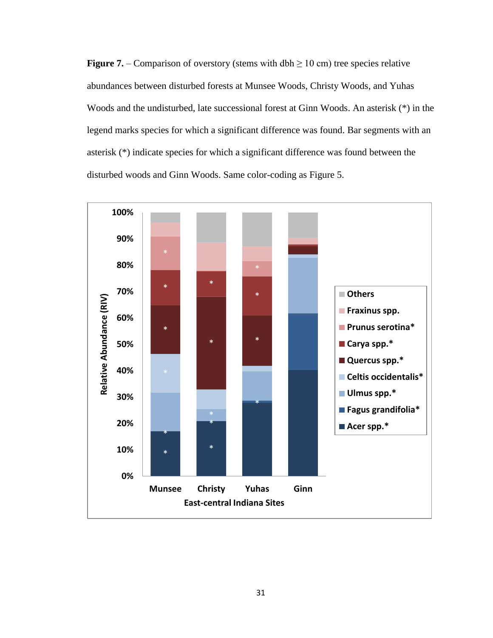**Figure 7.** – Comparison of overstory (stems with dbh  $\geq 10$  cm) tree species relative abundances between disturbed forests at Munsee Woods, Christy Woods, and Yuhas Woods and the undisturbed, late successional forest at Ginn Woods. An asterisk (\*) in the legend marks species for which a significant difference was found. Bar segments with an asterisk (\*) indicate species for which a significant difference was found between the disturbed woods and Ginn Woods. Same color-coding as Figure 5.

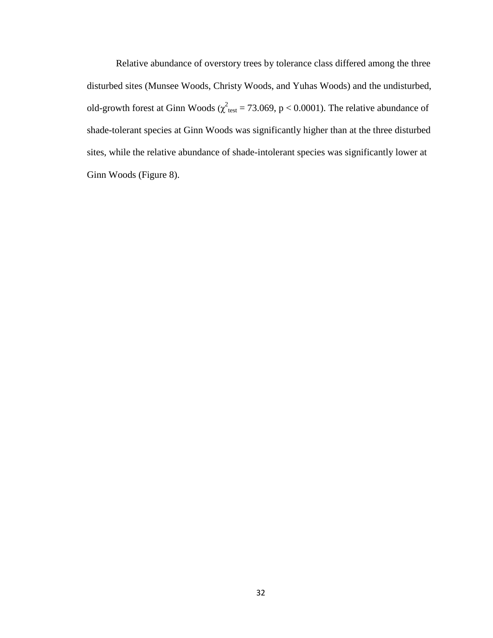Relative abundance of overstory trees by tolerance class differed among the three disturbed sites (Munsee Woods, Christy Woods, and Yuhas Woods) and the undisturbed, old-growth forest at Ginn Woods ( $\chi^2_{\text{test}} = 73.069$ , p < 0.0001). The relative abundance of shade-tolerant species at Ginn Woods was significantly higher than at the three disturbed sites, while the relative abundance of shade-intolerant species was significantly lower at Ginn Woods (Figure 8).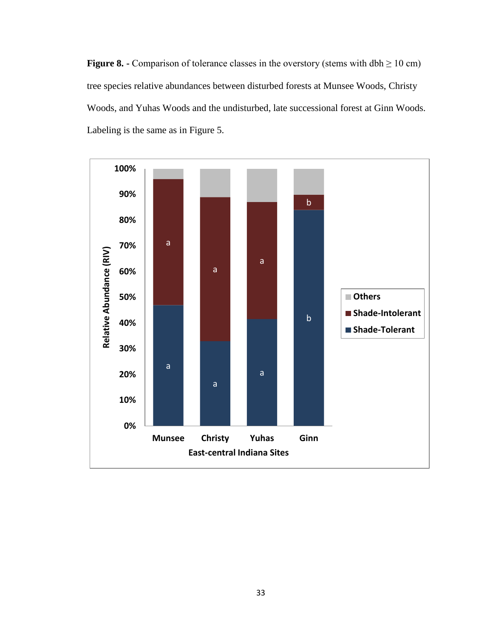**Figure 8.** - Comparison of tolerance classes in the overstory (stems with dbh  $\geq 10$  cm) tree species relative abundances between disturbed forests at Munsee Woods, Christy Woods, and Yuhas Woods and the undisturbed, late successional forest at Ginn Woods. Labeling is the same as in Figure 5.

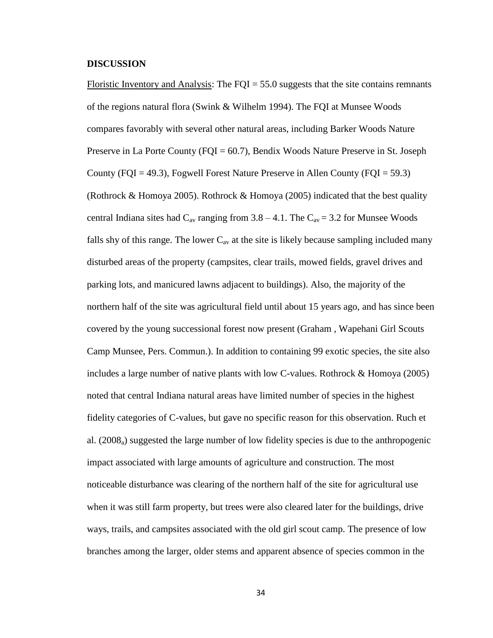#### **DISCUSSION**

Floristic Inventory and Analysis: The  $FQI = 55.0$  suggests that the site contains remnants of the regions natural flora (Swink & Wilhelm 1994). The FQI at Munsee Woods compares favorably with several other natural areas, including Barker Woods Nature Preserve in La Porte County (FQI = 60.7), Bendix Woods Nature Preserve in St. Joseph County (FQI = 49.3), Fogwell Forest Nature Preserve in Allen County (FQI = 59.3) (Rothrock & Homoya 2005). Rothrock & Homoya (2005) indicated that the best quality central Indiana sites had  $C_{av}$  ranging from 3.8 – 4.1. The  $C_{av}$  = 3.2 for Munsee Woods falls shy of this range. The lower  $C_{av}$  at the site is likely because sampling included many disturbed areas of the property (campsites, clear trails, mowed fields, gravel drives and parking lots, and manicured lawns adjacent to buildings). Also, the majority of the northern half of the site was agricultural field until about 15 years ago, and has since been covered by the young successional forest now present (Graham , Wapehani Girl Scouts Camp Munsee, Pers. Commun.). In addition to containing 99 exotic species, the site also includes a large number of native plants with low C-values. Rothrock & Homoya (2005) noted that central Indiana natural areas have limited number of species in the highest fidelity categories of C-values, but gave no specific reason for this observation. Ruch et al.  $(2008<sub>a</sub>)$  suggested the large number of low fidelity species is due to the anthropogenic impact associated with large amounts of agriculture and construction. The most noticeable disturbance was clearing of the northern half of the site for agricultural use when it was still farm property, but trees were also cleared later for the buildings, drive ways, trails, and campsites associated with the old girl scout camp. The presence of low branches among the larger, older stems and apparent absence of species common in the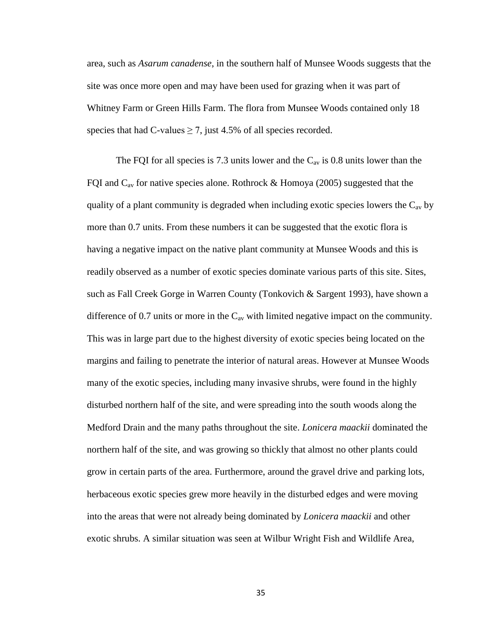area, such as *Asarum canadense*, in the southern half of Munsee Woods suggests that the site was once more open and may have been used for grazing when it was part of Whitney Farm or Green Hills Farm. The flora from Munsee Woods contained only 18 species that had C-values  $\geq$  7, just 4.5% of all species recorded.

The FQI for all species is 7.3 units lower and the  $C_{av}$  is 0.8 units lower than the FQI and  $C_{av}$  for native species alone. Rothrock & Homoya (2005) suggested that the quality of a plant community is degraded when including exotic species lowers the  $C_{av}$  by more than 0.7 units. From these numbers it can be suggested that the exotic flora is having a negative impact on the native plant community at Munsee Woods and this is readily observed as a number of exotic species dominate various parts of this site. Sites, such as Fall Creek Gorge in Warren County (Tonkovich & Sargent 1993), have shown a difference of 0.7 units or more in the  $C_{av}$  with limited negative impact on the community. This was in large part due to the highest diversity of exotic species being located on the margins and failing to penetrate the interior of natural areas. However at Munsee Woods many of the exotic species, including many invasive shrubs, were found in the highly disturbed northern half of the site, and were spreading into the south woods along the Medford Drain and the many paths throughout the site. *Lonicera maackii* dominated the northern half of the site, and was growing so thickly that almost no other plants could grow in certain parts of the area. Furthermore, around the gravel drive and parking lots, herbaceous exotic species grew more heavily in the disturbed edges and were moving into the areas that were not already being dominated by *Lonicera maackii* and other exotic shrubs. A similar situation was seen at Wilbur Wright Fish and Wildlife Area,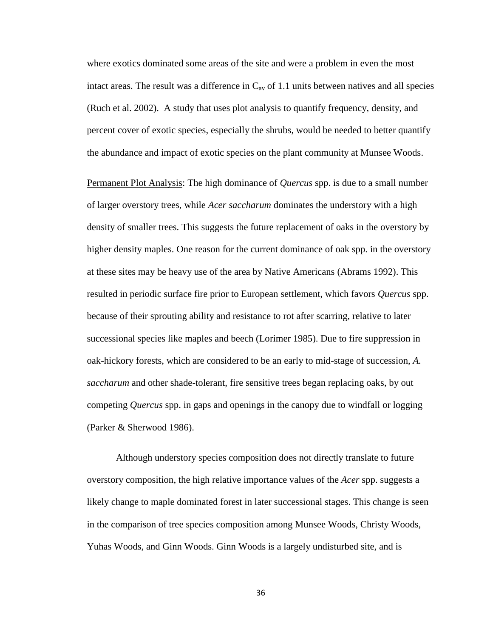where exotics dominated some areas of the site and were a problem in even the most intact areas. The result was a difference in  $C_{av}$  of 1.1 units between natives and all species (Ruch et al. 2002). A study that uses plot analysis to quantify frequency, density, and percent cover of exotic species, especially the shrubs, would be needed to better quantify the abundance and impact of exotic species on the plant community at Munsee Woods.

Permanent Plot Analysis: The high dominance of *Quercus* spp. is due to a small number of larger overstory trees, while *Acer saccharum* dominates the understory with a high density of smaller trees. This suggests the future replacement of oaks in the overstory by higher density maples. One reason for the current dominance of oak spp. in the overstory at these sites may be heavy use of the area by Native Americans (Abrams 1992). This resulted in periodic surface fire prior to European settlement, which favors *Quercus* spp. because of their sprouting ability and resistance to rot after scarring, relative to later successional species like maples and beech (Lorimer 1985). Due to fire suppression in oak-hickory forests, which are considered to be an early to mid-stage of succession, *A. saccharum* and other shade-tolerant, fire sensitive trees began replacing oaks, by out competing *Quercus* spp. in gaps and openings in the canopy due to windfall or logging (Parker & Sherwood 1986).

Although understory species composition does not directly translate to future overstory composition, the high relative importance values of the *Acer* spp. suggests a likely change to maple dominated forest in later successional stages. This change is seen in the comparison of tree species composition among Munsee Woods, Christy Woods, Yuhas Woods, and Ginn Woods. Ginn Woods is a largely undisturbed site, and is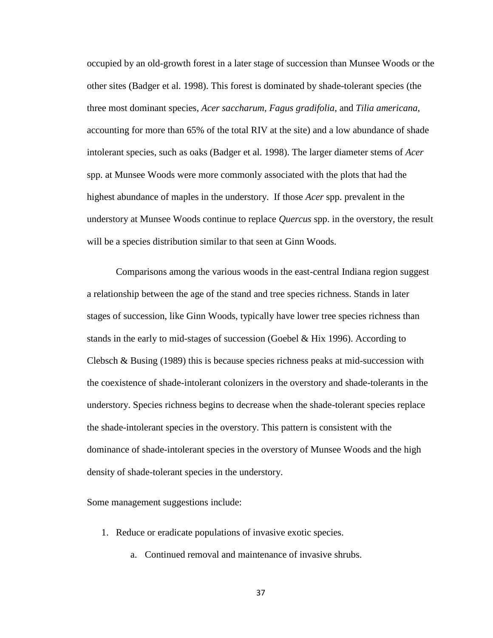occupied by an old-growth forest in a later stage of succession than Munsee Woods or the other sites (Badger et al. 1998). This forest is dominated by shade-tolerant species (the three most dominant species, *Acer saccharum*, *Fagus gradifolia*, and *Tilia americana*, accounting for more than 65% of the total RIV at the site) and a low abundance of shade intolerant species, such as oaks (Badger et al. 1998). The larger diameter stems of *Acer* spp. at Munsee Woods were more commonly associated with the plots that had the highest abundance of maples in the understory. If those *Acer* spp. prevalent in the understory at Munsee Woods continue to replace *Quercus* spp. in the overstory, the result will be a species distribution similar to that seen at Ginn Woods.

Comparisons among the various woods in the east-central Indiana region suggest a relationship between the age of the stand and tree species richness. Stands in later stages of succession, like Ginn Woods, typically have lower tree species richness than stands in the early to mid-stages of succession (Goebel & Hix 1996). According to Clebsch & Busing (1989) this is because species richness peaks at mid-succession with the coexistence of shade-intolerant colonizers in the overstory and shade-tolerants in the understory. Species richness begins to decrease when the shade-tolerant species replace the shade-intolerant species in the overstory. This pattern is consistent with the dominance of shade-intolerant species in the overstory of Munsee Woods and the high density of shade-tolerant species in the understory.

Some management suggestions include:

- 1. Reduce or eradicate populations of invasive exotic species.
	- a. Continued removal and maintenance of invasive shrubs.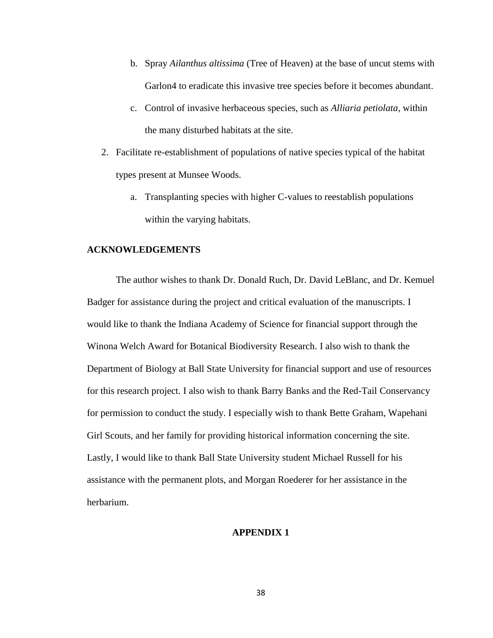- b. Spray *Ailanthus altissima* (Tree of Heaven) at the base of uncut stems with Garlon4 to eradicate this invasive tree species before it becomes abundant.
- c. Control of invasive herbaceous species, such as *Alliaria petiolata*, within the many disturbed habitats at the site.
- 2. Facilitate re-establishment of populations of native species typical of the habitat types present at Munsee Woods.
	- a. Transplanting species with higher C-values to reestablish populations within the varying habitats.

## **ACKNOWLEDGEMENTS**

The author wishes to thank Dr. Donald Ruch, Dr. David LeBlanc, and Dr. Kemuel Badger for assistance during the project and critical evaluation of the manuscripts. I would like to thank the Indiana Academy of Science for financial support through the Winona Welch Award for Botanical Biodiversity Research. I also wish to thank the Department of Biology at Ball State University for financial support and use of resources for this research project. I also wish to thank Barry Banks and the Red-Tail Conservancy for permission to conduct the study. I especially wish to thank Bette Graham, Wapehani Girl Scouts, and her family for providing historical information concerning the site. Lastly, I would like to thank Ball State University student Michael Russell for his assistance with the permanent plots, and Morgan Roederer for her assistance in the herbarium.

## **APPENDIX 1**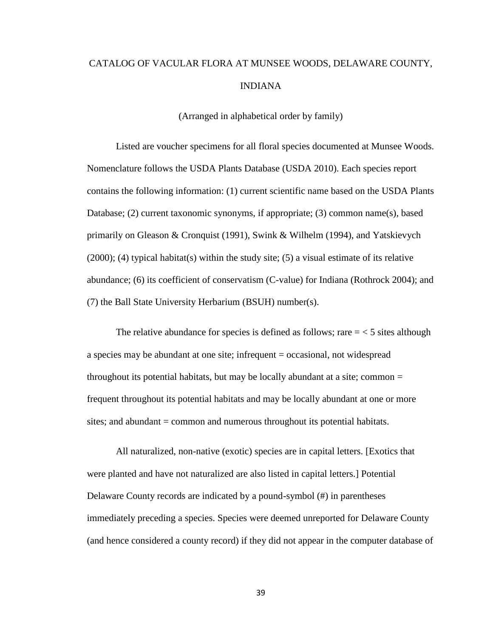# CATALOG OF VACULAR FLORA AT MUNSEE WOODS, DELAWARE COUNTY, INDIANA

(Arranged in alphabetical order by family)

Listed are voucher specimens for all floral species documented at Munsee Woods. Nomenclature follows the USDA Plants Database (USDA 2010). Each species report contains the following information: (1) current scientific name based on the USDA Plants Database; (2) current taxonomic synonyms, if appropriate; (3) common name(s), based primarily on Gleason & Cronquist (1991), Swink & Wilhelm (1994), and Yatskievych  $(2000)$ ; (4) typical habitat(s) within the study site; (5) a visual estimate of its relative abundance; (6) its coefficient of conservatism (C-value) for Indiana (Rothrock 2004); and (7) the Ball State University Herbarium (BSUH) number(s).

The relative abundance for species is defined as follows; rare  $\epsilon$  =  $\epsilon$  5 sites although a species may be abundant at one site; infrequent = occasional, not widespread throughout its potential habitats, but may be locally abundant at a site; common = frequent throughout its potential habitats and may be locally abundant at one or more sites; and abundant = common and numerous throughout its potential habitats.

All naturalized, non-native (exotic) species are in capital letters. [Exotics that were planted and have not naturalized are also listed in capital letters.] Potential Delaware County records are indicated by a pound-symbol (#) in parentheses immediately preceding a species. Species were deemed unreported for Delaware County (and hence considered a county record) if they did not appear in the computer database of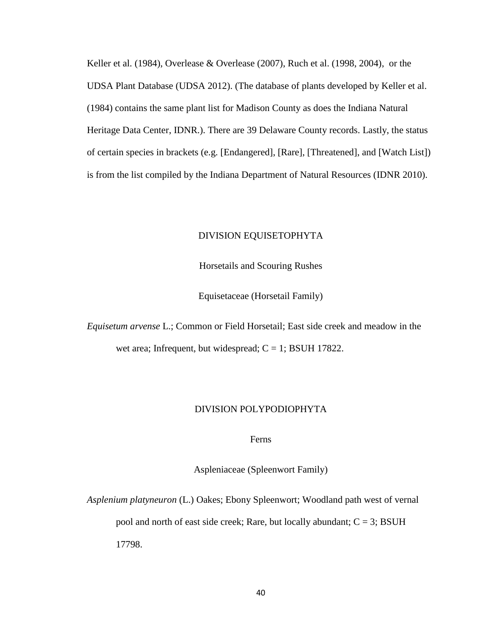Keller et al. (1984), Overlease & Overlease (2007), Ruch et al. (1998, 2004), or the UDSA Plant Database (UDSA 2012). (The database of plants developed by Keller et al. (1984) contains the same plant list for Madison County as does the Indiana Natural Heritage Data Center, IDNR.). There are 39 Delaware County records. Lastly, the status of certain species in brackets (e.g. [Endangered], [Rare], [Threatened], and [Watch List]) is from the list compiled by the Indiana Department of Natural Resources (IDNR 2010).

## DIVISION EQUISETOPHYTA

Horsetails and Scouring Rushes

Equisetaceae (Horsetail Family)

*Equisetum arvense* L.; Common or Field Horsetail; East side creek and meadow in the wet area; Infrequent, but widespread;  $C = 1$ ; BSUH 17822.

#### DIVISION POLYPODIOPHYTA

Ferns

Aspleniaceae (Spleenwort Family)

*Asplenium platyneuron* (L.) Oakes; Ebony Spleenwort; Woodland path west of vernal pool and north of east side creek; Rare, but locally abundant;  $C = 3$ ; BSUH 17798.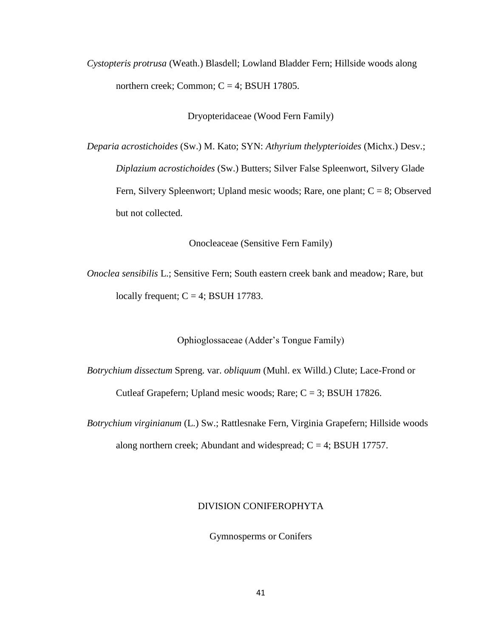*Cystopteris protrusa* (Weath.) Blasdell; Lowland Bladder Fern; Hillside woods along northern creek; Common;  $C = 4$ ; BSUH 17805.

[Dryopteridaceae](http://plants.usda.gov/java/ClassificationServlet?source=profile&symbol=Dryopteridaceae&display=63) (Wood Fern Family)

*Deparia acrostichoides* (Sw.) M. Kato; SYN: *Athyrium thelypterioides* (Michx.) Desv.; *Diplazium acrostichoides* (Sw.) Butters; Silver False Spleenwort, Silvery Glade Fern, Silvery Spleenwort; Upland mesic woods; Rare, one plant;  $C = 8$ ; Observed but not collected.

Onocleaceae (Sensitive Fern Family)

*Onoclea sensibilis* L.; Sensitive Fern; South eastern creek bank and meadow; Rare, but locally frequent;  $C = 4$ ; BSUH 17783.

Ophioglossaceae (Adder's Tongue Family)

*Botrychium dissectum* Spreng. var. *obliquum* (Muhl. ex Willd.) Clute; Lace-Frond or Cutleaf Grapefern; Upland mesic woods; Rare;  $C = 3$ ; BSUH 17826.

*Botrychium virginianum* (L.) Sw.; Rattlesnake Fern, Virginia Grapefern; Hillside woods along northern creek; Abundant and widespread;  $C = 4$ ; BSUH 17757.

# DIVISION CONIFEROPHYTA

Gymnosperms or Conifers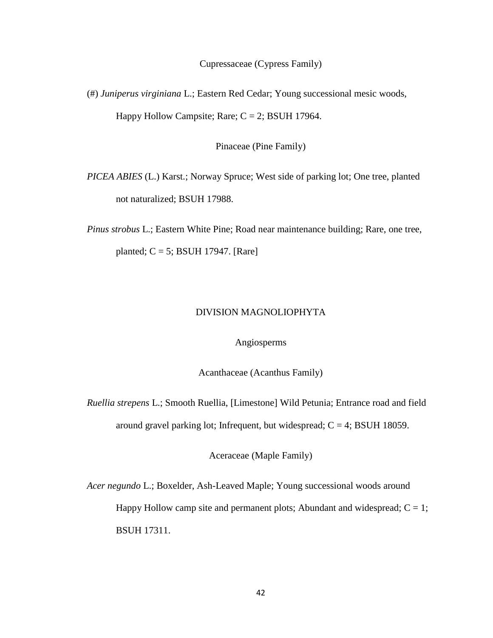#### Cupressaceae (Cypress Family)

(#) *Juniperus virginiana* L.; Eastern Red Cedar; Young successional mesic woods, Happy Hollow Campsite; Rare;  $C = 2$ ; BSUH 17964.

Pinaceae (Pine Family)

*PICEA ABIES* (L.) Karst.; Norway Spruce; West side of parking lot; One tree, planted not naturalized; BSUH 17988.

*Pinus strobus* L.; Eastern White Pine; Road near maintenance building; Rare, one tree, planted;  $C = 5$ ; BSUH 17947. [Rare]

# DIVISION MAGNOLIOPHYTA

#### Angiosperms

Acanthaceae (Acanthus Family)

*Ruellia strepens* L.; Smooth Ruellia, [Limestone] Wild Petunia; Entrance road and field around gravel parking lot; Infrequent, but widespread;  $C = 4$ ; BSUH 18059.

Aceraceae (Maple Family)

*Acer negundo* L.; Boxelder, Ash-Leaved Maple; Young successional woods around Happy Hollow camp site and permanent plots; Abundant and widespread;  $C = 1$ ; BSUH 17311.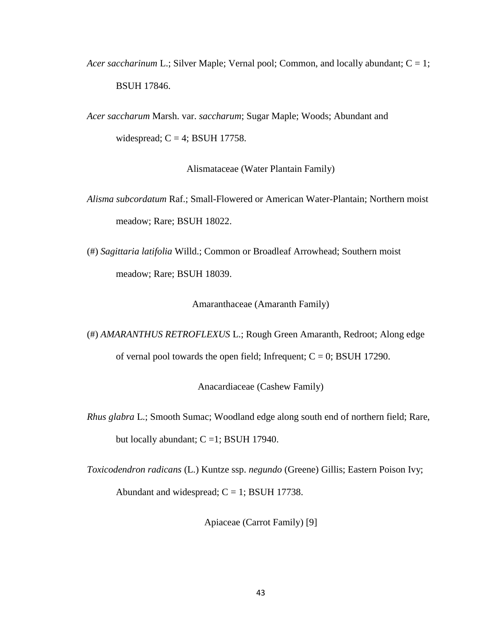*Acer saccharinum* L.; Silver Maple; Vernal pool; Common, and locally abundant; C = 1; BSUH 17846.

*Acer saccharum* Marsh. var. *saccharum*; Sugar Maple; Woods; Abundant and widespread;  $C = 4$ ; BSUH 17758.

Alismataceae (Water Plantain Family)

*Alisma subcordatum* Raf.; Small-Flowered or American Water-Plantain; Northern moist meadow; Rare; BSUH 18022.

(#) *Sagittaria latifolia* Willd.; Common or Broadleaf Arrowhead; Southern moist meadow; Rare; BSUH 18039.

Amaranthaceae (Amaranth Family)

(#) *AMARANTHUS RETROFLEXUS* L.; Rough Green Amaranth, Redroot; Along edge of vernal pool towards the open field; Infrequent;  $C = 0$ ; BSUH 17290.

Anacardiaceae (Cashew Family)

*Rhus glabra* L.; Smooth Sumac; Woodland edge along south end of northern field; Rare, but locally abundant;  $C = 1$ ; BSUH 17940.

*Toxicodendron radicans* (L.) Kuntze ssp. *negundo* (Greene) Gillis; Eastern Poison Ivy; Abundant and widespread;  $C = 1$ ; BSUH 17738.

Apiaceae (Carrot Family) [9]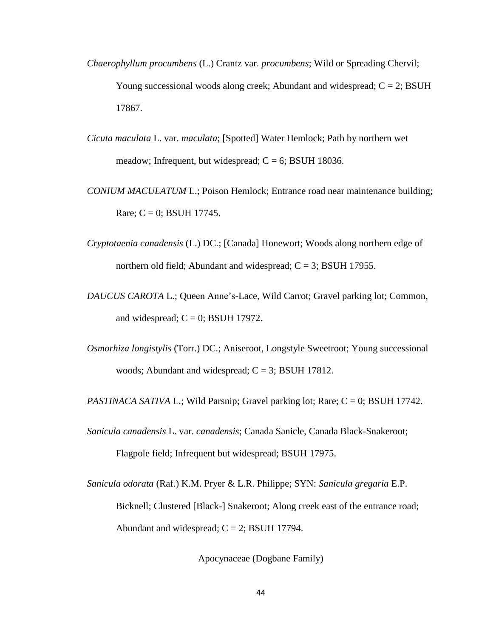- *Chaerophyllum procumbens* (L.) Crantz var. *procumbens*; Wild or Spreading Chervil; Young successional woods along creek; Abundant and widespread;  $C = 2$ ; BSUH 17867.
- *Cicuta maculata* L. var. *maculata*; [Spotted] Water Hemlock; Path by northern wet meadow; Infrequent, but widespread;  $C = 6$ ; BSUH 18036.
- *CONIUM MACULATUM* L.; Poison Hemlock; Entrance road near maintenance building; Rare;  $C = 0$ ; BSUH 17745.
- *Cryptotaenia canadensis* (L.) DC.; [Canada] Honewort; Woods along northern edge of northern old field; Abundant and widespread; C = 3; BSUH 17955.
- *DAUCUS CAROTA* L.; Queen Anne's-Lace, Wild Carrot; Gravel parking lot; Common, and widespread;  $C = 0$ ; BSUH 17972.
- *Osmorhiza longistylis* (Torr.) DC.; Aniseroot, Longstyle Sweetroot; Young successional woods; Abundant and widespread;  $C = 3$ ; BSUH 17812.

*PASTINACA SATIVA L.*; Wild Parsnip; Gravel parking lot; Rare; C = 0; BSUH 17742.

- *Sanicula canadensis* L. var. *canadensis*; Canada Sanicle, Canada Black-Snakeroot; Flagpole field; Infrequent but widespread; BSUH 17975.
- *Sanicula odorata* (Raf.) K.M. Pryer & L.R. Philippe; SYN: *Sanicula gregaria* E.P. Bicknell; Clustered [Black-] Snakeroot; Along creek east of the entrance road; Abundant and widespread;  $C = 2$ ; BSUH 17794.

Apocynaceae (Dogbane Family)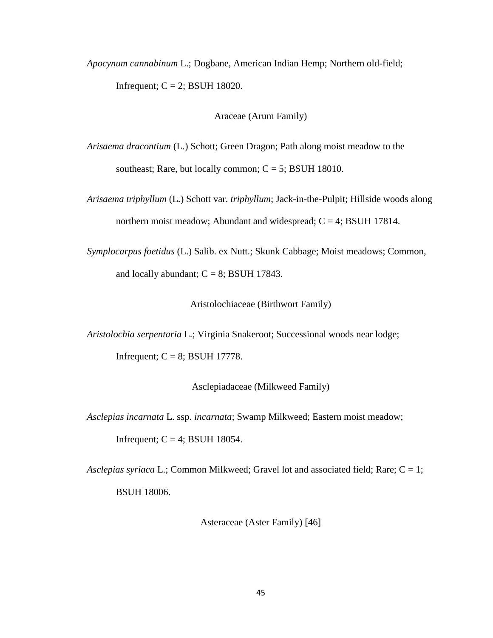*Apocynum cannabinum* L.; Dogbane, American Indian Hemp; Northern old-field; Infrequent;  $C = 2$ ; BSUH 18020.

Araceae (Arum Family)

*Arisaema dracontium* (L.) Schott; Green Dragon; Path along moist meadow to the southeast; Rare, but locally common;  $C = 5$ ; BSUH 18010.

- *Arisaema triphyllum* (L.) Schott var. *triphyllum*; Jack-in-the-Pulpit; Hillside woods along northern moist meadow; Abundant and widespread;  $C = 4$ ; BSUH 17814.
- *Symplocarpus foetidus* (L.) Salib. ex Nutt.; Skunk Cabbage; Moist meadows; Common, and locally abundant;  $C = 8$ ; BSUH 17843.

Aristolochiaceae (Birthwort Family)

*Aristolochia serpentaria* L.; Virginia Snakeroot; Successional woods near lodge; Infrequent;  $C = 8$ ; BSUH 17778.

Asclepiadaceae (Milkweed Family)

*Asclepias incarnata* L. ssp. *incarnata*; Swamp Milkweed; Eastern moist meadow; Infrequent;  $C = 4$ ; BSUH 18054.

*Asclepias syriaca* L.; Common Milkweed; Gravel lot and associated field; Rare; C = 1; BSUH 18006.

Asteraceae (Aster Family) [46]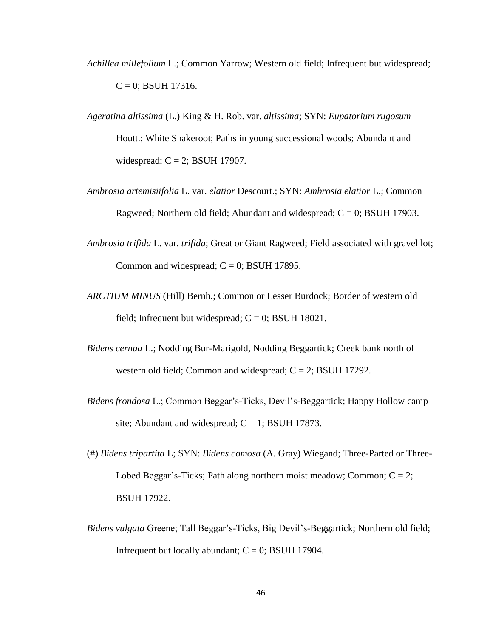- *Achillea millefolium* L.; Common Yarrow; Western old field; Infrequent but widespread;  $C = 0$ ; BSUH 17316.
- *Ageratina altissima* (L.) King & H. Rob. var. *altissima*; SYN: *Eupatorium rugosum* Houtt.; White Snakeroot; Paths in young successional woods; Abundant and widespread;  $C = 2$ ; BSUH 17907.
- *Ambrosia artemisiifolia* L. var. *elatior* Descourt.; SYN: *Ambrosia elatior* L.; Common Ragweed; Northern old field; Abundant and widespread;  $C = 0$ ; BSUH 17903.
- *Ambrosia trifida* L. var. *trifida*; Great or Giant Ragweed; Field associated with gravel lot; Common and widespread;  $C = 0$ ; BSUH 17895.
- *ARCTIUM MINUS* (Hill) Bernh.; Common or Lesser Burdock; Border of western old field; Infrequent but widespread;  $C = 0$ ; BSUH 18021.
- *Bidens cernua* L.; Nodding Bur-Marigold, Nodding Beggartick; Creek bank north of western old field; Common and widespread;  $C = 2$ ; BSUH 17292.
- *Bidens frondosa* L.; Common Beggar's-Ticks, Devil's-Beggartick; Happy Hollow camp site; Abundant and widespread;  $C = 1$ ; BSUH 17873.
- (#) *Bidens tripartita* L; SYN: *Bidens comosa* (A. Gray) Wiegand; Three-Parted or Three-Lobed Beggar's-Ticks; Path along northern moist meadow; Common;  $C = 2$ ; BSUH 17922.
- *Bidens vulgata* Greene; Tall Beggar's-Ticks, Big Devil's-Beggartick; Northern old field; Infrequent but locally abundant;  $C = 0$ ; BSUH 17904.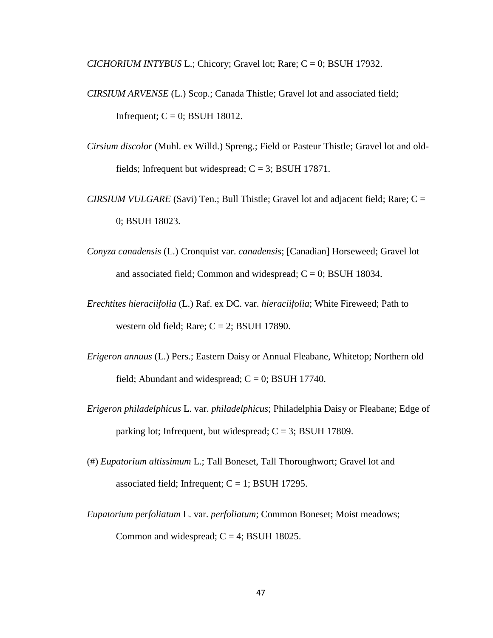*CICHORIUM INTYBUS* L.; Chicory; Gravel lot; Rare;  $C = 0$ ; BSUH 17932.

- *CIRSIUM ARVENSE* (L.) Scop.; Canada Thistle; Gravel lot and associated field; Infrequent;  $C = 0$ ; BSUH 18012.
- *Cirsium discolor* (Muhl. ex Willd.) Spreng.; Field or Pasteur Thistle; Gravel lot and oldfields; Infrequent but widespread;  $C = 3$ ; BSUH 17871.
- *CIRSIUM VULGARE* (Savi) Ten.; Bull Thistle; Gravel lot and adjacent field; Rare; C = 0; BSUH 18023.
- *Conyza canadensis* (L.) Cronquist var. *canadensis*; [Canadian] Horseweed; Gravel lot and associated field; Common and widespread;  $C = 0$ ; BSUH 18034.
- *Erechtites hieraciifolia* (L.) Raf. ex DC. var. *hieraciifolia*; White Fireweed; Path to western old field; Rare;  $C = 2$ ; BSUH 17890.
- *Erigeron annuus* (L.) Pers.; Eastern Daisy or Annual Fleabane, Whitetop; Northern old field; Abundant and widespread;  $C = 0$ ; BSUH 17740.
- *Erigeron philadelphicus* L. var. *philadelphicus*; Philadelphia Daisy or Fleabane; Edge of parking lot; Infrequent, but widespread;  $C = 3$ ; BSUH 17809.
- (#) *Eupatorium altissimum* L.; Tall Boneset, Tall Thoroughwort; Gravel lot and associated field; Infrequent;  $C = 1$ ; BSUH 17295.
- *Eupatorium perfoliatum* L. var. *perfoliatum*; Common Boneset; Moist meadows; Common and widespread;  $C = 4$ ; BSUH 18025.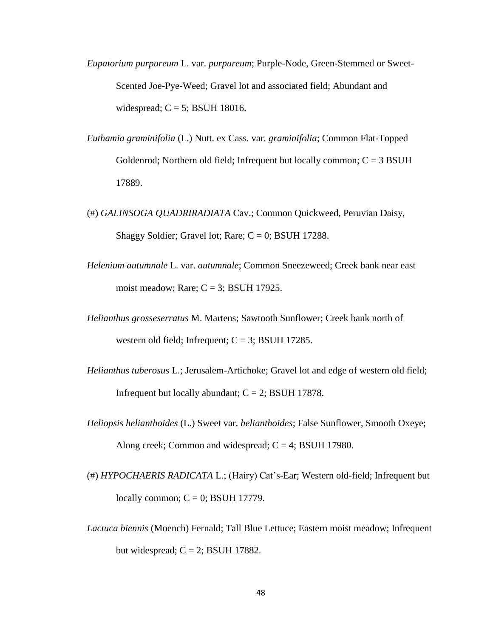- *Eupatorium purpureum* L. var. *purpureum*; Purple-Node, Green-Stemmed or Sweet-Scented Joe-Pye-Weed; Gravel lot and associated field; Abundant and widespread;  $C = 5$ ; BSUH 18016.
- *Euthamia graminifolia* (L.) Nutt. ex Cass. var. *graminifolia*; Common Flat-Topped Goldenrod; Northern old field; Infrequent but locally common;  $C = 3$  BSUH 17889.
- (#) *GALINSOGA QUADRIRADIATA* Cav.; Common Quickweed, Peruvian Daisy, Shaggy Soldier; Gravel lot; Rare;  $C = 0$ ; BSUH 17288.
- *Helenium autumnale* L. var. *autumnale*; Common Sneezeweed; Creek bank near east moist meadow; Rare;  $C = 3$ ; BSUH 17925.
- *Helianthus grosseserratus* M. Martens; Sawtooth Sunflower; Creek bank north of western old field; Infrequent;  $C = 3$ ; BSUH 17285.
- *Helianthus tuberosus* L.; Jerusalem-Artichoke; Gravel lot and edge of western old field; Infrequent but locally abundant;  $C = 2$ ; BSUH 17878.
- *Heliopsis helianthoides* (L.) Sweet var. *helianthoides*; False Sunflower, Smooth Oxeye; Along creek; Common and widespread;  $C = 4$ ; BSUH 17980.
- (#) *HYPOCHAERIS RADICATA* L.; (Hairy) Cat's-Ear; Western old-field; Infrequent but locally common;  $C = 0$ ; BSUH 17779.
- *Lactuca biennis* (Moench) Fernald; Tall Blue Lettuce; Eastern moist meadow; Infrequent but widespread;  $C = 2$ ; BSUH 17882.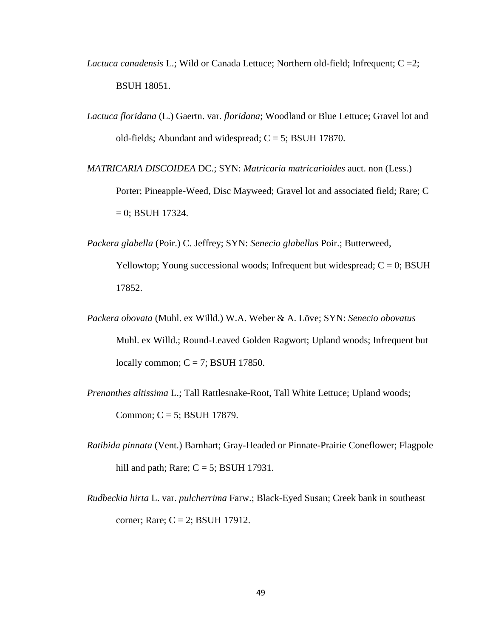- *Lactuca canadensis* L.; Wild or Canada Lettuce; Northern old-field; Infrequent; C = 2; BSUH 18051.
- *Lactuca floridana* (L.) Gaertn. var. *floridana*; Woodland or Blue Lettuce; Gravel lot and old-fields; Abundant and widespread;  $C = 5$ ; BSUH 17870.

*MATRICARIA DISCOIDEA* DC.; SYN: *Matricaria matricarioides* auct. non (Less.) Porter; Pineapple-Weed, Disc Mayweed; Gravel lot and associated field; Rare; C  $= 0$ ; BSUH 17324.

*Packera glabella* (Poir.) C. Jeffrey; SYN: *Senecio glabellus* Poir.; Butterweed, Yellowtop; Young successional woods; Infrequent but widespread;  $C = 0$ ; BSUH 17852.

- *Packera obovata* (Muhl. ex Willd.) W.A. Weber & A. Löve; SYN: *Senecio obovatus* Muhl. ex Willd.; Round-Leaved Golden Ragwort; Upland woods; Infrequent but locally common;  $C = 7$ ; BSUH 17850.
- *Prenanthes altissima* L.; Tall Rattlesnake-Root, Tall White Lettuce; Upland woods; Common;  $C = 5$ ; BSUH 17879.
- *Ratibida pinnata* (Vent.) Barnhart; Gray-Headed or Pinnate-Prairie Coneflower; Flagpole hill and path; Rare;  $C = 5$ ; BSUH 17931.
- *Rudbeckia hirta* L. var. *pulcherrima* Farw.; Black-Eyed Susan; Creek bank in southeast corner; Rare;  $C = 2$ ; BSUH 17912.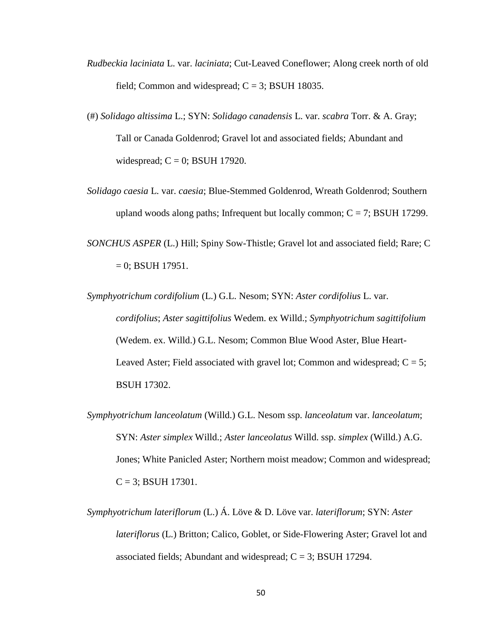- *Rudbeckia laciniata* L. var. *laciniata*; Cut-Leaved Coneflower; Along creek north of old field; Common and widespread;  $C = 3$ ; BSUH 18035.
- (#) *Solidago altissima* L.; SYN: *Solidago canadensis* L. var. *scabra* Torr. & A. Gray; Tall or Canada Goldenrod; Gravel lot and associated fields; Abundant and widespread;  $C = 0$ ; BSUH 17920.
- *Solidago caesia* L. var. *caesia*; Blue-Stemmed Goldenrod, Wreath Goldenrod; Southern upland woods along paths; Infrequent but locally common;  $C = 7$ ; BSUH 17299.

*SONCHUS ASPER* (L.) Hill; Spiny Sow-Thistle; Gravel lot and associated field; Rare; C  $= 0$ ; BSUH 17951.

- *Symphyotrichum cordifolium* (L.) G.L. Nesom; SYN: *Aster cordifolius* L. var. *cordifolius*; *Aster sagittifolius* Wedem. ex Willd.; *Symphyotrichum sagittifolium* (Wedem. ex. Willd.) G.L. Nesom; Common Blue Wood Aster, Blue Heart-Leaved Aster; Field associated with gravel lot; Common and widespread;  $C = 5$ ; BSUH 17302.
- *Symphyotrichum lanceolatum* (Willd.) G.L. Nesom ssp. *lanceolatum* var. *lanceolatum*; SYN: *Aster simplex* Willd.; *Aster lanceolatus* Willd. ssp. *simplex* (Willd.) A.G. Jones; White Panicled Aster; Northern moist meadow; Common and widespread;  $C = 3$ ; BSUH 17301.
- *Symphyotrichum lateriflorum* (L.) Á. Löve & D. Löve var. *lateriflorum*; SYN: *Aster lateriflorus* (L.) Britton; Calico, Goblet, or Side-Flowering Aster; Gravel lot and associated fields; Abundant and widespread;  $C = 3$ ; BSUH 17294.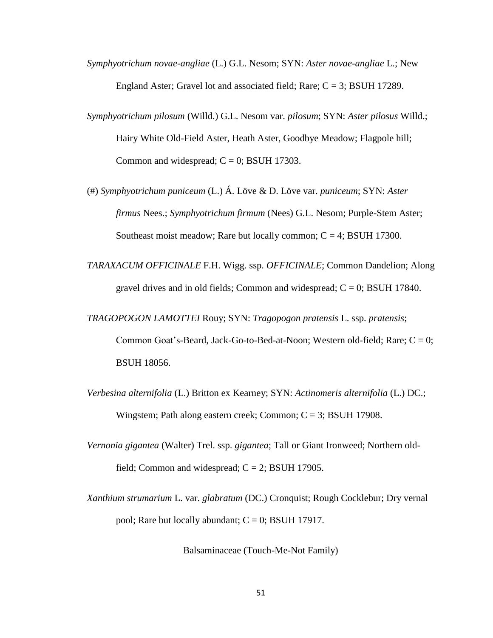- *Symphyotrichum novae-angliae* (L.) G.L. Nesom; SYN: *Aster novae-angliae* L.; New England Aster; Gravel lot and associated field; Rare;  $C = 3$ ; BSUH 17289.
- *Symphyotrichum pilosum* (Willd.) G.L. Nesom var. *pilosum*; SYN: *Aster pilosus* Willd.; Hairy White Old-Field Aster, Heath Aster, Goodbye Meadow; Flagpole hill; Common and widespread;  $C = 0$ ; BSUH 17303.
- (#) *Symphyotrichum puniceum* (L.) Á. Löve & D. Löve var. *puniceum*; SYN: *Aster firmus* Nees.; *Symphyotrichum firmum* (Nees) G.L. Nesom; Purple-Stem Aster; Southeast moist meadow; Rare but locally common;  $C = 4$ ; BSUH 17300.
- *TARAXACUM OFFICINALE* F.H. Wigg. ssp. *OFFICINALE*; Common Dandelion; Along gravel drives and in old fields; Common and widespread;  $C = 0$ ; BSUH 17840.
- *TRAGOPOGON LAMOTTEI* Rouy; SYN: *Tragopogon pratensis* L. ssp. *pratensis*; Common Goat's-Beard, Jack-Go-to-Bed-at-Noon; Western old-field; Rare; C = 0; BSUH 18056.
- *Verbesina alternifolia* (L.) Britton ex Kearney; SYN: *Actinomeris alternifolia* (L.) DC.; Wingstem; Path along eastern creek; Common;  $C = 3$ ; BSUH 17908.
- *Vernonia gigantea* (Walter) Trel. ssp. *gigantea*; Tall or Giant Ironweed; Northern oldfield; Common and widespread;  $C = 2$ ; BSUH 17905.
- *Xanthium strumarium* L. var. *glabratum* (DC.) Cronquist; Rough Cocklebur; Dry vernal pool; Rare but locally abundant;  $C = 0$ ; BSUH 17917.

Balsaminaceae (Touch-Me-Not Family)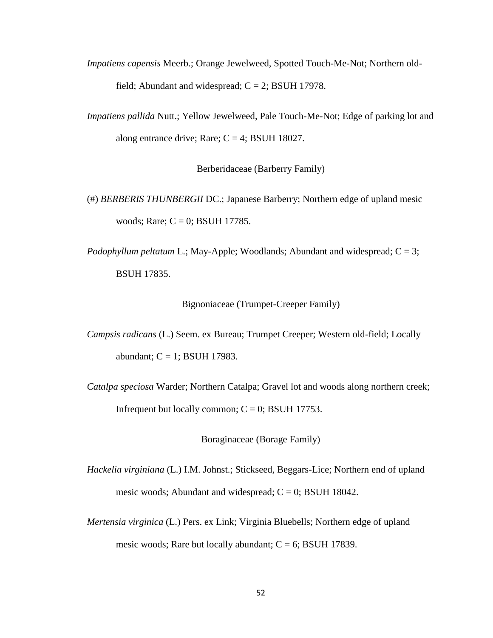- *Impatiens capensis* Meerb.; Orange Jewelweed, Spotted Touch-Me-Not; Northern oldfield; Abundant and widespread;  $C = 2$ ; BSUH 17978.
- *Impatiens pallida* Nutt.; Yellow Jewelweed, Pale Touch-Me-Not; Edge of parking lot and along entrance drive; Rare;  $C = 4$ ; BSUH 18027.

Berberidaceae (Barberry Family)

- (#) *BERBERIS THUNBERGII* DC.; Japanese Barberry; Northern edge of upland mesic woods; Rare;  $C = 0$ ; BSUH 17785.
- *Podophyllum peltatum* L.; May-Apple; Woodlands; Abundant and widespread;  $C = 3$ ; BSUH 17835.

Bignoniaceae (Trumpet-Creeper Family)

- *Campsis radicans* (L.) Seem. ex Bureau; Trumpet Creeper; Western old-field; Locally abundant;  $C = 1$ ; BSUH 17983.
- *Catalpa speciosa* Warder; Northern Catalpa; Gravel lot and woods along northern creek; Infrequent but locally common;  $C = 0$ ; BSUH 17753.

Boraginaceae (Borage Family)

- *Hackelia virginiana* (L.) I.M. Johnst.; Stickseed, Beggars-Lice; Northern end of upland mesic woods; Abundant and widespread;  $C = 0$ ; BSUH 18042.
- *Mertensia virginica* (L.) Pers. ex Link; Virginia Bluebells; Northern edge of upland mesic woods; Rare but locally abundant;  $C = 6$ ; BSUH 17839.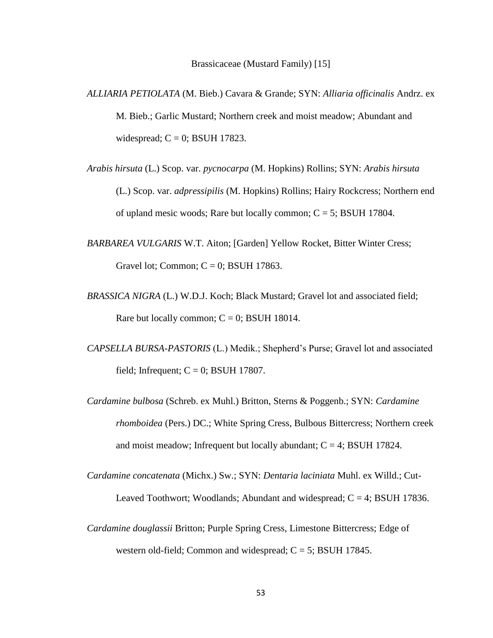- *ALLIARIA PETIOLATA* (M. Bieb.) Cavara & Grande; SYN: *Alliaria officinalis* Andrz. ex M. Bieb.; Garlic Mustard; Northern creek and moist meadow; Abundant and widespread;  $C = 0$ ; BSUH 17823.
- *Arabis hirsuta* (L.) Scop. var. *pycnocarpa* (M. Hopkins) Rollins; SYN: *Arabis hirsuta* (L.) Scop. var. *adpressipilis* (M. Hopkins) Rollins; Hairy Rockcress; Northern end of upland mesic woods; Rare but locally common;  $C = 5$ ; BSUH 17804.
- *BARBAREA VULGARIS* W.T. Aiton; [Garden] Yellow Rocket, Bitter Winter Cress; Gravel lot; Common;  $C = 0$ ; BSUH 17863.
- *BRASSICA NIGRA* (L.) W.D.J. Koch; Black Mustard; Gravel lot and associated field; Rare but locally common;  $C = 0$ ; BSUH 18014.
- *CAPSELLA BURSA-PASTORIS* (L.) Medik.; Shepherd's Purse; Gravel lot and associated field; Infrequent;  $C = 0$ ; BSUH 17807.
- *Cardamine bulbosa* (Schreb. ex Muhl.) Britton, Sterns & Poggenb.; SYN: *Cardamine rhomboidea* (Pers.) DC.; White Spring Cress, Bulbous Bittercress; Northern creek and moist meadow; Infrequent but locally abundant;  $C = 4$ ; BSUH 17824.
- *Cardamine concatenata* (Michx.) Sw.; SYN: *Dentaria laciniata* Muhl. ex Willd.; Cut-Leaved Toothwort; Woodlands; Abundant and widespread;  $C = 4$ ; BSUH 17836.
- *Cardamine douglassii* Britton; Purple Spring Cress, Limestone Bittercress; Edge of western old-field; Common and widespread;  $C = 5$ ; BSUH 17845.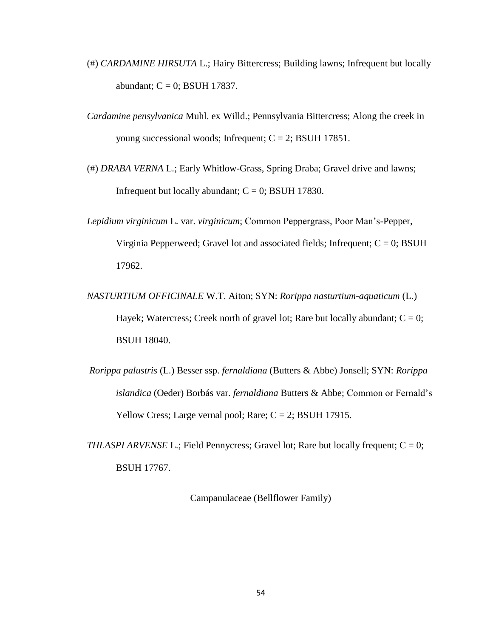- (#) *CARDAMINE HIRSUTA* L.; Hairy Bittercress; Building lawns; Infrequent but locally abundant;  $C = 0$ ; BSUH 17837.
- *Cardamine pensylvanica* Muhl. ex Willd.; Pennsylvania Bittercress; Along the creek in young successional woods; Infrequent;  $C = 2$ ; BSUH 17851.
- (#) *DRABA VERNA* L.; Early Whitlow-Grass, Spring Draba; Gravel drive and lawns; Infrequent but locally abundant;  $C = 0$ ; BSUH 17830.
- *Lepidium virginicum* L. var. *virginicum*; Common Peppergrass, Poor Man's-Pepper, Virginia Pepperweed; Gravel lot and associated fields; Infrequent;  $C = 0$ ; BSUH 17962.
- *NASTURTIUM OFFICINALE* W.T. Aiton; SYN: *Rorippa nasturtium-aquaticum* (L.) Hayek; Watercress; Creek north of gravel lot; Rare but locally abundant;  $C = 0$ ; BSUH 18040.
- *Rorippa palustris* (L.) Besser ssp. *fernaldiana* (Butters & Abbe) Jonsell; SYN: *Rorippa islandica* (Oeder) Borbás var. *fernaldiana* Butters & Abbe; Common or Fernald's Yellow Cress; Large vernal pool; Rare;  $C = 2$ ; BSUH 17915.
- *THLASPI ARVENSE* L.; Field Pennycress; Gravel lot; Rare but locally frequent;  $C = 0$ ; BSUH 17767.

Campanulaceae (Bellflower Family)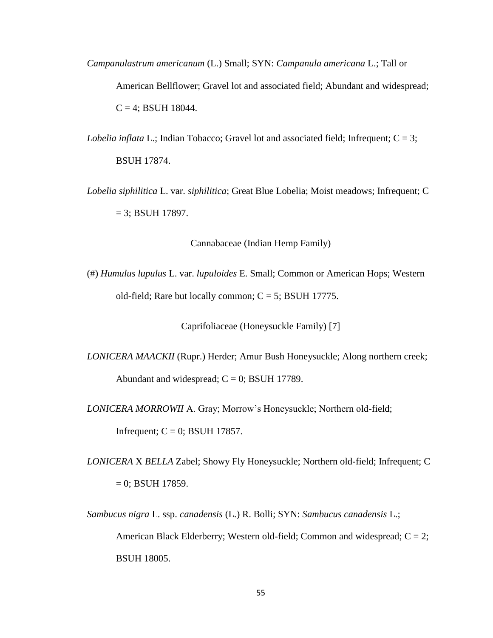*Campanulastrum americanum* (L.) Small; SYN: *Campanula americana* L.; Tall or American Bellflower; Gravel lot and associated field; Abundant and widespread;  $C = 4$ ; BSUH 18044.

*Lobelia inflata* L.; Indian Tobacco; Gravel lot and associated field; Infrequent;  $C = 3$ ; BSUH 17874.

*Lobelia siphilitica* L. var. *siphilitica*; Great Blue Lobelia; Moist meadows; Infrequent; C  $= 3$ ; BSUH 17897.

Cannabaceae (Indian Hemp Family)

(#) *Humulus lupulus* L. var. *lupuloides* E. Small; Common or American Hops; Western old-field; Rare but locally common;  $C = 5$ ; BSUH 17775.

Caprifoliaceae (Honeysuckle Family) [7]

*LONICERA MAACKII* (Rupr.) Herder; Amur Bush Honeysuckle; Along northern creek; Abundant and widespread;  $C = 0$ ; BSUH 17789.

*LONICERA MORROWII* A. Gray; Morrow's Honeysuckle; Northern old-field; Infrequent;  $C = 0$ ; BSUH 17857.

*LONICERA* X *BELLA* Zabel; Showy Fly Honeysuckle; Northern old-field; Infrequent; C  $= 0$ ; BSUH 17859.

*Sambucus nigra* L. ssp. *canadensis* (L.) R. Bolli; SYN: *Sambucus canadensis* L.; American Black Elderberry; Western old-field; Common and widespread;  $C = 2$ ; BSUH 18005.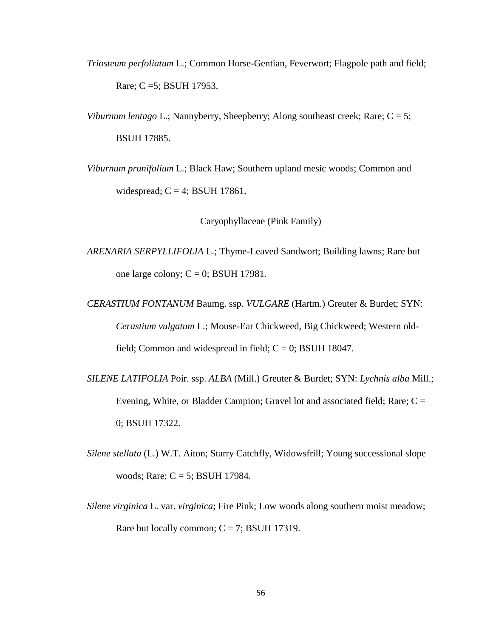- *Triosteum perfoliatum* L.; Common Horse-Gentian, Feverwort; Flagpole path and field; Rare; C =5; BSUH 17953.
- *Viburnum lentago* L.; Nannyberry, Sheepberry; Along southeast creek; Rare; C = 5; BSUH 17885.
- *Viburnum prunifolium* L.; Black Haw; Southern upland mesic woods; Common and widespread;  $C = 4$ ; BSUH 17861.

Caryophyllaceae (Pink Family)

- *ARENARIA SERPYLLIFOLIA* L.; Thyme-Leaved Sandwort; Building lawns; Rare but one large colony;  $C = 0$ ; BSUH 17981.
- *CERASTIUM FONTANUM* Baumg. ssp. *VULGARE* (Hartm.) Greuter & Burdet; SYN: *Cerastium vulgatum* L.; Mouse-Ear Chickweed, Big Chickweed; Western oldfield; Common and widespread in field;  $C = 0$ ; BSUH 18047.
- *SILENE LATIFOLIA* Poir. ssp. *ALBA* (Mill.) Greuter & Burdet; SYN: *Lychnis alba* Mill.; Evening, White, or Bladder Campion; Gravel lot and associated field; Rare; C = 0; BSUH 17322.
- *Silene stellata* (L.) W.T. Aiton; Starry Catchfly, Widowsfrill; Young successional slope woods; Rare; C = 5; BSUH 17984.
- *Silene virginica* L. var. *virginica*; Fire Pink; Low woods along southern moist meadow; Rare but locally common;  $C = 7$ ; BSUH 17319.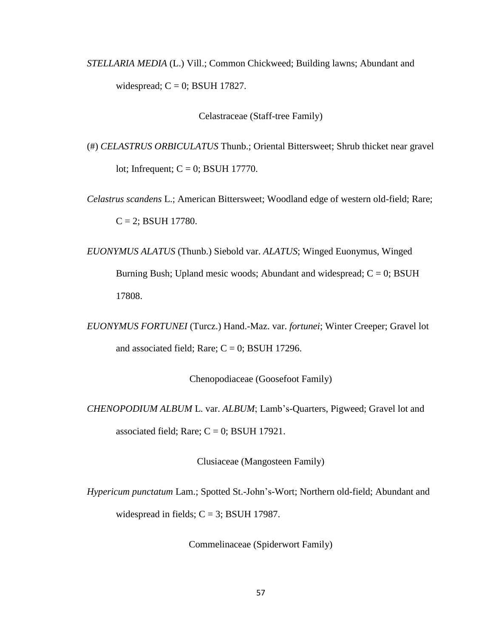*STELLARIA MEDIA* (L.) Vill.; Common Chickweed; Building lawns; Abundant and widespread;  $C = 0$ ; BSUH 17827.

Celastraceae (Staff-tree Family)

(#) *CELASTRUS ORBICULATUS* Thunb.; Oriental Bittersweet; Shrub thicket near gravel lot; Infrequent;  $C = 0$ ; BSUH 17770.

*Celastrus scandens* L.; American Bittersweet; Woodland edge of western old-field; Rare;  $C = 2$ ; BSUH 17780.

*EUONYMUS ALATUS* (Thunb.) Siebold var. *ALATUS*; Winged Euonymus, Winged Burning Bush; Upland mesic woods; Abundant and widespread;  $C = 0$ ; BSUH 17808.

*EUONYMUS FORTUNEI* (Turcz.) Hand.-Maz. var. *fortunei*; Winter Creeper; Gravel lot and associated field; Rare;  $C = 0$ ; BSUH 17296.

Chenopodiaceae (Goosefoot Family)

*CHENOPODIUM ALBUM* L. var. *ALBUM*; Lamb's-Quarters, Pigweed; Gravel lot and associated field; Rare;  $C = 0$ ; BSUH 17921.

Clusiaceae (Mangosteen Family)

*Hypericum punctatum* Lam.; Spotted St.-John's-Wort; Northern old-field; Abundant and widespread in fields;  $C = 3$ ; BSUH 17987.

Commelinaceae (Spiderwort Family)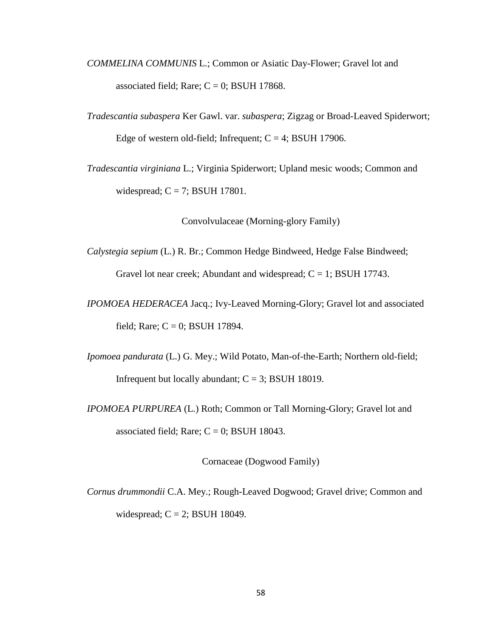- *COMMELINA COMMUNIS* L.; Common or Asiatic Day-Flower; Gravel lot and associated field; Rare;  $C = 0$ ; BSUH 17868.
- *Tradescantia subaspera* Ker Gawl. var. *subaspera*; Zigzag or Broad-Leaved Spiderwort; Edge of western old-field; Infrequent;  $C = 4$ ; BSUH 17906.
- *Tradescantia virginiana* L.; Virginia Spiderwort; Upland mesic woods; Common and widespread;  $C = 7$ ; BSUH 17801.

Convolvulaceae (Morning-glory Family)

- *Calystegia sepium* (L.) R. Br.; Common Hedge Bindweed, Hedge False Bindweed; Gravel lot near creek; Abundant and widespread;  $C = 1$ ; BSUH 17743.
- *IPOMOEA HEDERACEA* Jacq.; Ivy-Leaved Morning-Glory; Gravel lot and associated field; Rare;  $C = 0$ ; BSUH 17894.
- *Ipomoea pandurata* (L.) G. Mey.; Wild Potato, Man-of-the-Earth; Northern old-field; Infrequent but locally abundant;  $C = 3$ ; BSUH 18019.
- *IPOMOEA PURPUREA* (L.) Roth; Common or Tall Morning-Glory; Gravel lot and associated field; Rare;  $C = 0$ ; BSUH 18043.

Cornaceae (Dogwood Family)

*Cornus drummondii* C.A. Mey.; Rough-Leaved Dogwood; Gravel drive; Common and widespread;  $C = 2$ ; BSUH 18049.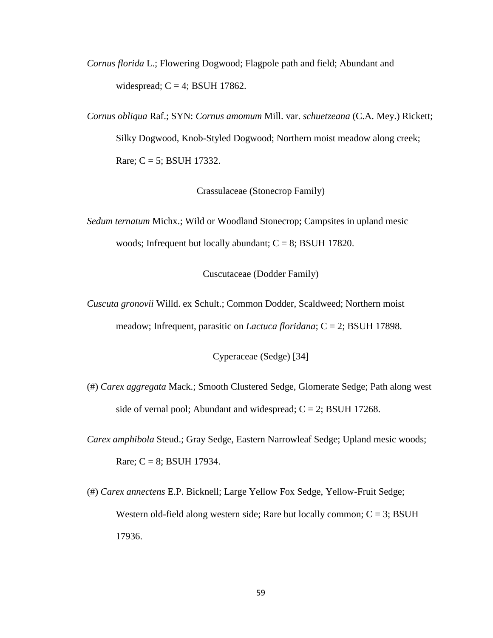*Cornus florida* L.; Flowering Dogwood; Flagpole path and field; Abundant and widespread;  $C = 4$ ; BSUH 17862.

*Cornus obliqua* Raf.; SYN: *Cornus amomum* Mill. var. *schuetzeana* (C.A. Mey.) Rickett; Silky Dogwood, Knob-Styled Dogwood; Northern moist meadow along creek; Rare;  $C = 5$ ; BSUH 17332.

Crassulaceae (Stonecrop Family)

*Sedum ternatum* Michx.; Wild or Woodland Stonecrop; Campsites in upland mesic woods; Infrequent but locally abundant;  $C = 8$ ; BSUH 17820.

Cuscutaceae (Dodder Family)

*Cuscuta gronovii* Willd. ex Schult.; Common Dodder, Scaldweed; Northern moist meadow; Infrequent, parasitic on *Lactuca floridana*; C = 2; BSUH 17898.

Cyperaceae (Sedge) [34]

- (#) *Carex aggregata* Mack.; Smooth Clustered Sedge, Glomerate Sedge; Path along west side of vernal pool; Abundant and widespread;  $C = 2$ ; BSUH 17268.
- *Carex amphibola* Steud.; Gray Sedge, Eastern Narrowleaf Sedge; Upland mesic woods; Rare;  $C = 8$ ; BSUH 17934.
- (#) *Carex annectens* E.P. Bicknell; Large Yellow Fox Sedge, Yellow-Fruit Sedge; Western old-field along western side; Rare but locally common;  $C = 3$ ; BSUH 17936.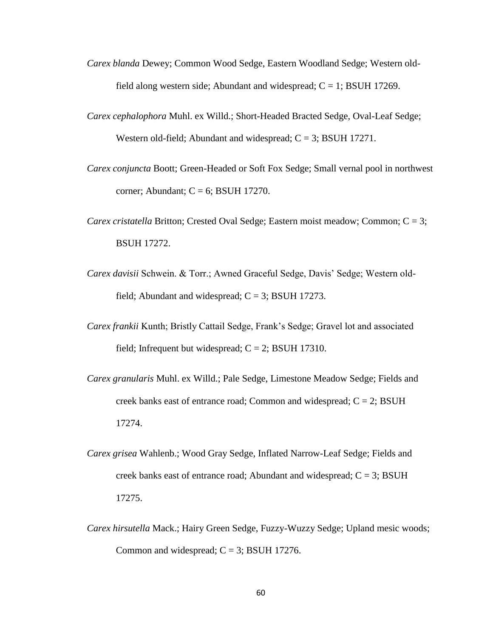- *Carex blanda* Dewey; Common Wood Sedge, Eastern Woodland Sedge; Western oldfield along western side; Abundant and widespread;  $C = 1$ ; BSUH 17269.
- *Carex cephalophora* Muhl. ex Willd.; Short-Headed Bracted Sedge, Oval-Leaf Sedge; Western old-field; Abundant and widespread;  $C = 3$ ; BSUH 17271.
- *Carex conjuncta* Boott; Green-Headed or Soft Fox Sedge; Small vernal pool in northwest corner; Abundant;  $C = 6$ ; BSUH 17270.
- *Carex cristatella* Britton; Crested Oval Sedge; Eastern moist meadow; Common; C = 3; BSUH 17272.
- *Carex davisii* Schwein. & Torr.; Awned Graceful Sedge, Davis' Sedge; Western oldfield; Abundant and widespread;  $C = 3$ ; BSUH 17273.
- *Carex frankii* Kunth; Bristly Cattail Sedge, Frank's Sedge; Gravel lot and associated field; Infrequent but widespread;  $C = 2$ ; BSUH 17310.
- *Carex granularis* Muhl. ex Willd.; Pale Sedge, Limestone Meadow Sedge; Fields and creek banks east of entrance road; Common and widespread;  $C = 2$ ; BSUH 17274.
- *Carex grisea* Wahlenb.; Wood Gray Sedge, Inflated Narrow-Leaf Sedge; Fields and creek banks east of entrance road; Abundant and widespread;  $C = 3$ ; BSUH 17275.
- *Carex hirsutella* Mack.; Hairy Green Sedge, Fuzzy-Wuzzy Sedge; Upland mesic woods; Common and widespread;  $C = 3$ ; BSUH 17276.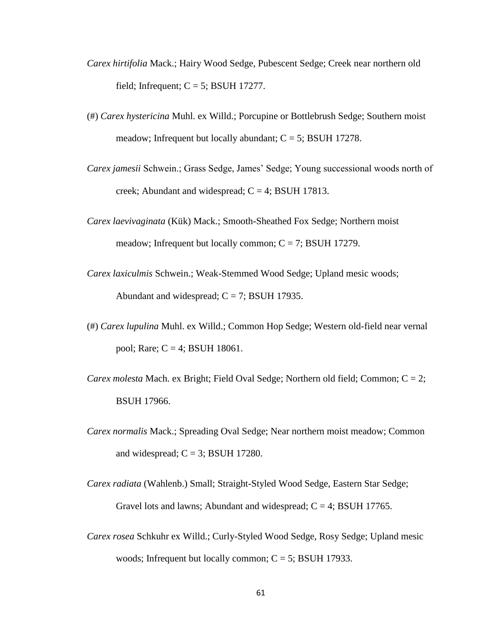- *Carex hirtifolia* Mack.; Hairy Wood Sedge, Pubescent Sedge; Creek near northern old field; Infrequent;  $C = 5$ ; BSUH 17277.
- (#) *Carex hystericina* Muhl. ex Willd.; Porcupine or Bottlebrush Sedge; Southern moist meadow; Infrequent but locally abundant;  $C = 5$ ; BSUH 17278.
- *Carex jamesii* Schwein.; Grass Sedge, James' Sedge; Young successional woods north of creek; Abundant and widespread;  $C = 4$ ; BSUH 17813.
- *Carex laevivaginata* (Kük) Mack.; Smooth-Sheathed Fox Sedge; Northern moist meadow; Infrequent but locally common;  $C = 7$ ; BSUH 17279.
- *Carex laxiculmis* Schwein.; Weak-Stemmed Wood Sedge; Upland mesic woods; Abundant and widespread;  $C = 7$ ; BSUH 17935.
- (#) *Carex lupulina* Muhl. ex Willd.; Common Hop Sedge; Western old-field near vernal pool; Rare; C = 4; BSUH 18061.
- *Carex molesta* Mach. ex Bright; Field Oval Sedge; Northern old field; Common; C = 2; BSUH 17966.
- *Carex normalis* Mack.; Spreading Oval Sedge; Near northern moist meadow; Common and widespread;  $C = 3$ ; BSUH 17280.
- *Carex radiata* (Wahlenb.) Small; Straight-Styled Wood Sedge, Eastern Star Sedge; Gravel lots and lawns; Abundant and widespread;  $C = 4$ ; BSUH 17765.
- *Carex rosea* Schkuhr ex Willd.; Curly-Styled Wood Sedge, Rosy Sedge; Upland mesic woods; Infrequent but locally common;  $C = 5$ ; BSUH 17933.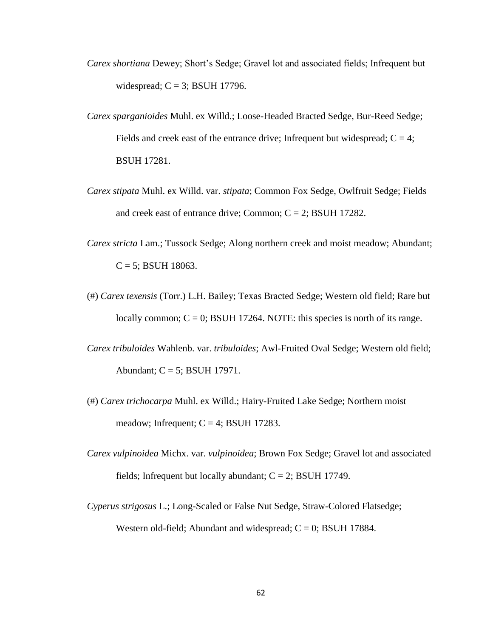- *Carex shortiana* Dewey; Short's Sedge; Gravel lot and associated fields; Infrequent but widespread;  $C = 3$ ; BSUH 17796.
- *Carex sparganioides* Muhl. ex Willd.; Loose-Headed Bracted Sedge, Bur-Reed Sedge; Fields and creek east of the entrance drive; Infrequent but widespread;  $C = 4$ ; BSUH 17281.
- *Carex stipata* Muhl. ex Willd. var. *stipata*; Common Fox Sedge, Owlfruit Sedge; Fields and creek east of entrance drive; Common;  $C = 2$ ; BSUH 17282.
- *Carex stricta* Lam.; Tussock Sedge; Along northern creek and moist meadow; Abundant;  $C = 5$ ; BSUH 18063.
- (#) *Carex texensis* (Torr.) L.H. Bailey; Texas Bracted Sedge; Western old field; Rare but locally common;  $C = 0$ ; BSUH 17264. NOTE: this species is north of its range.
- *Carex tribuloides* Wahlenb. var. *tribuloides*; Awl-Fruited Oval Sedge; Western old field; Abundant;  $C = 5$ ; BSUH 17971.
- (#) *Carex trichocarpa* Muhl. ex Willd.; Hairy-Fruited Lake Sedge; Northern moist meadow; Infrequent;  $C = 4$ ; BSUH 17283.
- *Carex vulpinoidea* Michx. var. *vulpinoidea*; Brown Fox Sedge; Gravel lot and associated fields; Infrequent but locally abundant;  $C = 2$ ; BSUH 17749.
- *Cyperus strigosus* L.; Long-Scaled or False Nut Sedge, Straw-Colored Flatsedge; Western old-field; Abundant and widespread;  $C = 0$ ; BSUH 17884.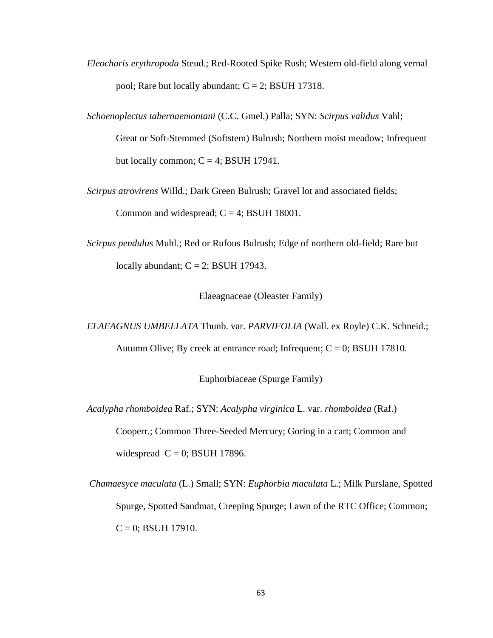- *Eleocharis erythropoda* Steud.; Red-Rooted Spike Rush; Western old-field along vernal pool; Rare but locally abundant;  $C = 2$ ; BSUH 17318.
- *Schoenoplectus tabernaemontani* (C.C. Gmel.) Palla; SYN: *Scirpus validus* Vahl; Great or Soft-Stemmed (Softstem) Bulrush; Northern moist meadow; Infrequent but locally common;  $C = 4$ ; BSUH 17941.
- *Scirpus atrovirens* Willd.; Dark Green Bulrush; Gravel lot and associated fields; Common and widespread;  $C = 4$ ; BSUH 18001.
- *Scirpus pendulus* Muhl.; Red or Rufous Bulrush; Edge of northern old-field; Rare but locally abundant;  $C = 2$ ; BSUH 17943.

Elaeagnaceae (Oleaster Family)

*ELAEAGNUS UMBELLATA* Thunb. var. *PARVIFOLIA* (Wall. ex Royle) C.K. Schneid.; Autumn Olive; By creek at entrance road; Infrequent;  $C = 0$ ; BSUH 17810.

Euphorbiaceae (Spurge Family)

*Acalypha rhomboidea* Raf.; SYN: *Acalypha virginica* L. var. *rhomboidea* (Raf.) Cooperr.; Common Three-Seeded Mercury; Goring in a cart; Common and widespread  $C = 0$ ; BSUH 17896.

*Chamaesyce maculata* (L.) Small; SYN: *Euphorbia maculata* L.; Milk Purslane, Spotted Spurge, Spotted Sandmat, Creeping Spurge; Lawn of the RTC Office; Common;  $C = 0$ ; BSUH 17910.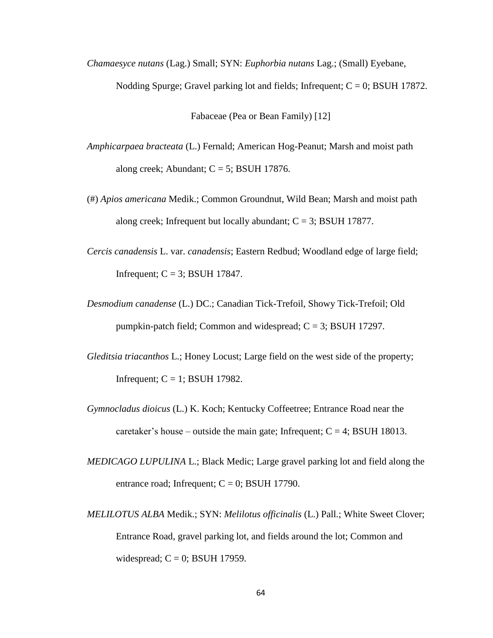*Chamaesyce nutans* (Lag.) Small; SYN: *Euphorbia nutans* Lag.; (Small) Eyebane,

Nodding Spurge; Gravel parking lot and fields; Infrequent;  $C = 0$ ; BSUH 17872.

Fabaceae (Pea or Bean Family) [12]

- *Amphicarpaea bracteata* (L.) Fernald; American Hog-Peanut; Marsh and moist path along creek; Abundant;  $C = 5$ ; BSUH 17876.
- (#) *Apios americana* Medik.; Common Groundnut, Wild Bean; Marsh and moist path along creek; Infrequent but locally abundant;  $C = 3$ ; BSUH 17877.
- *Cercis canadensis* L. var. *canadensis*; Eastern Redbud; Woodland edge of large field; Infrequent;  $C = 3$ ; BSUH 17847.
- *Desmodium canadense* (L.) DC.; Canadian Tick-Trefoil, Showy Tick-Trefoil; Old pumpkin-patch field; Common and widespread;  $C = 3$ ; BSUH 17297.
- *Gleditsia triacanthos* L.; Honey Locust; Large field on the west side of the property; Infrequent;  $C = 1$ ; BSUH 17982.
- *Gymnocladus dioicus* (L.) K. Koch; Kentucky Coffeetree; Entrance Road near the caretaker's house – outside the main gate; Infrequent;  $C = 4$ ; BSUH 18013.
- *MEDICAGO LUPULINA* L.; Black Medic; Large gravel parking lot and field along the entrance road; Infrequent;  $C = 0$ ; BSUH 17790.
- *MELILOTUS ALBA* Medik.; SYN: *Melilotus officinalis* (L.) Pall.; White Sweet Clover; Entrance Road, gravel parking lot, and fields around the lot; Common and widespread;  $C = 0$ ; BSUH 17959.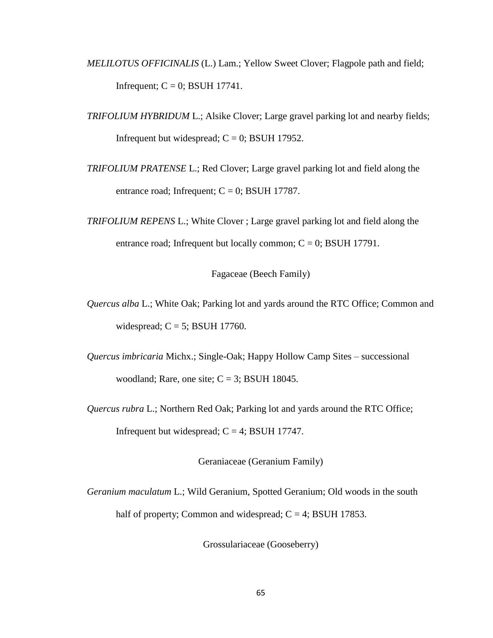- *MELILOTUS OFFICINALIS* (L.) Lam.; Yellow Sweet Clover; Flagpole path and field; Infrequent;  $C = 0$ ; BSUH 17741.
- *TRIFOLIUM HYBRIDUM* L.; Alsike Clover; Large gravel parking lot and nearby fields; Infrequent but widespread;  $C = 0$ ; BSUH 17952.
- *TRIFOLIUM PRATENSE* L.; Red Clover; Large gravel parking lot and field along the entrance road; Infrequent;  $C = 0$ ; BSUH 17787.
- *TRIFOLIUM REPENS* L.; White Clover ; Large gravel parking lot and field along the entrance road; Infrequent but locally common;  $C = 0$ ; BSUH 17791.

Fagaceae (Beech Family)

- *Quercus alba* L.; White Oak; Parking lot and yards around the RTC Office; Common and widespread;  $C = 5$ ; BSUH 17760.
- *Quercus imbricaria* Michx.; Single-Oak; Happy Hollow Camp Sites successional woodland; Rare, one site;  $C = 3$ ; BSUH 18045.
- *Quercus rubra* L.; Northern Red Oak; Parking lot and yards around the RTC Office; Infrequent but widespread;  $C = 4$ ; BSUH 17747.

Geraniaceae (Geranium Family)

*Geranium maculatum* L.; Wild Geranium, Spotted Geranium; Old woods in the south half of property; Common and widespread;  $C = 4$ ; BSUH 17853.

Grossulariaceae (Gooseberry)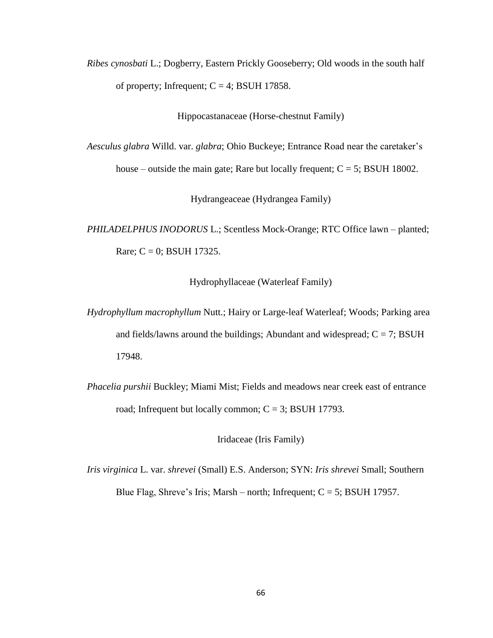*Ribes cynosbati* L.; Dogberry, Eastern Prickly Gooseberry; Old woods in the south half of property; Infrequent;  $C = 4$ ; BSUH 17858.

Hippocastanaceae (Horse-chestnut Family)

*Aesculus glabra* Willd. var. *glabra*; Ohio Buckeye; Entrance Road near the caretaker's house – outside the main gate; Rare but locally frequent;  $C = 5$ ; BSUH 18002.

Hydrangeaceae (Hydrangea Family)

*PHILADELPHUS INODORUS* L.; Scentless Mock-Orange; RTC Office lawn – planted; Rare;  $C = 0$ ; BSUH 17325.

Hydrophyllaceae (Waterleaf Family)

- *Hydrophyllum macrophyllum* Nutt.; Hairy or Large-leaf Waterleaf; Woods; Parking area and fields/lawns around the buildings; Abundant and widespread;  $C = 7$ ; BSUH 17948.
- *Phacelia purshii* Buckley; Miami Mist; Fields and meadows near creek east of entrance road; Infrequent but locally common;  $C = 3$ ; BSUH 17793.

Iridaceae (Iris Family)

*Iris virginica* L. var. *shrevei* (Small) E.S. Anderson; SYN: *Iris shrevei* Small; Southern Blue Flag, Shreve's Iris; Marsh – north; Infrequent;  $C = 5$ ; BSUH 17957.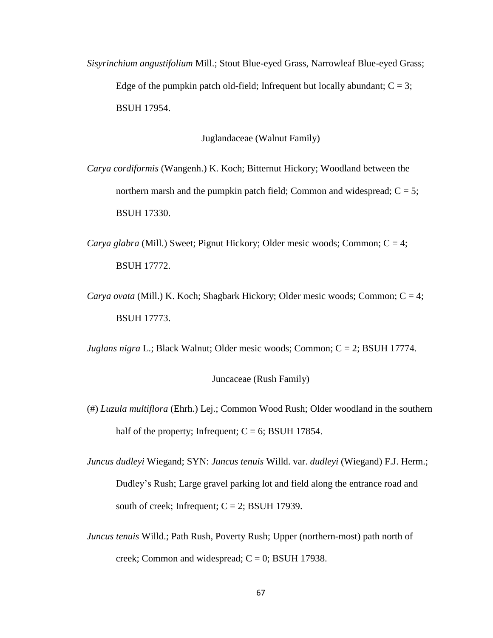*Sisyrinchium angustifolium* Mill.; Stout Blue-eyed Grass, Narrowleaf Blue-eyed Grass; Edge of the pumpkin patch old-field; Infrequent but locally abundant;  $C = 3$ ; BSUH 17954.

Juglandaceae (Walnut Family)

- *Carya cordiformis* (Wangenh.) K. Koch; Bitternut Hickory; Woodland between the northern marsh and the pumpkin patch field; Common and widespread;  $C = 5$ ; BSUH 17330.
- *Carya glabra* (Mill.) Sweet; Pignut Hickory; Older mesic woods; Common; C = 4; BSUH 17772.
- *Carya ovata* (Mill.) K. Koch; Shagbark Hickory; Older mesic woods; Common; C = 4; BSUH 17773.

*Juglans nigra* L.; Black Walnut; Older mesic woods; Common; C = 2; BSUH 17774.

## Juncaceae (Rush Family)

- (#) *Luzula multiflora* (Ehrh.) Lej.; Common Wood Rush; Older woodland in the southern half of the property; Infrequent;  $C = 6$ ; BSUH 17854.
- *Juncus dudleyi* Wiegand; SYN: *Juncus tenuis* Willd. var. *dudleyi* (Wiegand) F.J. Herm.; Dudley's Rush; Large gravel parking lot and field along the entrance road and south of creek; Infrequent;  $C = 2$ ; BSUH 17939.
- *Juncus tenuis* Willd.; Path Rush, Poverty Rush; Upper (northern-most) path north of creek; Common and widespread;  $C = 0$ ; BSUH 17938.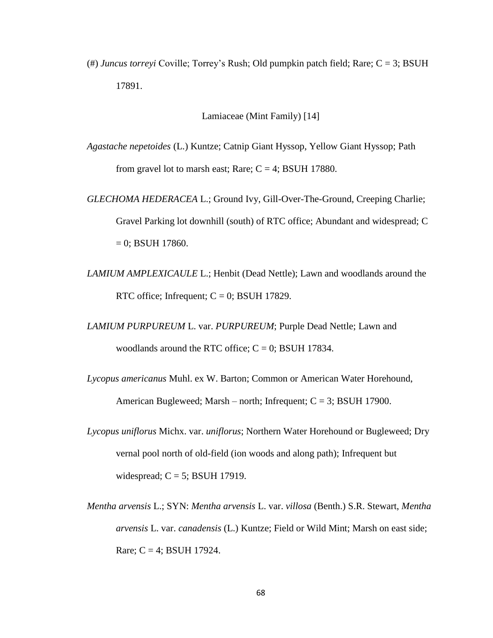(#) *Juncus torreyi* Coville; Torrey's Rush; Old pumpkin patch field; Rare; C = 3; BSUH 17891.

```
Lamiaceae (Mint Family) [14]
```
*Agastache nepetoides* (L.) Kuntze; Catnip Giant Hyssop, Yellow Giant Hyssop; Path from gravel lot to marsh east; Rare;  $C = 4$ ; BSUH 17880.

*GLECHOMA HEDERACEA* L.; Ground Ivy, Gill-Over-The-Ground, Creeping Charlie; Gravel Parking lot downhill (south) of RTC office; Abundant and widespread; C  $= 0$ ; BSUH 17860.

- *LAMIUM AMPLEXICAULE* L.; Henbit (Dead Nettle); Lawn and woodlands around the RTC office; Infrequent;  $C = 0$ ; BSUH 17829.
- *LAMIUM PURPUREUM* L. var. *PURPUREUM*; Purple Dead Nettle; Lawn and woodlands around the RTC office;  $C = 0$ ; BSUH 17834.
- *Lycopus americanus* Muhl. ex W. Barton; Common or American Water Horehound, American Bugleweed; Marsh – north; Infrequent;  $C = 3$ ; BSUH 17900.
- *Lycopus uniflorus* Michx. var. *uniflorus*; Northern Water Horehound or Bugleweed; Dry vernal pool north of old-field (ion woods and along path); Infrequent but widespread;  $C = 5$ ; BSUH 17919.
- *Mentha arvensis* L.; SYN: *Mentha arvensis* L. var. *villosa* (Benth.) S.R. Stewart, *Mentha arvensis* L. var. *canadensis* (L.) Kuntze; Field or Wild Mint; Marsh on east side; Rare;  $C = 4$ ; BSUH 17924.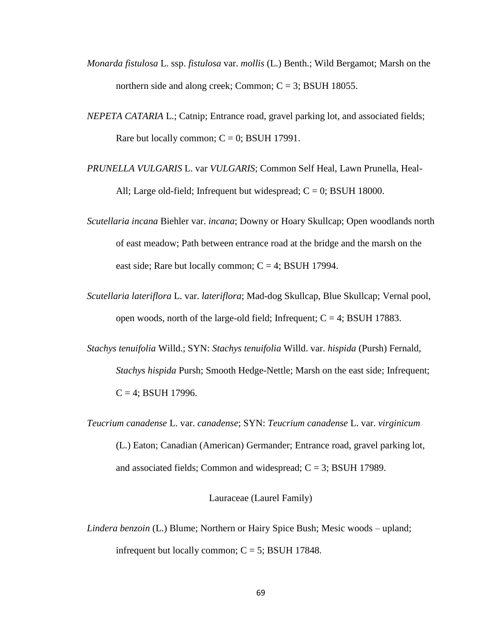- *Monarda fistulosa* L. ssp. *fistulosa* var. *mollis* (L.) Benth.; Wild Bergamot; Marsh on the northern side and along creek; Common;  $C = 3$ ; BSUH 18055.
- *NEPETA CATARIA* L.; Catnip; Entrance road, gravel parking lot, and associated fields; Rare but locally common;  $C = 0$ ; BSUH 17991.
- *PRUNELLA VULGARIS* L. var *VULGARIS*; Common Self Heal, Lawn Prunella, Heal-All; Large old-field; Infrequent but widespread;  $C = 0$ ; BSUH 18000.
- *Scutellaria incana* Biehler var. *incana*; Downy or Hoary Skullcap; Open woodlands north of east meadow; Path between entrance road at the bridge and the marsh on the east side; Rare but locally common;  $C = 4$ ; BSUH 17994.
- *Scutellaria lateriflora* L. var. *lateriflora*; Mad-dog Skullcap, Blue Skullcap; Vernal pool, open woods, north of the large-old field; Infrequent;  $C = 4$ ; BSUH 17883.
- *Stachys tenuifolia* Willd.; SYN: *Stachys tenuifolia* Willd. var. *hispida* (Pursh) Fernald, *Stachys hispida* Pursh; Smooth Hedge-Nettle; Marsh on the east side; Infrequent;  $C = 4$ ; BSUH 17996.
- *Teucrium canadense* L. var. *canadense*; SYN: *Teucrium canadense* L. var. *virginicum* (L.) Eaton; Canadian (American) Germander; Entrance road, gravel parking lot, and associated fields; Common and widespread;  $C = 3$ ; BSUH 17989.

Lauraceae (Laurel Family)

*Lindera benzoin* (L.) Blume; Northern or Hairy Spice Bush; Mesic woods – upland; infrequent but locally common;  $C = 5$ ; BSUH 17848.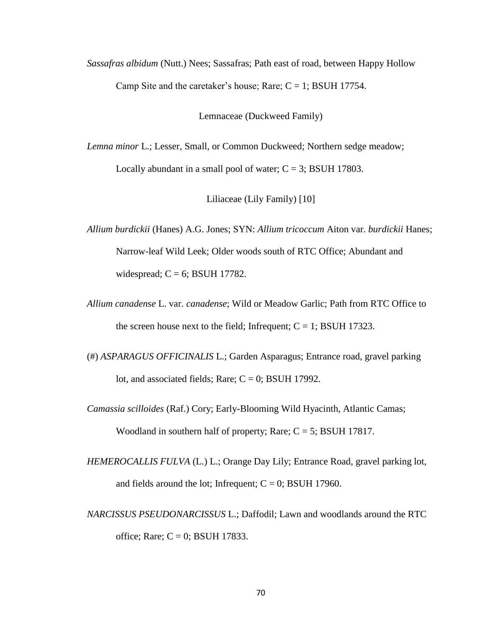*Sassafras albidum* (Nutt.) Nees; Sassafras; Path east of road, between Happy Hollow Camp Site and the caretaker's house; Rare;  $C = 1$ ; BSUH 17754.

Lemnaceae (Duckweed Family)

*Lemna minor* L.; Lesser, Small, or Common Duckweed; Northern sedge meadow; Locally abundant in a small pool of water;  $C = 3$ ; BSUH 17803.

Liliaceae (Lily Family) [10]

- *Allium burdickii* (Hanes) A.G. Jones; SYN: *Allium tricoccum* Aiton var. *burdickii* Hanes; Narrow-leaf Wild Leek; Older woods south of RTC Office; Abundant and widespread;  $C = 6$ ; BSUH 17782.
- *Allium canadense* L. var. *canadense*; Wild or Meadow Garlic; Path from RTC Office to the screen house next to the field; Infrequent;  $C = 1$ ; BSUH 17323.
- (#) *ASPARAGUS OFFICINALIS* L.; Garden Asparagus; Entrance road, gravel parking lot, and associated fields; Rare;  $C = 0$ ; BSUH 17992.
- *Camassia scilloides* (Raf.) Cory; Early-Blooming Wild Hyacinth, Atlantic Camas; Woodland in southern half of property; Rare; C = 5; BSUH 17817.
- *HEMEROCALLIS FULVA* (L.) L.; Orange Day Lily; Entrance Road, gravel parking lot, and fields around the lot; Infrequent;  $C = 0$ ; BSUH 17960.
- *NARCISSUS PSEUDONARCISSUS* L.; Daffodil; Lawn and woodlands around the RTC office; Rare;  $C = 0$ ; BSUH 17833.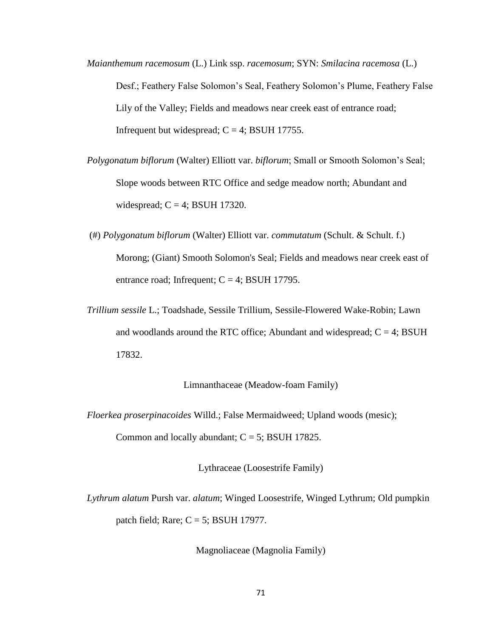- *Maianthemum racemosum* (L.) Link ssp. *racemosum*; SYN: *Smilacina racemosa* (L.) Desf.; Feathery False Solomon's Seal, Feathery Solomon's Plume, Feathery False Lily of the Valley; Fields and meadows near creek east of entrance road; Infrequent but widespread;  $C = 4$ ; BSUH 17755.
- *Polygonatum biflorum* (Walter) Elliott var. *biflorum*; Small or Smooth Solomon's Seal; Slope woods between RTC Office and sedge meadow north; Abundant and widespread;  $C = 4$ ; BSUH 17320.
- (#) *Polygonatum biflorum* (Walter) Elliott var. *commutatum* (Schult. & Schult. f.) Morong; (Giant) Smooth Solomon's Seal; Fields and meadows near creek east of entrance road; Infrequent;  $C = 4$ ; BSUH 17795.
- *Trillium sessile* L.; Toadshade, Sessile Trillium, Sessile-Flowered Wake-Robin; Lawn and woodlands around the RTC office; Abundant and widespread;  $C = 4$ ; BSUH 17832.

Limnanthaceae (Meadow-foam Family)

*Floerkea proserpinacoides* Willd.; False Mermaidweed; Upland woods (mesic);

Common and locally abundant;  $C = 5$ ; BSUH 17825.

Lythraceae (Loosestrife Family)

*Lythrum alatum* Pursh var. *alatum*; Winged Loosestrife, Winged Lythrum; Old pumpkin patch field; Rare;  $C = 5$ ; BSUH 17977.

Magnoliaceae (Magnolia Family)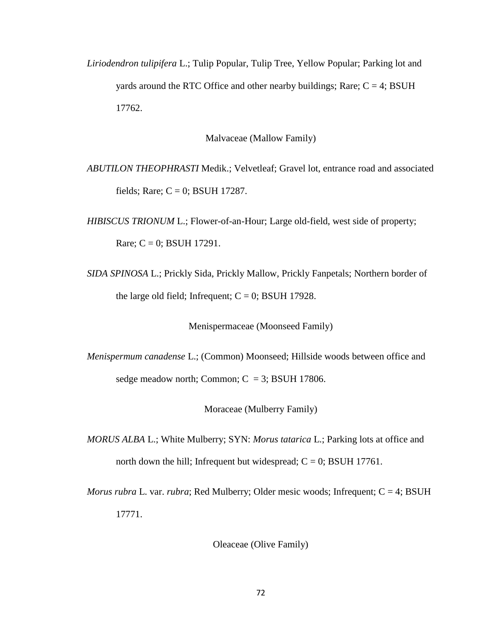*Liriodendron tulipifera* L.; Tulip Popular, Tulip Tree, Yellow Popular; Parking lot and yards around the RTC Office and other nearby buildings; Rare;  $C = 4$ ; BSUH 17762.

Malvaceae (Mallow Family)

*ABUTILON THEOPHRASTI* Medik.; Velvetleaf; Gravel lot, entrance road and associated fields; Rare;  $C = 0$ ; BSUH 17287.

*HIBISCUS TRIONUM* L.; Flower-of-an-Hour; Large old-field, west side of property; Rare;  $C = 0$ ; BSUH 17291.

*SIDA SPINOSA* L.; Prickly Sida, Prickly Mallow, Prickly Fanpetals; Northern border of the large old field; Infrequent;  $C = 0$ ; BSUH 17928.

Menispermaceae (Moonseed Family)

*Menispermum canadense* L.; (Common) Moonseed; Hillside woods between office and sedge meadow north; Common;  $C = 3$ ; BSUH 17806.

Moraceae (Mulberry Family)

*MORUS ALBA* L.; White Mulberry; SYN: *Morus tatarica* L.; Parking lots at office and north down the hill; Infrequent but widespread;  $C = 0$ ; BSUH 17761.

*Morus rubra* L. var. *rubra*; Red Mulberry; Older mesic woods; Infrequent; C = 4; BSUH 17771.

Oleaceae (Olive Family)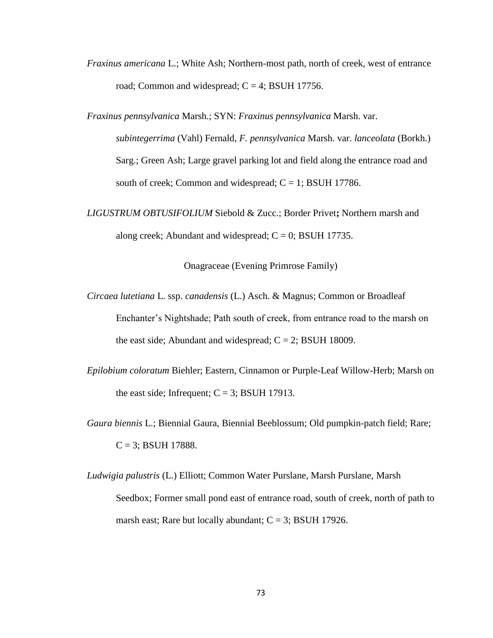*Fraxinus americana* L.; White Ash; Northern-most path, north of creek, west of entrance road; Common and widespread;  $C = 4$ ; BSUH 17756.

*Fraxinus pennsylvanica* Marsh.; SYN: *Fraxinus pennsylvanica* Marsh. var. *subintegerrima* (Vahl) Fernald, *F. pennsylvanica* Marsh. var. *lanceolata* (Borkh.) Sarg.; Green Ash; Large gravel parking lot and field along the entrance road and south of creek; Common and widespread;  $C = 1$ ; BSUH 17786.

*LIGUSTRUM OBTUSIFOLIUM* Siebold & Zucc.; Border Privet**;** Northern marsh and along creek; Abundant and widespread;  $C = 0$ ; BSUH 17735.

Onagraceae (Evening Primrose Family)

- *Circaea lutetiana* L. ssp. *canadensis* (L.) Asch. & Magnus; Common or Broadleaf Enchanter's Nightshade; Path south of creek, from entrance road to the marsh on the east side; Abundant and widespread;  $C = 2$ ; BSUH 18009.
- *Epilobium coloratum* Biehler; Eastern, Cinnamon or Purple-Leaf Willow-Herb; Marsh on the east side; Infrequent;  $C = 3$ ; BSUH 17913.
- *Gaura biennis* L.; Biennial Gaura, Biennial Beeblossum; Old pumpkin-patch field; Rare;  $C = 3$ ; BSUH 17888.
- *Ludwigia palustris* (L.) Elliott; Common Water Purslane, Marsh Purslane, Marsh Seedbox; Former small pond east of entrance road, south of creek, north of path to marsh east; Rare but locally abundant;  $C = 3$ ; BSUH 17926.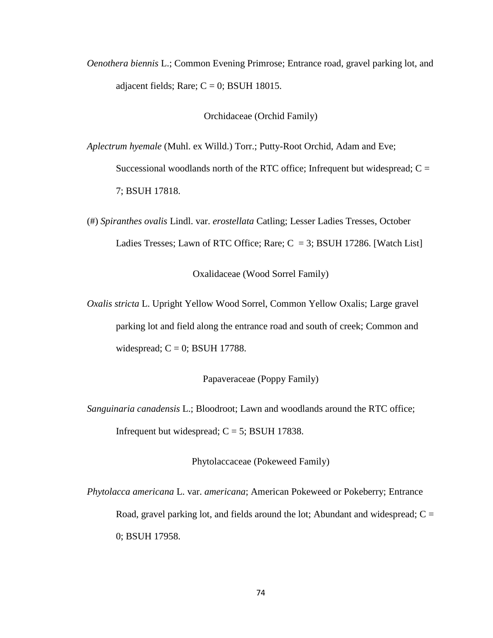*Oenothera biennis* L.; Common Evening Primrose; Entrance road, gravel parking lot, and adjacent fields; Rare;  $C = 0$ ; BSUH 18015.

Orchidaceae (Orchid Family)

*Aplectrum hyemale* (Muhl. ex Willd.) Torr.; Putty-Root Orchid, Adam and Eve; Successional woodlands north of the RTC office; Infrequent but widespread;  $C =$ 7; BSUH 17818.

(#) *Spiranthes ovalis* Lindl. var. *erostellata* Catling; Lesser Ladies Tresses, October Ladies Tresses; Lawn of RTC Office; Rare;  $C = 3$ ; BSUH 17286. [Watch List]

Oxalidaceae (Wood Sorrel Family)

*Oxalis stricta* L. Upright Yellow Wood Sorrel, Common Yellow Oxalis; Large gravel parking lot and field along the entrance road and south of creek; Common and widespread;  $C = 0$ ; BSUH 17788.

Papaveraceae (Poppy Family)

*Sanguinaria canadensis* L.; Bloodroot; Lawn and woodlands around the RTC office; Infrequent but widespread;  $C = 5$ ; BSUH 17838.

Phytolaccaceae (Pokeweed Family)

*Phytolacca americana* L. var. *americana*; American Pokeweed or Pokeberry; Entrance Road, gravel parking lot, and fields around the lot; Abundant and widespread;  $C =$ 0; BSUH 17958.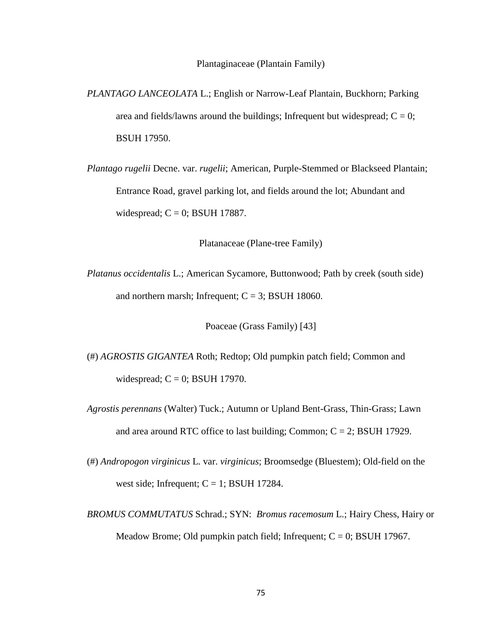- *PLANTAGO LANCEOLATA* L.; English or Narrow-Leaf Plantain, Buckhorn; Parking area and fields/lawns around the buildings; Infrequent but widespread;  $C = 0$ ; BSUH 17950.
- *Plantago rugelii* Decne. var. *rugelii*; American, Purple-Stemmed or Blackseed Plantain; Entrance Road, gravel parking lot, and fields around the lot; Abundant and widespread;  $C = 0$ ; BSUH 17887.

Platanaceae (Plane-tree Family)

*Platanus occidentalis* L.; American Sycamore, Buttonwood; Path by creek (south side) and northern marsh; Infrequent;  $C = 3$ ; BSUH 18060.

Poaceae (Grass Family) [43]

- (#) *AGROSTIS GIGANTEA* Roth; Redtop; Old pumpkin patch field; Common and widespread;  $C = 0$ ; BSUH 17970.
- *Agrostis perennans* (Walter) Tuck.; Autumn or Upland Bent-Grass, Thin-Grass; Lawn and area around RTC office to last building; Common;  $C = 2$ ; BSUH 17929.
- (#) *Andropogon virginicus* L. var. *virginicus*; Broomsedge (Bluestem); Old-field on the west side; Infrequent;  $C = 1$ ; BSUH 17284.
- *BROMUS COMMUTATUS* Schrad.; SYN: *Bromus racemosum* L.; Hairy Chess, Hairy or Meadow Brome; Old pumpkin patch field; Infrequent;  $C = 0$ ; BSUH 17967.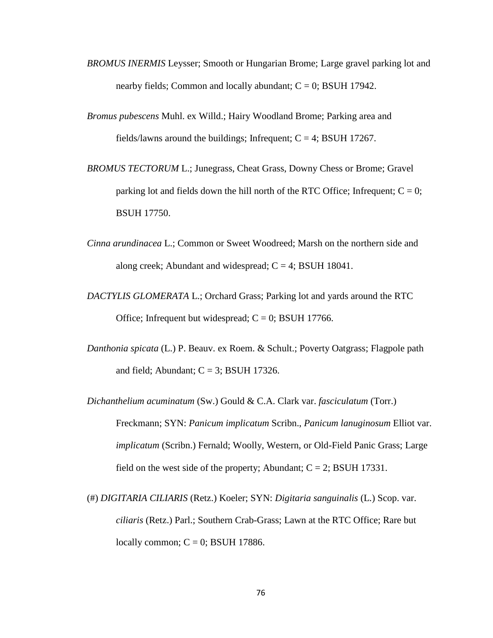- *BROMUS INERMIS* Leysser; Smooth or Hungarian Brome; Large gravel parking lot and nearby fields; Common and locally abundant;  $C = 0$ ; BSUH 17942.
- *Bromus pubescens* Muhl. ex Willd.; Hairy Woodland Brome; Parking area and fields/lawns around the buildings; Infrequent;  $C = 4$ ; BSUH 17267.
- *BROMUS TECTORUM* L.; Junegrass, Cheat Grass, Downy Chess or Brome; Gravel parking lot and fields down the hill north of the RTC Office; Infrequent;  $C = 0$ ; BSUH 17750.
- *Cinna arundinacea* L.; Common or Sweet Woodreed; Marsh on the northern side and along creek; Abundant and widespread;  $C = 4$ ; BSUH 18041.
- *DACTYLIS GLOMERATA* L.; Orchard Grass; Parking lot and yards around the RTC Office; Infrequent but widespread;  $C = 0$ ; BSUH 17766.
- *Danthonia spicata* (L.) P. Beauv. ex Roem. & Schult.; Poverty Oatgrass; Flagpole path and field; Abundant;  $C = 3$ ; BSUH 17326.
- *Dichanthelium acuminatum* (Sw.) Gould & C.A. Clark var. *fasciculatum* (Torr.) Freckmann; SYN: *Panicum implicatum* Scribn., *Panicum lanuginosum* Elliot var. *implicatum* (Scribn.) Fernald; Woolly, Western, or Old-Field Panic Grass; Large field on the west side of the property; Abundant;  $C = 2$ ; BSUH 17331.
- (#) *DIGITARIA CILIARIS* (Retz.) Koeler; SYN: *Digitaria sanguinalis* (L.) Scop. var. *ciliaris* (Retz.) Parl.; Southern Crab-Grass; Lawn at the RTC Office; Rare but locally common;  $C = 0$ ; BSUH 17886.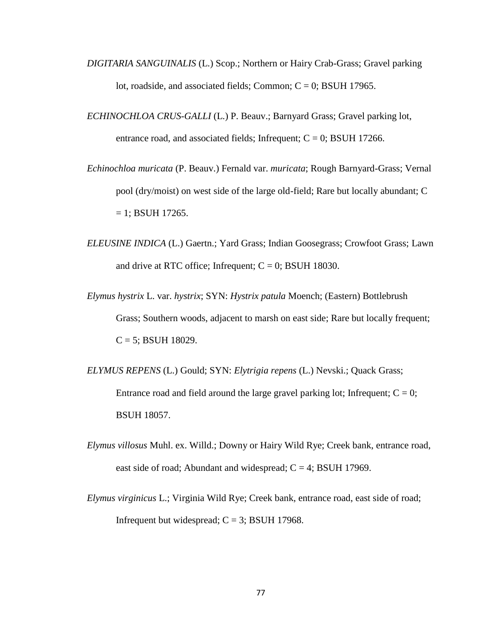- *DIGITARIA SANGUINALIS* (L.) Scop.; Northern or Hairy Crab-Grass; Gravel parking lot, roadside, and associated fields; Common;  $C = 0$ ; BSUH 17965.
- *ECHINOCHLOA CRUS-GALLI* (L.) P. Beauv.; Barnyard Grass; Gravel parking lot, entrance road, and associated fields; Infrequent;  $C = 0$ ; BSUH 17266.
- *Echinochloa muricata* (P. Beauv.) Fernald var. *muricata*; Rough Barnyard-Grass; Vernal pool (dry/moist) on west side of the large old-field; Rare but locally abundant; C  $= 1$ ; BSUH 17265.
- *ELEUSINE INDICA* (L.) Gaertn.; Yard Grass; Indian Goosegrass; Crowfoot Grass; Lawn and drive at RTC office; Infrequent;  $C = 0$ ; BSUH 18030.
- *Elymus hystrix* L. var. *hystrix*; SYN: *Hystrix patula* Moench; (Eastern) Bottlebrush Grass; Southern woods, adjacent to marsh on east side; Rare but locally frequent;  $C = 5$ ; BSUH 18029.
- *ELYMUS REPENS* (L.) Gould; SYN: *Elytrigia repens* (L.) Nevski.; Quack Grass; Entrance road and field around the large gravel parking lot; Infrequent;  $C = 0$ ; BSUH 18057.
- *Elymus villosus* Muhl. ex. Willd.; Downy or Hairy Wild Rye; Creek bank, entrance road, east side of road; Abundant and widespread;  $C = 4$ ; BSUH 17969.
- *Elymus virginicus* L.; Virginia Wild Rye; Creek bank, entrance road, east side of road; Infrequent but widespread;  $C = 3$ ; BSUH 17968.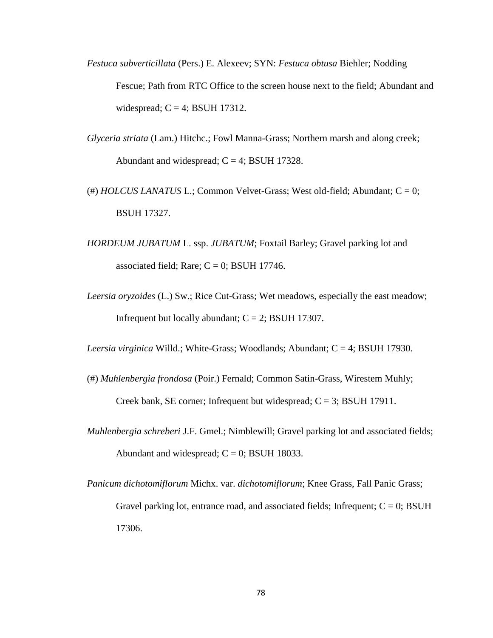- *Festuca subverticillata* (Pers.) E. Alexeev; SYN: *Festuca obtusa* Biehler; Nodding Fescue; Path from RTC Office to the screen house next to the field; Abundant and widespread;  $C = 4$ ; BSUH 17312.
- *Glyceria striata* (Lam.) Hitchc.; Fowl Manna-Grass; Northern marsh and along creek; Abundant and widespread;  $C = 4$ ; BSUH 17328.
- (#) *HOLCUS LANATUS* L.; Common Velvet-Grass; West old-field; Abundant; C = 0; BSUH 17327.
- *HORDEUM JUBATUM* L. ssp. *JUBATUM*; Foxtail Barley; Gravel parking lot and associated field; Rare;  $C = 0$ ; BSUH 17746.
- *Leersia oryzoides* (L.) Sw.; Rice Cut-Grass; Wet meadows, especially the east meadow; Infrequent but locally abundant;  $C = 2$ ; BSUH 17307.

*Leersia virginica* Willd.; White-Grass; Woodlands; Abundant; C = 4; BSUH 17930.

- (#) *Muhlenbergia frondosa* (Poir.) Fernald; Common Satin-Grass, Wirestem Muhly; Creek bank, SE corner; Infrequent but widespread;  $C = 3$ ; BSUH 17911.
- *Muhlenbergia schreberi* J.F. Gmel.; Nimblewill; Gravel parking lot and associated fields; Abundant and widespread;  $C = 0$ ; BSUH 18033.
- *Panicum dichotomiflorum* Michx. var. *dichotomiflorum*; Knee Grass, Fall Panic Grass; Gravel parking lot, entrance road, and associated fields; Infrequent;  $C = 0$ ; BSUH 17306.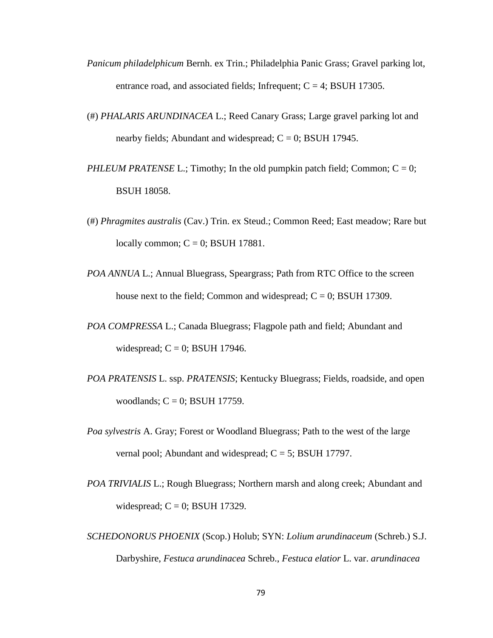- *Panicum philadelphicum* Bernh. ex Trin.; Philadelphia Panic Grass; Gravel parking lot, entrance road, and associated fields; Infrequent;  $C = 4$ ; BSUH 17305.
- (#) *PHALARIS ARUNDINACEA* L.; Reed Canary Grass; Large gravel parking lot and nearby fields; Abundant and widespread;  $C = 0$ ; BSUH 17945.
- *PHLEUM PRATENSE* L.; Timothy; In the old pumpkin patch field; Common;  $C = 0$ ; BSUH 18058.
- (#) *Phragmites australis* (Cav.) Trin. ex Steud.; Common Reed; East meadow; Rare but locally common;  $C = 0$ ; BSUH 17881.
- *POA ANNUA* L.; Annual Bluegrass, Speargrass; Path from RTC Office to the screen house next to the field; Common and widespread;  $C = 0$ ; BSUH 17309.
- *POA COMPRESSA* L.; Canada Bluegrass; Flagpole path and field; Abundant and widespread;  $C = 0$ ; BSUH 17946.
- *POA PRATENSIS* L. ssp. *PRATENSIS*; Kentucky Bluegrass; Fields, roadside, and open woodlands;  $C = 0$ ; BSUH 17759.
- *Poa sylvestris* A. Gray; Forest or Woodland Bluegrass; Path to the west of the large vernal pool; Abundant and widespread;  $C = 5$ ; BSUH 17797.
- *POA TRIVIALIS* L.; Rough Bluegrass; Northern marsh and along creek; Abundant and widespread;  $C = 0$ ; BSUH 17329.
- *SCHEDONORUS PHOENIX* (Scop.) Holub; SYN: *Lolium arundinaceum* (Schreb.) S.J. Darbyshire, *Festuca arundinacea* Schreb., *Festuca elatior* L. var. *arundinacea*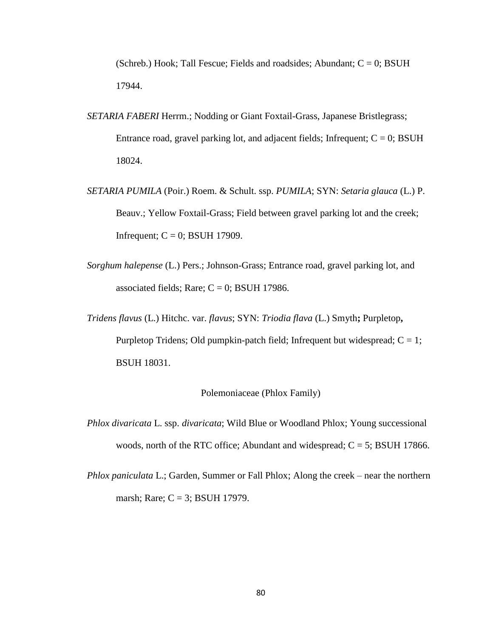(Schreb.) Hook; Tall Fescue; Fields and roadsides; Abundant;  $C = 0$ ; BSUH 17944.

- *SETARIA FABERI* Herrm.; Nodding or Giant Foxtail-Grass, Japanese Bristlegrass; Entrance road, gravel parking lot, and adjacent fields; Infrequent;  $C = 0$ ; BSUH 18024.
- *SETARIA PUMILA* (Poir.) Roem. & Schult. ssp. *PUMILA*; SYN: *Setaria glauca* (L.) P. Beauv.; Yellow Foxtail-Grass; Field between gravel parking lot and the creek; Infrequent;  $C = 0$ ; BSUH 17909.
- *Sorghum halepense* (L.) Pers.; Johnson-Grass; Entrance road, gravel parking lot, and associated fields; Rare;  $C = 0$ ; BSUH 17986.
- *Tridens flavus* (L.) Hitchc. var. *flavus*; SYN: *Triodia flava* (L.) Smyth**;** Purpletop**,** Purpletop Tridens; Old pumpkin-patch field; Infrequent but widespread;  $C = 1$ ; BSUH 18031.

### Polemoniaceae (Phlox Family)

- *Phlox divaricata* L. ssp. *divaricata*; Wild Blue or Woodland Phlox; Young successional woods, north of the RTC office; Abundant and widespread;  $C = 5$ ; BSUH 17866.
- *Phlox paniculata* L.; Garden, Summer or Fall Phlox; Along the creek near the northern marsh; Rare;  $C = 3$ ; BSUH 17979.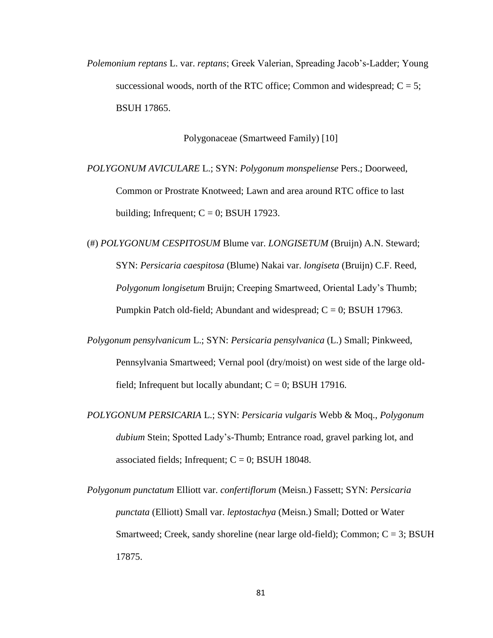*Polemonium reptans* L. var. *reptans*; Greek Valerian, Spreading Jacob's-Ladder; Young successional woods, north of the RTC office; Common and widespread;  $C = 5$ ; BSUH 17865.

Polygonaceae (Smartweed Family) [10]

- *POLYGONUM AVICULARE* L.; SYN: *Polygonum monspeliense* Pers.; Doorweed, Common or Prostrate Knotweed; Lawn and area around RTC office to last building; Infrequent;  $C = 0$ ; BSUH 17923.
- (#) *POLYGONUM CESPITOSUM* Blume var. *LONGISETUM* (Bruijn) A.N. Steward; SYN: *Persicaria caespitosa* (Blume) Nakai var. *longiseta* (Bruijn) C.F. Reed, *Polygonum longisetum* Bruijn; Creeping Smartweed, Oriental Lady's Thumb; Pumpkin Patch old-field; Abundant and widespread;  $C = 0$ ; BSUH 17963.
- *Polygonum pensylvanicum* L.; SYN: *Persicaria pensylvanica* (L.) Small; Pinkweed, Pennsylvania Smartweed; Vernal pool (dry/moist) on west side of the large oldfield; Infrequent but locally abundant;  $C = 0$ ; BSUH 17916.
- *POLYGONUM PERSICARIA* L.; SYN: *Persicaria vulgaris* Webb & Moq., *Polygonum dubium* Stein; Spotted Lady's-Thumb; Entrance road, gravel parking lot, and associated fields; Infrequent;  $C = 0$ ; BSUH 18048.
- *Polygonum punctatum* Elliott var. *confertiflorum* (Meisn.) Fassett; SYN: *Persicaria punctata* (Elliott) Small var. *leptostachya* (Meisn.) Small; Dotted or Water Smartweed; Creek, sandy shoreline (near large old-field); Common;  $C = 3$ ; BSUH 17875.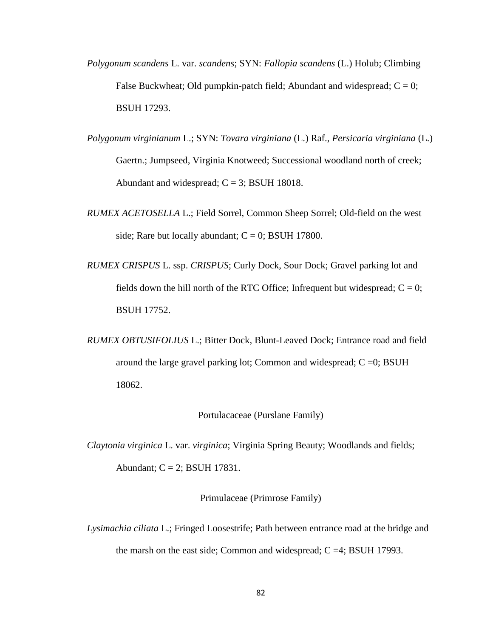- *Polygonum scandens* L. var. *scandens*; SYN: *Fallopia scandens* (L.) Holub; Climbing False Buckwheat; Old pumpkin-patch field; Abundant and widespread;  $C = 0$ ; BSUH 17293.
- *Polygonum virginianum* L.; SYN: *Tovara virginiana* (L.) Raf., *Persicaria virginiana* (L.) Gaertn.; Jumpseed, Virginia Knotweed; Successional woodland north of creek; Abundant and widespread;  $C = 3$ ; BSUH 18018.
- *RUMEX ACETOSELLA* L.; Field Sorrel, Common Sheep Sorrel; Old-field on the west side; Rare but locally abundant;  $C = 0$ ; BSUH 17800.
- *RUMEX CRISPUS* L. ssp. *CRISPUS*; Curly Dock, Sour Dock; Gravel parking lot and fields down the hill north of the RTC Office; Infrequent but widespread;  $C = 0$ ; BSUH 17752.
- *RUMEX OBTUSIFOLIUS* L.; Bitter Dock, Blunt-Leaved Dock; Entrance road and field around the large gravel parking lot; Common and widespread;  $C = 0$ ; BSUH 18062.

Portulacaceae (Purslane Family)

*Claytonia virginica* L. var. *virginica*; Virginia Spring Beauty; Woodlands and fields; Abundant;  $C = 2$ ; BSUH 17831.

# Primulaceae (Primrose Family)

*Lysimachia ciliata* L.; Fringed Loosestrife; Path between entrance road at the bridge and the marsh on the east side; Common and widespread;  $C = 4$ ; BSUH 17993.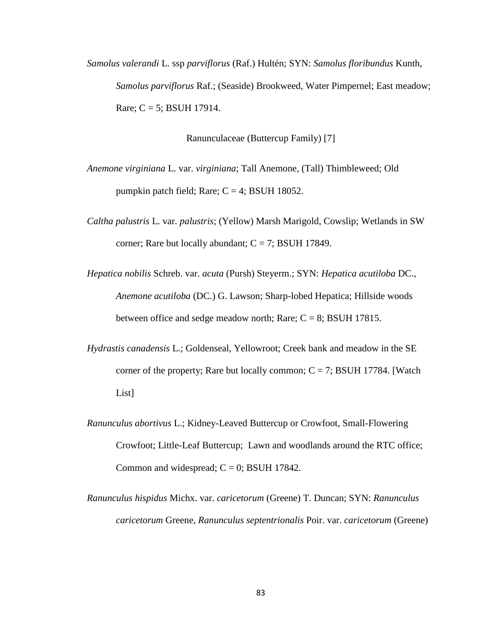*Samolus valerandi* L. ssp *parviflorus* (Raf.) Hultén; SYN: *Samolus floribundus* Kunth, *Samolus parviflorus* Raf.; (Seaside) Brookweed, Water Pimpernel; East meadow; Rare;  $C = 5$ ; BSUH 17914.

Ranunculaceae (Buttercup Family) [7]

- *Anemone virginiana* L. var. *virginiana*; Tall Anemone, (Tall) Thimbleweed; Old pumpkin patch field; Rare;  $C = 4$ ; BSUH 18052.
- *Caltha palustris* L. var. *palustris*; (Yellow) Marsh Marigold, Cowslip; Wetlands in SW corner; Rare but locally abundant;  $C = 7$ ; BSUH 17849.
- *Hepatica nobilis* Schreb. var. *acuta* (Pursh) Steyerm.; SYN: *Hepatica acutiloba* DC., *Anemone acutiloba* (DC.) G. Lawson; Sharp-lobed Hepatica; Hillside woods between office and sedge meadow north; Rare;  $C = 8$ ; BSUH 17815.
- *Hydrastis canadensis* L.; Goldenseal, Yellowroot; Creek bank and meadow in the SE corner of the property; Rare but locally common;  $C = 7$ ; BSUH 17784. [Watch] List]
- *Ranunculus abortivus* L.; Kidney-Leaved Buttercup or Crowfoot, Small-Flowering Crowfoot; Little-Leaf Buttercup; Lawn and woodlands around the RTC office; Common and widespread;  $C = 0$ ; BSUH 17842.
- *Ranunculus hispidus* Michx. var. *caricetorum* (Greene) T. Duncan; SYN: *Ranunculus caricetorum* Greene, *Ranunculus septentrionalis* Poir. var. *caricetorum* (Greene)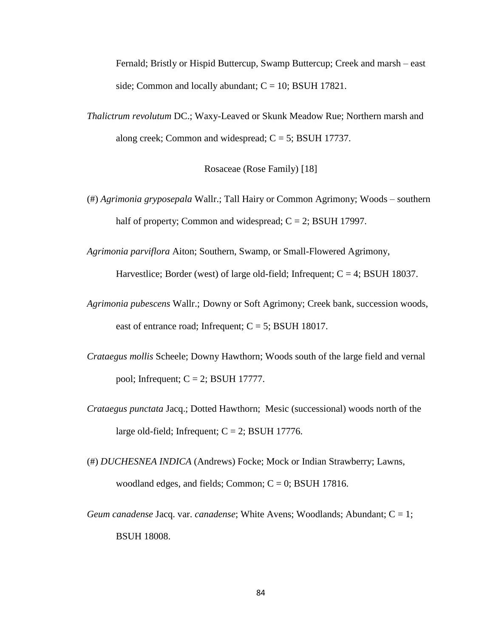Fernald; Bristly or Hispid Buttercup, Swamp Buttercup; Creek and marsh – east side; Common and locally abundant;  $C = 10$ ; BSUH 17821.

*Thalictrum revolutum* DC.; Waxy-Leaved or Skunk Meadow Rue; Northern marsh and along creek; Common and widespread;  $C = 5$ ; BSUH 17737.

Rosaceae (Rose Family) [18]

(#) *Agrimonia gryposepala* Wallr.; Tall Hairy or Common Agrimony; Woods – southern half of property; Common and widespread;  $C = 2$ ; BSUH 17997.

*Agrimonia parviflora* Aiton; Southern, Swamp, or Small-Flowered Agrimony,

Harvestlice; Border (west) of large old-field; Infrequent;  $C = 4$ ; BSUH 18037.

- *Agrimonia pubescens* Wallr.; Downy or Soft Agrimony; Creek bank, succession woods, east of entrance road; Infrequent;  $C = 5$ ; BSUH 18017.
- *Crataegus mollis* Scheele; Downy Hawthorn; Woods south of the large field and vernal pool; Infrequent;  $C = 2$ ; BSUH 17777.
- *Crataegus punctata* Jacq.; Dotted Hawthorn; Mesic (successional) woods north of the large old-field; Infrequent;  $C = 2$ ; BSUH 17776.
- (#) *DUCHESNEA INDICA* (Andrews) Focke; Mock or Indian Strawberry; Lawns, woodland edges, and fields; Common;  $C = 0$ ; BSUH 17816.
- *Geum canadense Jacq. var. <i>canadense*; White Avens; Woodlands; Abundant; C = 1; BSUH 18008.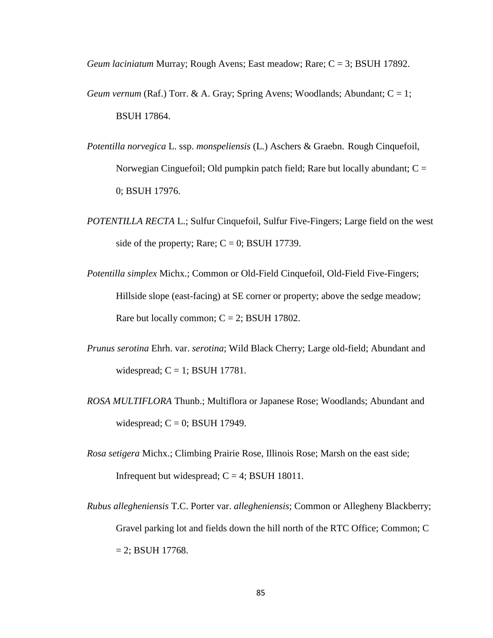*Geum laciniatum* Murray; Rough Avens; East meadow; Rare; C = 3; BSUH 17892.

- *Geum vernum* (Raf.) Torr. & A. Gray; Spring Avens; Woodlands; Abundant; C = 1; BSUH 17864.
- *Potentilla norvegica* L. ssp. *monspeliensis* (L.) Aschers & Graebn. Rough Cinquefoil, Norwegian Cinguefoil; Old pumpkin patch field; Rare but locally abundant;  $C =$ 0; BSUH 17976.
- *POTENTILLA RECTA* L.; Sulfur Cinquefoil, Sulfur Five-Fingers; Large field on the west side of the property; Rare;  $C = 0$ ; BSUH 17739.
- *Potentilla simplex* Michx.; Common or Old-Field Cinquefoil, Old-Field Five-Fingers; Hillside slope (east-facing) at SE corner or property; above the sedge meadow; Rare but locally common;  $C = 2$ ; BSUH 17802.
- *Prunus serotina* Ehrh. var. *serotina*; Wild Black Cherry; Large old-field; Abundant and widespread;  $C = 1$ ; BSUH 17781.
- *ROSA MULTIFLORA* Thunb.; Multiflora or Japanese Rose; Woodlands; Abundant and widespread;  $C = 0$ ; BSUH 17949.
- *Rosa setigera* Michx.; Climbing Prairie Rose, Illinois Rose; Marsh on the east side; Infrequent but widespread;  $C = 4$ ; BSUH 18011.
- *Rubus allegheniensis* T.C. Porter var. *allegheniensis*; Common or Allegheny Blackberry; Gravel parking lot and fields down the hill north of the RTC Office; Common; C  $= 2$ ; BSUH 17768.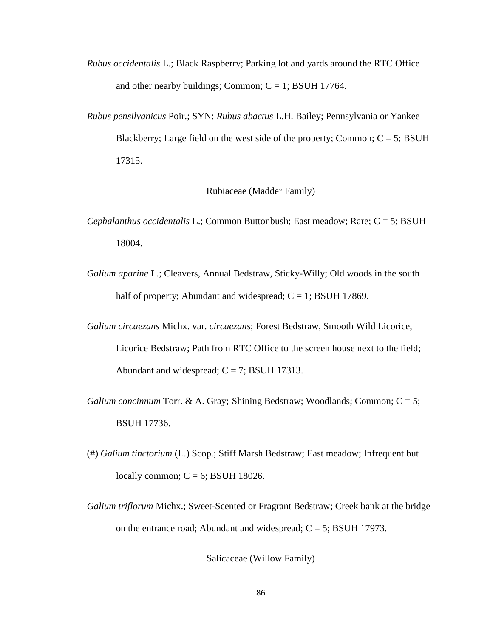- *Rubus occidentalis* L.; Black Raspberry; Parking lot and yards around the RTC Office and other nearby buildings; Common;  $C = 1$ ; BSUH 17764.
- *Rubus pensilvanicus* Poir.; SYN: *Rubus abactus* L.H. Bailey; Pennsylvania or Yankee Blackberry; Large field on the west side of the property; Common;  $C = 5$ ; BSUH 17315.

# Rubiaceae (Madder Family)

- *Cephalanthus occidentalis* L.; Common Buttonbush; East meadow; Rare; C = 5; BSUH 18004.
- *Galium aparine* L.; Cleavers, Annual Bedstraw, Sticky-Willy; Old woods in the south half of property; Abundant and widespread;  $C = 1$ ; BSUH 17869.
- *Galium circaezans* Michx. var. *circaezans*; Forest Bedstraw, Smooth Wild Licorice, Licorice Bedstraw; Path from RTC Office to the screen house next to the field; Abundant and widespread;  $C = 7$ ; BSUH 17313.
- *Galium concinnum* Torr. & A. Gray; Shining Bedstraw; Woodlands; Common; C = 5; BSUH 17736.
- (#) *Galium tinctorium* (L.) Scop.; Stiff Marsh Bedstraw; East meadow; Infrequent but locally common;  $C = 6$ ; BSUH 18026.
- *Galium triflorum* Michx.; Sweet-Scented or Fragrant Bedstraw; Creek bank at the bridge on the entrance road; Abundant and widespread;  $C = 5$ ; BSUH 17973.

Salicaceae (Willow Family)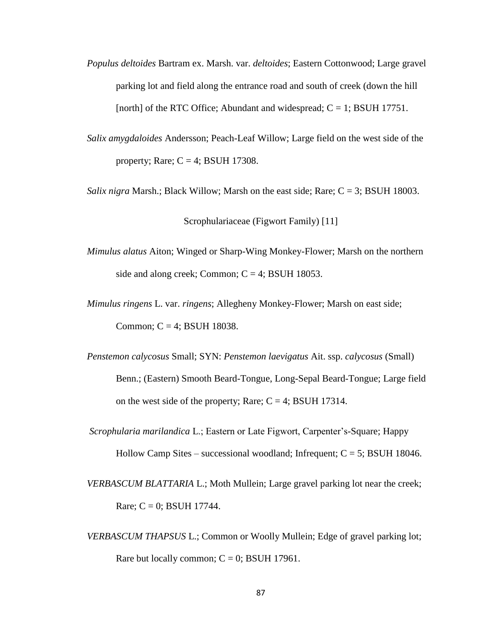- *Populus deltoides* Bartram ex. Marsh. var. *deltoides*; Eastern Cottonwood; Large gravel parking lot and field along the entrance road and south of creek (down the hill [north] of the RTC Office; Abundant and widespread;  $C = 1$ ; BSUH 17751.
- *Salix amygdaloides* Andersson; Peach-Leaf Willow; Large field on the west side of the property; Rare;  $C = 4$ ; BSUH 17308.

*Salix nigra* Marsh.; Black Willow; Marsh on the east side; Rare;  $C = 3$ ; BSUH 18003.

Scrophulariaceae (Figwort Family) [11]

- *Mimulus alatus* Aiton; Winged or Sharp-Wing Monkey-Flower; Marsh on the northern side and along creek; Common;  $C = 4$ ; BSUH 18053.
- *Mimulus ringens* L. var. *ringens*; Allegheny Monkey-Flower; Marsh on east side; Common;  $C = 4$ ; BSUH 18038.
- *Penstemon calycosus* Small; SYN: *Penstemon laevigatus* Ait. ssp. *calycosus* (Small) Benn.; (Eastern) Smooth Beard-Tongue, Long-Sepal Beard-Tongue; Large field on the west side of the property; Rare;  $C = 4$ ; BSUH 17314.
- *Scrophularia marilandica* L.; Eastern or Late Figwort, Carpenter's-Square; Happy Hollow Camp Sites – successional woodland; Infrequent;  $C = 5$ ; BSUH 18046.
- *VERBASCUM BLATTARIA* L.; Moth Mullein; Large gravel parking lot near the creek; Rare;  $C = 0$ ; BSUH 17744.
- *VERBASCUM THAPSUS* L.; Common or Woolly Mullein; Edge of gravel parking lot; Rare but locally common;  $C = 0$ ; BSUH 17961.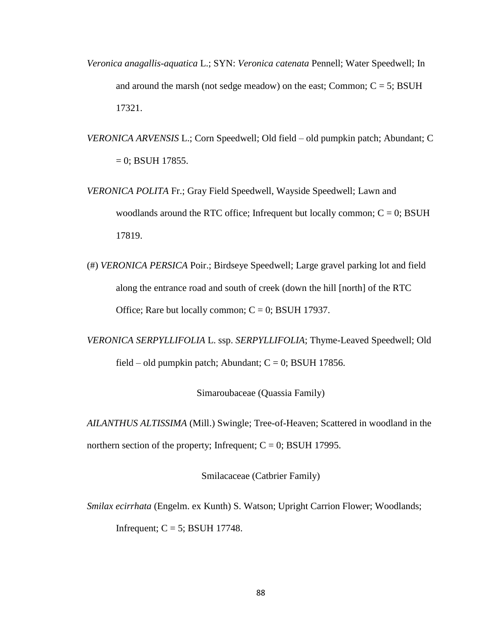- *Veronica anagallis-aquatica* L.; SYN: *Veronica catenata* Pennell; Water Speedwell; In and around the marsh (not sedge meadow) on the east; Common;  $C = 5$ ; BSUH 17321.
- *VERONICA ARVENSIS* L.; Corn Speedwell; Old field old pumpkin patch; Abundant; C  $= 0$ ; BSUH 17855.
- *VERONICA POLITA* Fr.; Gray Field Speedwell, Wayside Speedwell; Lawn and woodlands around the RTC office; Infrequent but locally common;  $C = 0$ ; BSUH 17819.
- (#) *VERONICA PERSICA* Poir.; Birdseye Speedwell; Large gravel parking lot and field along the entrance road and south of creek (down the hill [north] of the RTC Office; Rare but locally common;  $C = 0$ ; BSUH 17937.
- *VERONICA SERPYLLIFOLIA* L. ssp. *SERPYLLIFOLIA*; Thyme-Leaved Speedwell; Old field – old pumpkin patch; Abundant;  $C = 0$ ; BSUH 17856.

Simaroubaceae (Quassia Family)

*AILANTHUS ALTISSIMA* (Mill.) Swingle; Tree-of-Heaven; Scattered in woodland in the northern section of the property; Infrequent;  $C = 0$ ; BSUH 17995.

Smilacaceae (Catbrier Family)

*Smilax ecirrhata* (Engelm. ex Kunth) S. Watson; Upright Carrion Flower; Woodlands; Infrequent;  $C = 5$ ; BSUH 17748.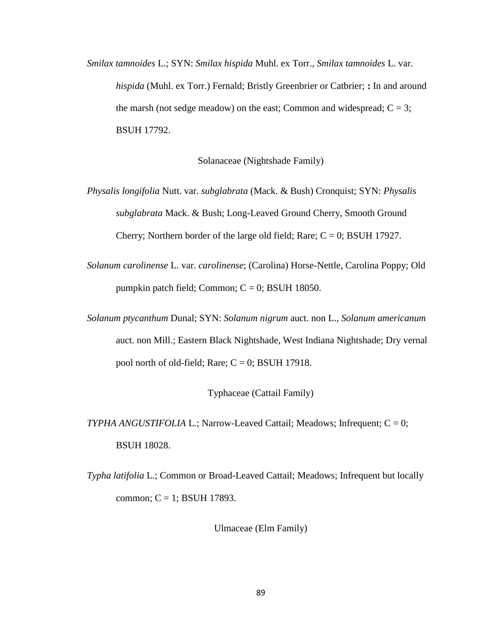*Smilax tamnoides* L.; SYN: *Smilax hispida* Muhl. ex Torr., *Smilax tamnoides* L. var. *hispida* (Muhl. ex Torr.) Fernald; Bristly Greenbrier or Catbrier; **:** In and around the marsh (not sedge meadow) on the east; Common and widespread;  $C = 3$ ; BSUH 17792.

Solanaceae (Nightshade Family)

- *Physalis longifolia* Nutt. var. *subglabrata* (Mack. & Bush) Cronquist; SYN: *Physalis subglabrata* Mack. & Bush; Long-Leaved Ground Cherry, Smooth Ground Cherry; Northern border of the large old field; Rare;  $C = 0$ ; BSUH 17927.
- *Solanum carolinense* L. var. *carolinense*; (Carolina) Horse-Nettle, Carolina Poppy; Old pumpkin patch field; Common;  $C = 0$ ; BSUH 18050.
- *Solanum ptycanthum* Dunal; SYN: *Solanum nigrum* auct. non L., *Solanum americanum* auct. non Mill.; Eastern Black Nightshade, West Indiana Nightshade; Dry vernal pool north of old-field; Rare;  $C = 0$ ; BSUH 17918.

Typhaceae (Cattail Family)

*TYPHA ANGUSTIFOLIA L.*; Narrow-Leaved Cattail; Meadows; Infrequent; C = 0; BSUH 18028.

*Typha latifolia* L.; Common or Broad-Leaved Cattail; Meadows; Infrequent but locally common;  $C = 1$ ; BSUH 17893.

Ulmaceae (Elm Family)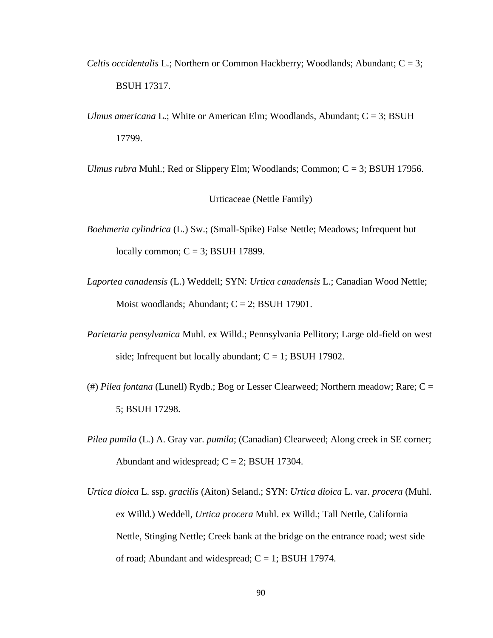- *Celtis occidentalis* L.; Northern or Common Hackberry; Woodlands; Abundant; C = 3; BSUH 17317.
- *Ulmus americana* L.; White or American Elm; Woodlands, Abundant; C = 3; BSUH 17799.

*Ulmus rubra* Muhl.; Red or Slippery Elm; Woodlands; Common; C = 3; BSUH 17956.

Urticaceae (Nettle Family)

- *Boehmeria cylindrica* (L.) Sw.; (Small-Spike) False Nettle; Meadows; Infrequent but locally common;  $C = 3$ ; BSUH 17899.
- *Laportea canadensis* (L.) Weddell; SYN: *Urtica canadensis* L.; Canadian Wood Nettle; Moist woodlands; Abundant;  $C = 2$ ; BSUH 17901.
- *Parietaria pensylvanica* Muhl. ex Willd.; Pennsylvania Pellitory; Large old-field on west side; Infrequent but locally abundant;  $C = 1$ ; BSUH 17902.
- (#) *Pilea fontana* (Lunell) Rydb.; Bog or Lesser Clearweed; Northern meadow; Rare; C = 5; BSUH 17298.
- *Pilea pumila* (L.) A. Gray var. *pumila*; (Canadian) Clearweed; Along creek in SE corner; Abundant and widespread;  $C = 2$ ; BSUH 17304.
- *Urtica dioica* L. ssp. *gracilis* (Aiton) Seland.; SYN: *Urtica dioica* L. var. *procera* (Muhl. ex Willd.) Weddell, *Urtica procera* Muhl. ex Willd.; Tall Nettle, California Nettle, Stinging Nettle; Creek bank at the bridge on the entrance road; west side of road; Abundant and widespread;  $C = 1$ ; BSUH 17974.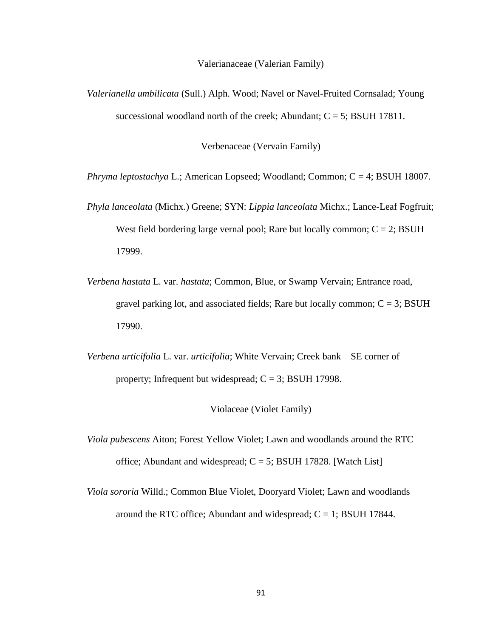#### Valerianaceae (Valerian Family)

*Valerianella umbilicata* (Sull.) Alph. Wood; Navel or Navel-Fruited Cornsalad; Young successional woodland north of the creek; Abundant;  $C = 5$ ; BSUH 17811.

Verbenaceae (Vervain Family)

*Phryma leptostachya* L.; American Lopseed; Woodland; Common; C = 4; BSUH 18007.

- *Phyla lanceolata* (Michx.) Greene; SYN: *Lippia lanceolata* Michx.; Lance-Leaf Fogfruit; West field bordering large vernal pool; Rare but locally common;  $C = 2$ ; BSUH 17999.
- *Verbena hastata* L. var. *hastata*; Common, Blue, or Swamp Vervain; Entrance road, gravel parking lot, and associated fields; Rare but locally common;  $C = 3$ ; BSUH 17990.
- *Verbena urticifolia* L. var. *urticifolia*; White Vervain; Creek bank SE corner of property; Infrequent but widespread;  $C = 3$ ; BSUH 17998.

Violaceae (Violet Family)

- *Viola pubescens* Aiton; Forest Yellow Violet; Lawn and woodlands around the RTC office; Abundant and widespread;  $C = 5$ ; BSUH 17828. [Watch List]
- *Viola sororia* Willd.; Common Blue Violet, Dooryard Violet; Lawn and woodlands around the RTC office; Abundant and widespread;  $C = 1$ ; BSUH 17844.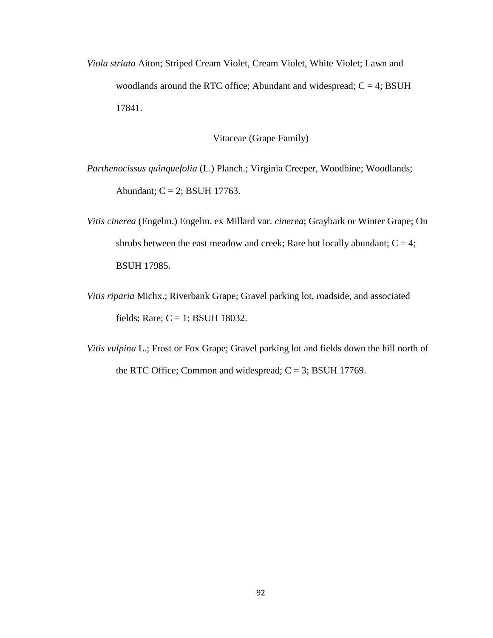*Viola striata* Aiton; Striped Cream Violet, Cream Violet, White Violet; Lawn and woodlands around the RTC office; Abundant and widespread;  $C = 4$ ; BSUH 17841.

Vitaceae (Grape Family)

*Parthenocissus quinquefolia* (L.) Planch.; Virginia Creeper, Woodbine; Woodlands; Abundant;  $C = 2$ ; BSUH 17763.

*Vitis cinerea* (Engelm.) Engelm. ex Millard var. *cinerea*; Graybark or Winter Grape; On shrubs between the east meadow and creek; Rare but locally abundant;  $C = 4$ ; BSUH 17985.

*Vitis riparia* Michx.; Riverbank Grape; Gravel parking lot, roadside, and associated fields; Rare;  $C = 1$ ; BSUH 18032.

*Vitis vulpina* L.; Frost or Fox Grape; Gravel parking lot and fields down the hill north of the RTC Office; Common and widespread;  $C = 3$ ; BSUH 17769.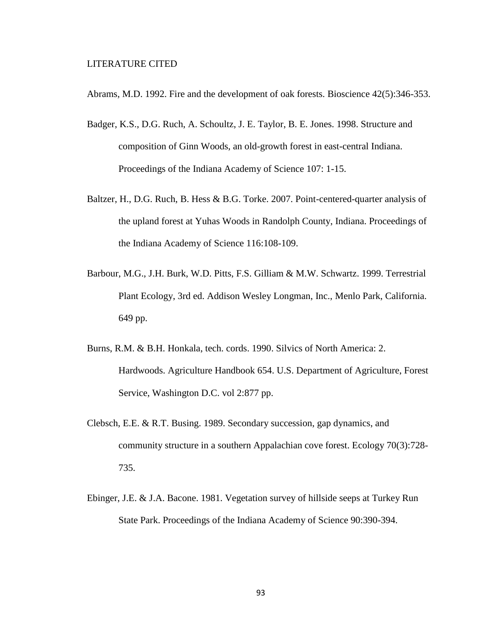#### LITERATURE CITED

Abrams, M.D. 1992. Fire and the development of oak forests. Bioscience 42(5):346-353.

- Badger, K.S., D.G. Ruch, A. Schoultz, J. E. Taylor, B. E. Jones. 1998. Structure and composition of Ginn Woods, an old-growth forest in east-central Indiana. Proceedings of the Indiana Academy of Science 107: 1-15.
- Baltzer, H., D.G. Ruch, B. Hess & B.G. Torke. 2007. Point-centered-quarter analysis of the upland forest at Yuhas Woods in Randolph County, Indiana. Proceedings of the Indiana Academy of Science 116:108-109.
- Barbour, M.G., J.H. Burk, W.D. Pitts, F.S. Gilliam & M.W. Schwartz. 1999. Terrestrial Plant Ecology, 3rd ed. Addison Wesley Longman, Inc., Menlo Park, California. 649 pp.
- Burns, R.M. & B.H. Honkala, tech. cords. 1990. Silvics of North America: 2. Hardwoods. Agriculture Handbook 654. U.S. Department of Agriculture, Forest Service, Washington D.C. vol 2:877 pp.
- Clebsch, E.E. & R.T. Busing. 1989. Secondary succession, gap dynamics, and community structure in a southern Appalachian cove forest. Ecology 70(3):728- 735.
- Ebinger, J.E. & J.A. Bacone. 1981. Vegetation survey of hillside seeps at Turkey Run State Park. Proceedings of the Indiana Academy of Science 90:390-394.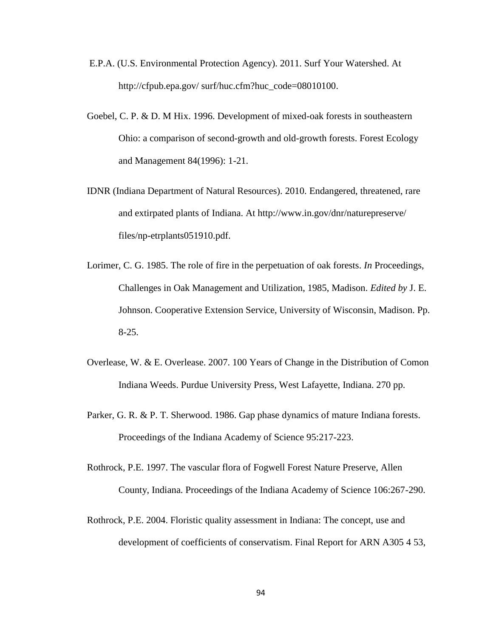- E.P.A. (U.S. Environmental Protection Agency). 2011. Surf Your Watershed. At [http://cfpub.epa.gov/ surf/huc.cfm?huc\\_code=08010100.](http://cfpub.epa.gov/%20surf/huc.cfm?huc_code=08010100)
- Goebel, C. P. & D. M Hix. 1996. Development of mixed-oak forests in southeastern Ohio: a comparison of second-growth and old-growth forests. Forest Ecology and Management 84(1996): 1-21.
- IDNR (Indiana Department of Natural Resources). 2010. Endangered, threatened, rare and extirpated plants of Indiana. At http://www.in.gov/dnr/naturepreserve/ files/np-etrplants051910.pdf.
- Lorimer, C. G. 1985. The role of fire in the perpetuation of oak forests. *In* Proceedings, Challenges in Oak Management and Utilization, 1985, Madison. *Edited by* J. E. Johnson. Cooperative Extension Service, University of Wisconsin, Madison. Pp. 8-25.
- Overlease, W. & E. Overlease. 2007. 100 Years of Change in the Distribution of Comon Indiana Weeds. Purdue University Press, West Lafayette, Indiana. 270 pp.
- Parker, G. R. & P. T. Sherwood. 1986. Gap phase dynamics of mature Indiana forests. Proceedings of the Indiana Academy of Science 95:217-223.
- Rothrock, P.E. 1997. The vascular flora of Fogwell Forest Nature Preserve, Allen County, Indiana. Proceedings of the Indiana Academy of Science 106:267-290.
- Rothrock, P.E. 2004. Floristic quality assessment in Indiana: The concept, use and development of coefficients of conservatism. Final Report for ARN A305 4 53,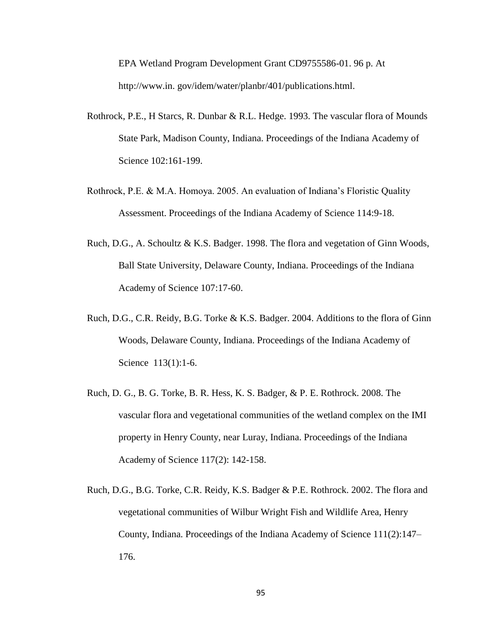EPA Wetland Program Development Grant CD9755586-01. 96 p. At http://www.in. gov/idem/water/planbr/401/publications.html.

- Rothrock, P.E., H Starcs, R. Dunbar & R.L. Hedge. 1993. The vascular flora of Mounds State Park, Madison County, Indiana. Proceedings of the Indiana Academy of Science 102:161-199.
- Rothrock, P.E. & M.A. Homoya. 2005. An evaluation of Indiana's Floristic Quality Assessment. Proceedings of the Indiana Academy of Science 114:9-18.
- Ruch, D.G., A. Schoultz & K.S. Badger. 1998. The flora and vegetation of Ginn Woods, Ball State University, Delaware County, Indiana. Proceedings of the Indiana Academy of Science 107:17-60.
- Ruch, D.G., C.R. Reidy, B.G. Torke & K.S. Badger. 2004. Additions to the flora of Ginn Woods, Delaware County, Indiana. Proceedings of the Indiana Academy of Science 113(1):1-6.
- Ruch, D. G., B. G. Torke, B. R. Hess, K. S. Badger, & P. E. Rothrock. 2008. The vascular flora and vegetational communities of the wetland complex on the IMI property in Henry County, near Luray, Indiana. Proceedings of the Indiana Academy of Science 117(2): 142-158.
- Ruch, D.G., B.G. Torke, C.R. Reidy, K.S. Badger & P.E. Rothrock. 2002. The flora and vegetational communities of Wilbur Wright Fish and Wildlife Area, Henry County, Indiana. Proceedings of the Indiana Academy of Science 111(2):147– 176.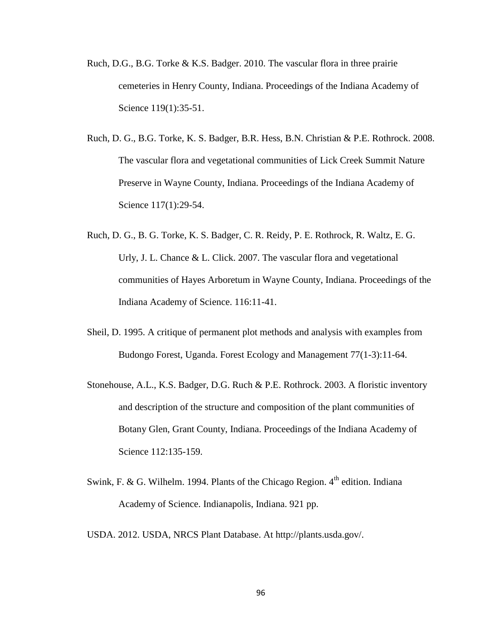- Ruch, D.G., B.G. Torke & K.S. Badger. 2010. The vascular flora in three prairie cemeteries in Henry County, Indiana. Proceedings of the Indiana Academy of Science 119(1):35-51.
- Ruch, D. G., B.G. Torke, K. S. Badger, B.R. Hess, B.N. Christian & P.E. Rothrock. 2008. The vascular flora and vegetational communities of Lick Creek Summit Nature Preserve in Wayne County, Indiana. Proceedings of the Indiana Academy of Science 117(1):29-54.
- Ruch, D. G., B. G. Torke, K. S. Badger, C. R. Reidy, P. E. Rothrock, R. Waltz, E. G. Urly, J. L. Chance & L. Click. 2007. The vascular flora and vegetational communities of Hayes Arboretum in Wayne County, Indiana. Proceedings of the Indiana Academy of Science. 116:11-41.
- Sheil, D. 1995. A critique of permanent plot methods and analysis with examples from Budongo Forest, Uganda. Forest Ecology and Management 77(1-3):11-64.
- Stonehouse, A.L., K.S. Badger, D.G. Ruch & P.E. Rothrock. 2003. A floristic inventory and description of the structure and composition of the plant communities of Botany Glen, Grant County, Indiana. Proceedings of the Indiana Academy of Science 112:135-159.
- Swink, F. & G. Wilhelm. 1994. Plants of the Chicago Region.  $4<sup>th</sup>$  edition. Indiana Academy of Science. Indianapolis, Indiana. 921 pp.

USDA. 2012. USDA, NRCS Plant Database. At [http://plants.usda.gov/.](http://plants.usda.gov/)